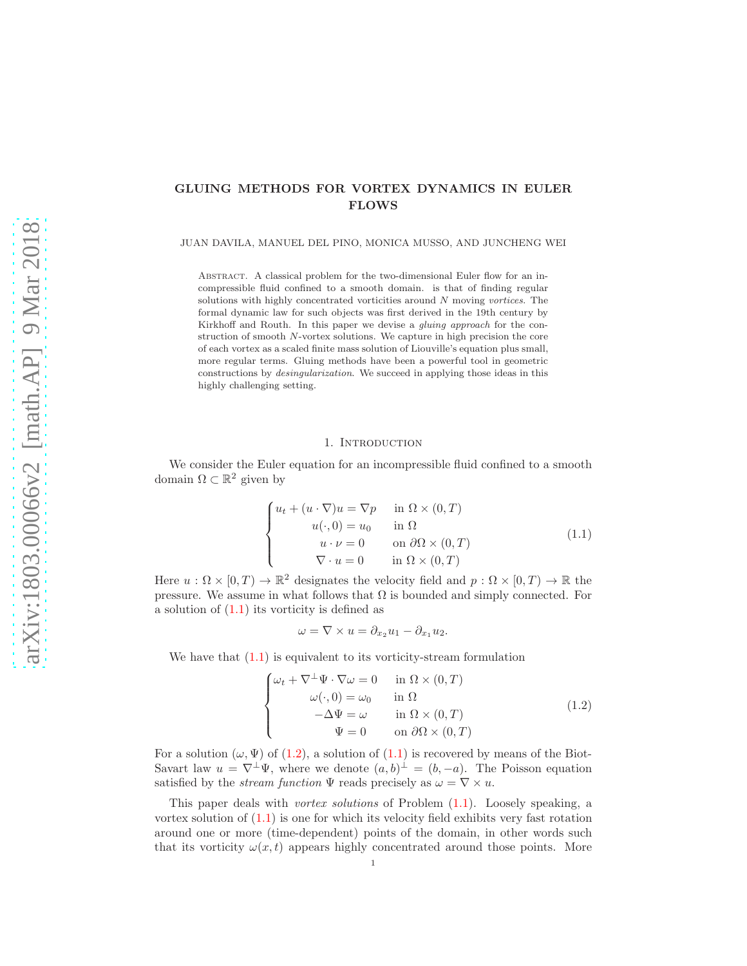# GLUING METHODS FOR VORTEX DYNAMICS IN EULER FLOWS

JUAN DAVILA, MANUEL DEL PINO, MONICA MUSSO, AND JUNCHENG WEI

ABSTRACT. A classical problem for the two-dimensional Euler flow for an incompressible fluid confined to a smooth domain. is that of finding regular solutions with highly concentrated vorticities around N moving vortices. The formal dynamic law for such objects was first derived in the 19th century by Kirkhoff and Routh. In this paper we devise a gluing approach for the construction of smooth N-vortex solutions. We capture in high precision the core of each vortex as a scaled finite mass solution of Liouville's equation plus small, more regular terms. Gluing methods have been a powerful tool in geometric constructions by desingularization. We succeed in applying those ideas in this highly challenging setting.

#### 1. INTRODUCTION

We consider the Euler equation for an incompressible fluid confined to a smooth domain  $\Omega \subset \mathbb{R}^2$  given by

<span id="page-0-0"></span>
$$
\begin{cases}\n u_t + (u \cdot \nabla)u = \nabla p & \text{in } \Omega \times (0, T) \\
 u(\cdot, 0) = u_0 & \text{in } \Omega \\
 u \cdot \nu = 0 & \text{on } \partial \Omega \times (0, T) \\
 \nabla \cdot u = 0 & \text{in } \Omega \times (0, T)\n\end{cases}
$$
\n(1.1)

Here  $u : \Omega \times [0, T) \to \mathbb{R}^2$  designates the velocity field and  $p : \Omega \times [0, T) \to \mathbb{R}$  the pressure. We assume in what follows that  $\Omega$  is bounded and simply connected. For a solution of [\(1.1\)](#page-0-0) its vorticity is defined as

$$
\omega = \nabla \times u = \partial_{x_2} u_1 - \partial_{x_1} u_2.
$$

We have that  $(1.1)$  is equivalent to its vorticity-stream formulation

<span id="page-0-1"></span>
$$
\begin{cases}\n\omega_t + \nabla^{\perp} \Psi \cdot \nabla \omega = 0 & \text{in } \Omega \times (0, T) \\
\omega(\cdot, 0) = \omega_0 & \text{in } \Omega \\
-\Delta \Psi = \omega & \text{in } \Omega \times (0, T) \\
\Psi = 0 & \text{on } \partial \Omega \times (0, T)\n\end{cases}
$$
\n(1.2)

For a solution  $(\omega, \Psi)$  of [\(1.2\)](#page-0-1), a solution of [\(1.1\)](#page-0-0) is recovered by means of the Biot-Savart law  $u = \nabla^{\perp} \Psi$ , where we denote  $(a, b)^{\perp} = (b, -a)$ . The Poisson equation satisfied by the *stream function*  $\Psi$  reads precisely as  $\omega = \nabla \times u$ .

This paper deals with *vortex solutions* of Problem  $(1.1)$ . Loosely speaking, a vortex solution of [\(1.1\)](#page-0-0) is one for which its velocity field exhibits very fast rotation around one or more (time-dependent) points of the domain, in other words such that its vorticity  $\omega(x, t)$  appears highly concentrated around those points. More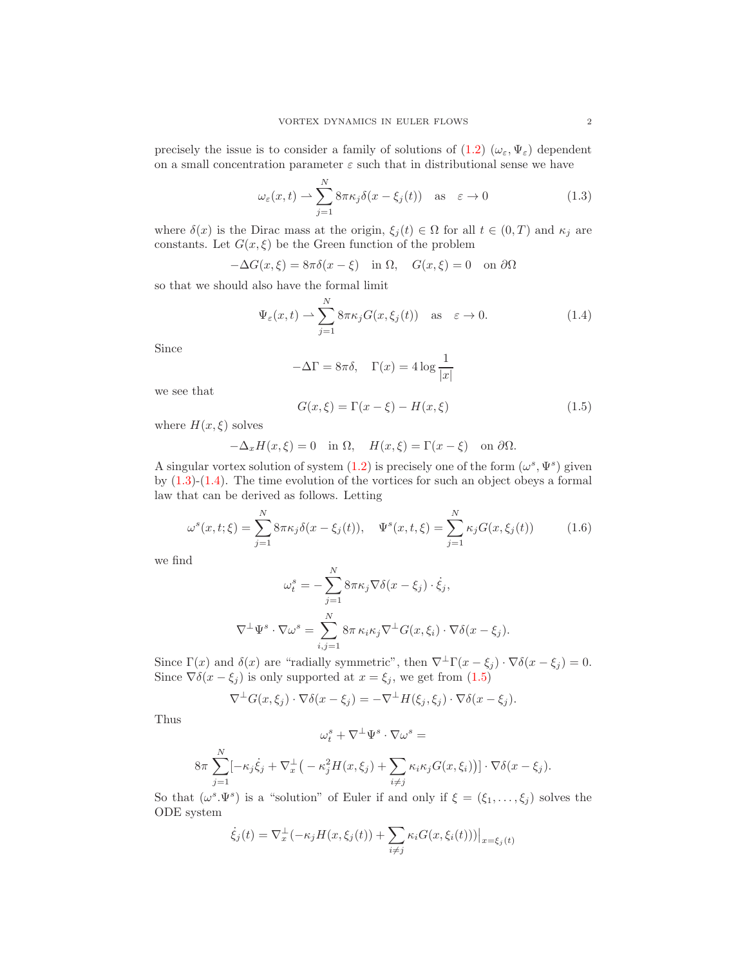precisely the issue is to consider a family of solutions of  $(1.2)$   $(\omega_{\varepsilon}, \Psi_{\varepsilon})$  dependent on a small concentration parameter  $\varepsilon$  such that in distributional sense we have

<span id="page-1-0"></span>
$$
\omega_{\varepsilon}(x,t) \rightharpoonup \sum_{j=1}^{N} 8\pi \kappa_{j} \delta(x - \xi_{j}(t)) \quad \text{as} \quad \varepsilon \to 0 \tag{1.3}
$$

where  $\delta(x)$  is the Dirac mass at the origin,  $\xi_j(t) \in \Omega$  for all  $t \in (0,T)$  and  $\kappa_j$  are constants. Let  $G(x,\xi)$  be the Green function of the problem

$$
-\Delta G(x,\xi) = 8\pi \delta(x-\xi) \quad \text{in } \Omega, \quad G(x,\xi) = 0 \quad \text{on } \partial\Omega
$$

so that we should also have the formal limit

<span id="page-1-1"></span>
$$
\Psi_{\varepsilon}(x,t) \rightharpoonup \sum_{j=1}^{N} 8\pi \kappa_j G(x,\xi_j(t)) \quad \text{as} \quad \varepsilon \to 0. \tag{1.4}
$$

Since

$$
-\Delta\Gamma = 8\pi\delta, \quad \Gamma(x) = 4\log\frac{1}{|x|}
$$

we see that

<span id="page-1-2"></span>
$$
G(x,\xi) = \Gamma(x-\xi) - H(x,\xi)
$$
\n(1.5)

where  $H(x,\xi)$  solves

$$
-\Delta_x H(x,\xi) = 0 \quad \text{in } \Omega, \quad H(x,\xi) = \Gamma(x-\xi) \quad \text{on } \partial\Omega.
$$

A singular vortex solution of system  $(1.2)$  is precisely one of the form  $(\omega^s, \Psi^s)$  given by  $(1.3)-(1.4)$  $(1.3)-(1.4)$ . The time evolution of the vortices for such an object obeys a formal law that can be derived as follows. Letting

<span id="page-1-3"></span>
$$
\omega^{s}(x,t;\xi) = \sum_{j=1}^{N} 8\pi \kappa_{j} \delta(x - \xi_{j}(t)), \quad \Psi^{s}(x,t,\xi) = \sum_{j=1}^{N} \kappa_{j} G(x,\xi_{j}(t))
$$
(1.6)

we find

$$
\omega_t^s = -\sum_{j=1}^N 8\pi \kappa_j \nabla \delta(x - \xi_j) \cdot \dot{\xi}_j,
$$
  

$$
\nabla^{\perp} \Psi^s \cdot \nabla \omega^s = \sum_{i,j=1}^N 8\pi \kappa_i \kappa_j \nabla^{\perp} G(x, \xi_i) \cdot \nabla \delta(x - \xi_j).
$$

Since  $\Gamma(x)$  and  $\delta(x)$  are "radially symmetric", then  $\nabla^{\perp}\Gamma(x-\xi_j)\cdot\nabla\delta(x-\xi_j)=0$ . Since  $\nabla \delta(x - \xi_j)$  is only supported at  $x = \xi_j$ , we get from  $(1.5)$ 

$$
\nabla^{\perp} G(x,\xi_j) \cdot \nabla \delta(x-\xi_j) = -\nabla^{\perp} H(\xi_j,\xi_j) \cdot \nabla \delta(x-\xi_j).
$$

Thus

$$
\omega^s_t + \nabla^\perp \Psi^s \cdot \nabla \omega^s =
$$

$$
8\pi \sum_{j=1}^N [-\kappa_j \dot{\xi}_j + \nabla_x^{\perp} \big(-\kappa_j^2 H(x,\xi_j) + \sum_{i \neq j} \kappa_i \kappa_j G(x,\xi_i)\big)] \cdot \nabla \delta(x-\xi_j).
$$

So that  $(\omega^s \Psi^s)$  is a "solution" of Euler if and only if  $\xi = (\xi_1, \ldots, \xi_j)$  solves the ODE system

$$
\dot{\xi}_j(t) = \nabla_x^{\perp}(-\kappa_j H(x,\xi_j(t)) + \sum_{i \neq j} \kappa_i G(x,\xi_i(t)))|_{x=\xi_j(t)}
$$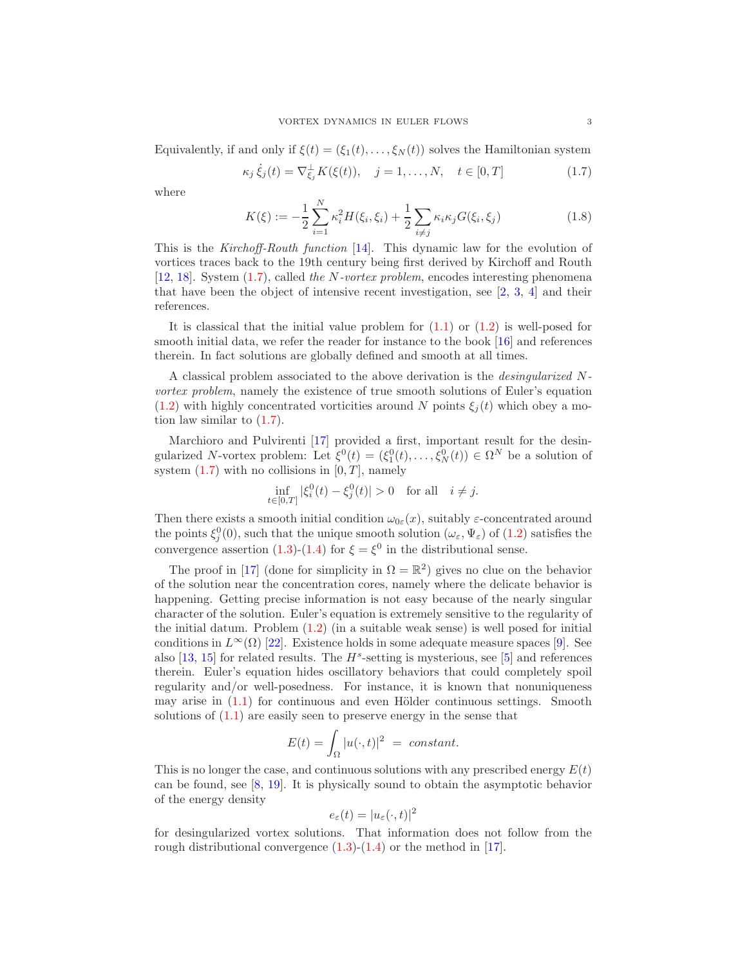Equivalently, if and only if  $\xi(t) = (\xi_1(t), \ldots, \xi_N(t))$  solves the Hamiltonian system

<span id="page-2-0"></span>
$$
\kappa_j \dot{\xi}_j(t) = \nabla_{\xi_j}^{\perp} K(\xi(t)), \quad j = 1, ..., N, \quad t \in [0, T]
$$
 (1.7)

where

<span id="page-2-1"></span>
$$
K(\xi) := -\frac{1}{2} \sum_{i=1}^{N} \kappa_i^2 H(\xi_i, \xi_i) + \frac{1}{2} \sum_{i \neq j} \kappa_i \kappa_j G(\xi_i, \xi_j)
$$
(1.8)

This is the Kirchoff-Routh function [\[14\]](#page-52-0). This dynamic law for the evolution of vortices traces back to the 19th century being first derived by Kirchoff and Routh [\[12,](#page-52-1) [18\]](#page-52-2). System [\(1.7\)](#page-2-0), called the N-vortex problem, encodes interesting phenomena that have been the object of intensive recent investigation, see  $[2, 3, 4]$  $[2, 3, 4]$  $[2, 3, 4]$  $[2, 3, 4]$  and their references.

It is classical that the initial value problem for  $(1.1)$  or  $(1.2)$  is well-posed for smooth initial data, we refer the reader for instance to the book [\[16\]](#page-52-6) and references therein. In fact solutions are globally defined and smooth at all times.

A classical problem associated to the above derivation is the desingularized Nvortex problem, namely the existence of true smooth solutions of Euler's equation [\(1.2\)](#page-0-1) with highly concentrated vorticities around N points  $\xi_i(t)$  which obey a motion law similar to [\(1.7\)](#page-2-0).

Marchioro and Pulvirenti [\[17\]](#page-52-7) provided a first, important result for the desingularized N-vortex problem: Let  $\xi^0(t) = (\xi_1^0(t), \dots, \xi_N^0(t)) \in \Omega^N$  be a solution of system  $(1.7)$  with no collisions in  $[0, T]$ , namely

$$
\inf_{t \in [0,T]} |\xi_i^0(t) - \xi_j^0(t)| > 0 \quad \text{for all} \quad i \neq j.
$$

Then there exists a smooth initial condition  $\omega_{0\varepsilon}(x)$ , suitably  $\varepsilon$ -concentrated around the points  $\xi_j^0(0)$ , such that the unique smooth solution  $(\omega_\varepsilon, \Psi_\varepsilon)$  of  $(1.2)$  satisfies the convergence assertion [\(1.3\)](#page-1-0)-[\(1.4\)](#page-1-1) for  $\xi = \xi^0$  in the distributional sense.

The proof in [\[17\]](#page-52-7) (done for simplicity in  $\Omega = \mathbb{R}^2$ ) gives no clue on the behavior of the solution near the concentration cores, namely where the delicate behavior is happening. Getting precise information is not easy because of the nearly singular character of the solution. Euler's equation is extremely sensitive to the regularity of the initial datum. Problem [\(1.2\)](#page-0-1) (in a suitable weak sense) is well posed for initial conditions in  $L^{\infty}(\Omega)$  [\[22\]](#page-53-0). Existence holds in some adequate measure spaces [\[9\]](#page-52-8). See also  $[13, 15]$  $[13, 15]$  for related results. The  $H^s$ -setting is mysterious, see  $[5]$  and references therein. Euler's equation hides oscillatory behaviors that could completely spoil regularity and/or well-posedness. For instance, it is known that nonuniqueness may arise in  $(1.1)$  for continuous and even Hölder continuous settings. Smooth solutions of [\(1.1\)](#page-0-0) are easily seen to preserve energy in the sense that

$$
E(t) = \int_{\Omega} |u(\cdot, t)|^2 = constant.
$$

This is no longer the case, and continuous solutions with any prescribed energy  $E(t)$ can be found, see [\[8,](#page-52-12) [19\]](#page-53-1). It is physically sound to obtain the asymptotic behavior of the energy density

$$
e_{\varepsilon}(t) = |u_{\varepsilon}(\cdot, t)|^2
$$

for desingularized vortex solutions. That information does not follow from the rough distributional convergence  $(1.3)-(1.4)$  $(1.3)-(1.4)$  or the method in [\[17\]](#page-52-7).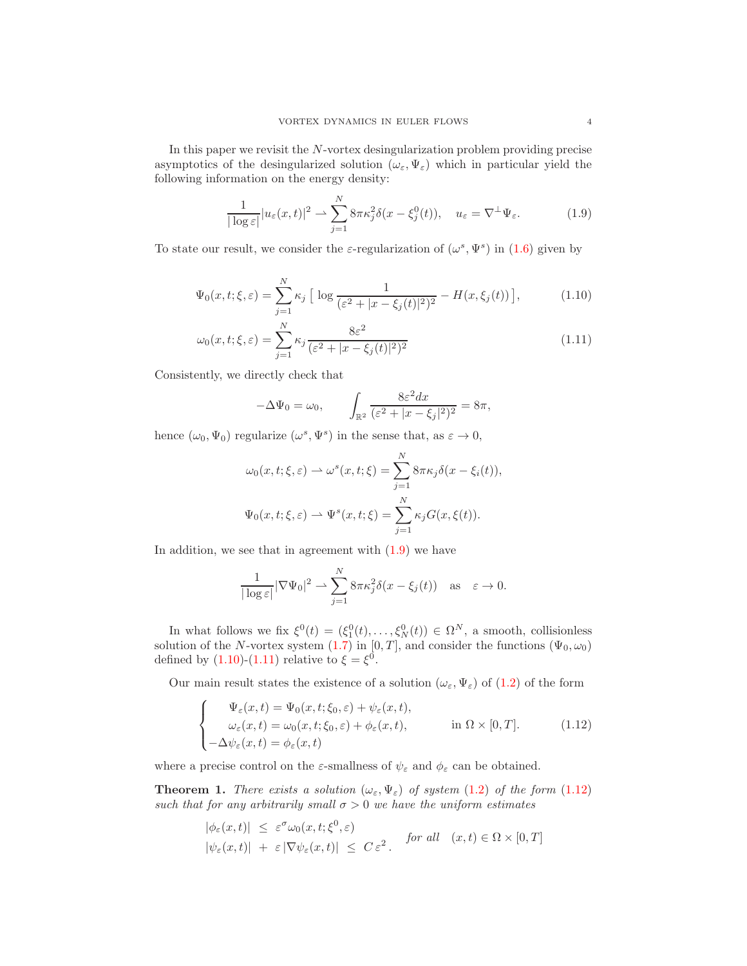In this paper we revisit the N-vortex desingularization problem providing precise asymptotics of the desingularized solution  $(\omega_{\varepsilon}, \Psi_{\varepsilon})$  which in particular yield the following information on the energy density:

<span id="page-3-0"></span>
$$
\frac{1}{|\log \varepsilon|} |u_{\varepsilon}(x,t)|^2 \rightharpoonup \sum_{j=1}^N 8\pi \kappa_j^2 \delta(x - \xi_j^0(t)), \quad u_{\varepsilon} = \nabla^{\perp} \Psi_{\varepsilon}.
$$
 (1.9)

To state our result, we consider the  $\varepsilon$ -regularization of  $(\omega^s, \Psi^s)$  in [\(1.6\)](#page-1-3) given by

$$
\Psi_0(x, t; \xi, \varepsilon) = \sum_{j=1}^N \kappa_j \left[ \log \frac{1}{(\varepsilon^2 + |x - \xi_j(t)|^2)^2} - H(x, \xi_j(t)) \right],\tag{1.10}
$$

$$
\omega_0(x, t; \xi, \varepsilon) = \sum_{j=1}^N \kappa_j \frac{8\varepsilon^2}{(\varepsilon^2 + |x - \xi_j(t)|^2)^2}
$$
(1.11)

Consistently, we directly check that

<span id="page-3-2"></span><span id="page-3-1"></span>
$$
-\Delta\Psi_0 = \omega_0, \qquad \int_{\mathbb{R}^2} \frac{8\varepsilon^2 dx}{(\varepsilon^2 + |x - \xi_j|^2)^2} = 8\pi,
$$

hence  $(\omega_0, \Psi_0)$  regularize  $(\omega^s, \Psi^s)$  in the sense that, as  $\varepsilon \to 0$ ,

$$
\omega_0(x, t; \xi, \varepsilon) \rightharpoonup \omega^s(x, t; \xi) = \sum_{j=1}^N 8\pi \kappa_j \delta(x - \xi_i(t)),
$$
  

$$
\Psi_0(x, t; \xi, \varepsilon) \rightharpoonup \Psi^s(x, t; \xi) = \sum_{j=1}^N \kappa_j G(x, \xi(t)).
$$

In addition, we see that in agreement with  $(1.9)$  we have

$$
\frac{1}{|\log \varepsilon|} |\nabla \Psi_0|^2 \rightharpoonup \sum_{j=1}^N 8\pi \kappa_j^2 \delta(x - \xi_j(t)) \quad \text{as} \quad \varepsilon \to 0.
$$

In what follows we fix  $\xi^0(t) = (\xi_1^0(t), \ldots, \xi_N^0(t)) \in \Omega^N$ , a smooth, collisionless solution of the N-vortex system [\(1](#page-2-0).7) in [0, T], and consider the functions  $(\Psi_0, \omega_0)$ defined by  $(1.10)-(1.11)$  $(1.10)-(1.11)$  relative to  $\xi = \xi^0$ .

Our main result states the existence of a solution  $(\omega_{\varepsilon}, \Psi_{\varepsilon})$  of  $(1.2)$  of the form

<span id="page-3-3"></span>
$$
\begin{cases}\n\Psi_{\varepsilon}(x,t) = \Psi_{0}(x,t;\xi_{0},\varepsilon) + \psi_{\varepsilon}(x,t), \\
\omega_{\varepsilon}(x,t) = \omega_{0}(x,t;\xi_{0},\varepsilon) + \phi_{\varepsilon}(x,t), \\
-\Delta\psi_{\varepsilon}(x,t) = \phi_{\varepsilon}(x,t)\n\end{cases}
$$
\nin  $\Omega \times [0,T]$ . (1.12)

where a precise control on the  $\varepsilon$ -smallness of  $\psi_{\varepsilon}$  and  $\phi_{\varepsilon}$  can be obtained.

<span id="page-3-4"></span>**Theorem 1.** There exists a solution  $(\omega_{\varepsilon}, \Psi_{\varepsilon})$  of system [\(1](#page-0-1).2) of the form (1.[12\)](#page-3-3) such that for any arbitrarily small  $\sigma > 0$  we have the uniform estimates

$$
|\phi_{\varepsilon}(x,t)| \leq \varepsilon^{\sigma} \omega_0(x,t;\xi^0,\varepsilon)
$$
  

$$
|\psi_{\varepsilon}(x,t)| + \varepsilon |\nabla \psi_{\varepsilon}(x,t)| \leq C \varepsilon^2.
$$
 for all  $(x,t) \in \Omega \times [0,T]$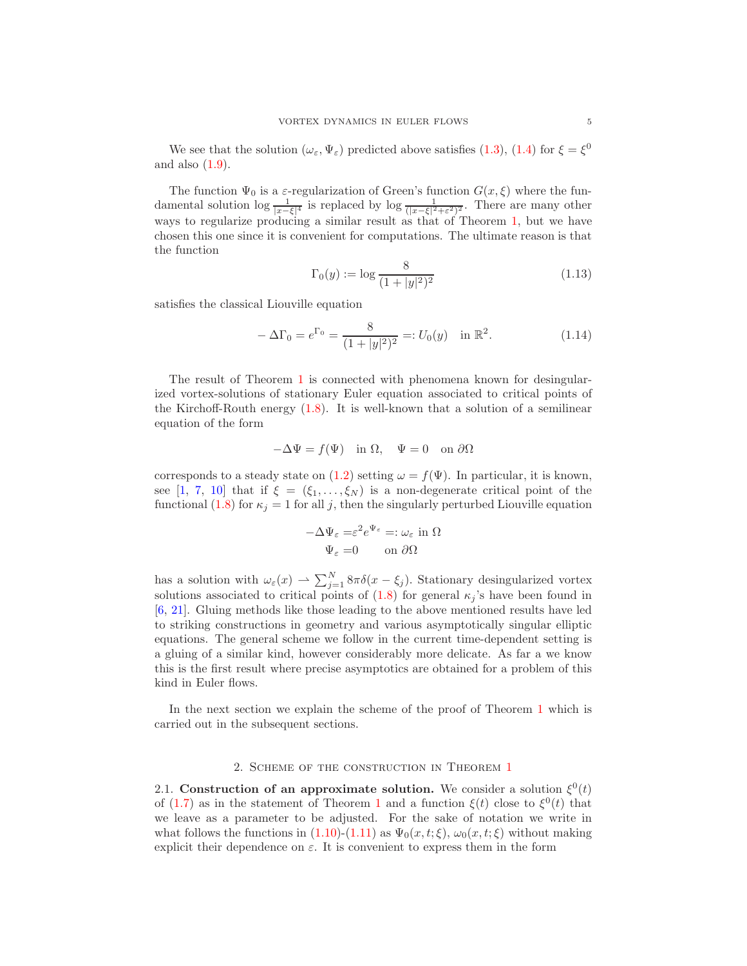We see that the solution  $(\omega_{\varepsilon}, \Psi_{\varepsilon})$  predicted above satisfies [\(1.3\)](#page-1-0), [\(1.4\)](#page-1-1) for  $\xi = \xi^0$ and also [\(1.9\)](#page-3-0).

The function  $\Psi_0$  is a  $\varepsilon$ -regularization of Green's function  $G(x,\xi)$  where the fundamental solution  $\log \frac{1}{|x-\xi|^4}$  is replaced by  $\log \frac{1}{(|x-\xi|^2+\varepsilon^2)^2}$ . There are many other ways to regularize producing a similar result as that of Theorem [1,](#page-3-4) but we have chosen this one since it is convenient for computations. The ultimate reason is that the function

<span id="page-4-0"></span>
$$
\Gamma_0(y) := \log \frac{8}{(1+|y|^2)^2} \tag{1.13}
$$

satisfies the classical Liouville equation

<span id="page-4-1"></span>
$$
-\Delta\Gamma_0 = e^{\Gamma_0} = \frac{8}{(1+|y|^2)^2} =: U_0(y) \quad \text{in } \mathbb{R}^2.
$$
 (1.14)

The result of Theorem [1](#page-3-4) is connected with phenomena known for desingularized vortex-solutions of stationary Euler equation associated to critical points of the Kirchoff-Routh energy [\(1.8\)](#page-2-1). It is well-known that a solution of a semilinear equation of the form

$$
-\Delta \Psi = f(\Psi) \quad \text{in } \Omega, \quad \Psi = 0 \quad \text{on } \partial \Omega
$$

corresponds to a steady state on [\(1.2\)](#page-0-1) setting  $\omega = f(\Psi)$ . In particular, it is known, see [\[1,](#page-52-13) [7,](#page-52-14) [10\]](#page-52-15) that if  $\xi = (\xi_1, \ldots, \xi_N)$  is a non-degenerate critical point of the functional [\(1.8\)](#page-2-1) for  $\kappa_j = 1$  for all j, then the singularly perturbed Liouville equation

$$
-\Delta \Psi_{\varepsilon} = \varepsilon^2 e^{\Psi_{\varepsilon}} =: \omega_{\varepsilon} \text{ in } \Omega
$$

$$
\Psi_{\varepsilon} = 0 \qquad \text{on } \partial\Omega
$$

has a solution with  $\omega_{\varepsilon}(x) \rightharpoonup \sum_{j=1}^{N} 8\pi \delta(x - \xi_j)$ . Stationary desingularized vortex solutions associated to critical points of  $(1.8)$  for general  $\kappa_j$ 's have been found in [\[6,](#page-52-16) [21\]](#page-53-2). Gluing methods like those leading to the above mentioned results have led to striking constructions in geometry and various asymptotically singular elliptic equations. The general scheme we follow in the current time-dependent setting is a gluing of a similar kind, however considerably more delicate. As far a we know this is the first result where precise asymptotics are obtained for a problem of this kind in Euler flows.

In the next section we explain the scheme of the proof of Theorem [1](#page-3-4) which is carried out in the subsequent sections.

### 2. SCHEME OF THE CONSTRUCTION IN THEOREM [1](#page-3-4)

2.1. Construction of an approximate solution. We consider a solution  $\xi^0(t)$ of [\(1.7\)](#page-2-0) as in the statement of Theorem [1](#page-3-4) and a function  $\xi(t)$  close to  $\xi^{0}(t)$  that we leave as a parameter to be adjusted. For the sake of notation we write in what follows the functions in  $(1.10)-(1.11)$  $(1.10)-(1.11)$  as  $\Psi_0(x,t;\xi), \omega_0(x,t;\xi)$  without making explicit their dependence on  $\varepsilon$ . It is convenient to express them in the form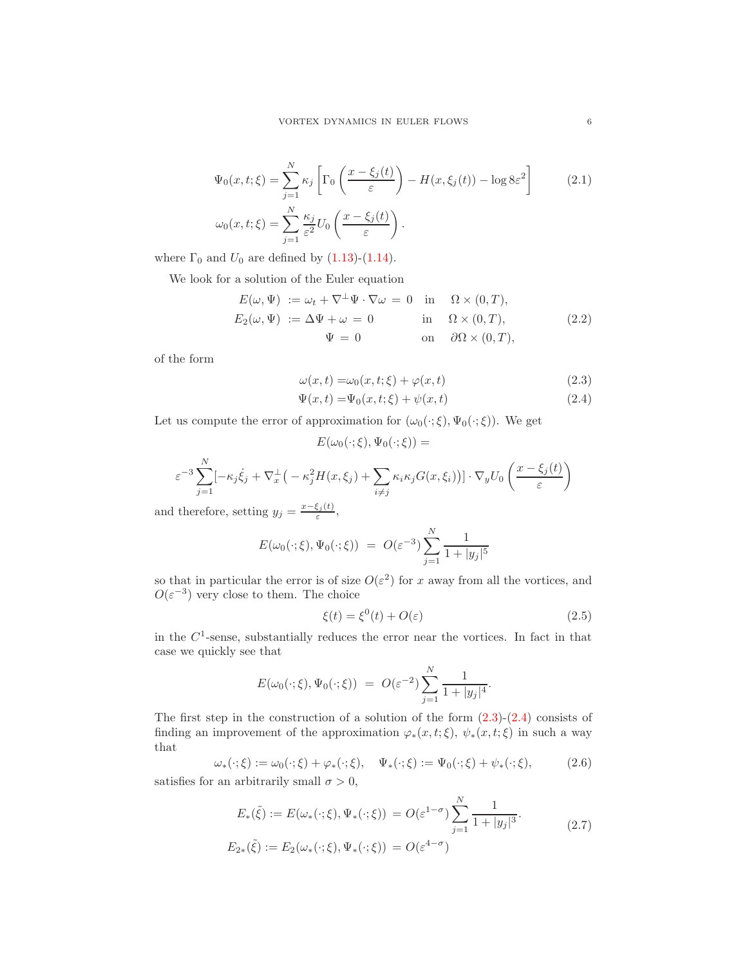$$
\Psi_0(x, t; \xi) = \sum_{j=1}^{N} \kappa_j \left[ \Gamma_0 \left( \frac{x - \xi_j(t)}{\varepsilon} \right) - H(x, \xi_j(t)) - \log 8\varepsilon^2 \right]
$$
\n
$$
\omega_0(x, t; \xi) = \sum_{j=1}^{N} \frac{\kappa_j}{\varepsilon^2} U_0 \left( \frac{x - \xi_j(t)}{\varepsilon} \right).
$$
\n(2.1)

where  $\Gamma_0$  and  $U_0$  are defined by [\(1.13\)](#page-4-0)-[\(1.14\)](#page-4-1).

We look for a solution of the Euler equation

$$
E(\omega, \Psi) := \omega_t + \nabla^{\perp} \Psi \cdot \nabla \omega = 0 \quad \text{in} \quad \Omega \times (0, T),
$$
  
\n
$$
E_2(\omega, \Psi) := \Delta \Psi + \omega = 0 \quad \text{in} \quad \Omega \times (0, T),
$$
  
\n
$$
\Psi = 0 \quad \text{on} \quad \partial \Omega \times (0, T),
$$
  
\n(2.2)

of the form

<span id="page-5-6"></span><span id="page-5-5"></span>
$$
\omega(x,t) = \omega_0(x,t;\xi) + \varphi(x,t) \tag{2.3}
$$

<span id="page-5-1"></span><span id="page-5-0"></span>
$$
\Psi(x,t) = \Psi_0(x,t;\xi) + \psi(x,t) \tag{2.4}
$$

Let us compute the error of approximation for  $(\omega_0(\cdot;\xi), \Psi_0(\cdot;\xi))$ . We get

$$
E(\omega_0(\cdot;\xi), \Psi_0(\cdot;\xi)) =
$$
  

$$
\varepsilon^{-3} \sum_{j=1}^N [-\kappa_j \dot{\xi}_j + \nabla_x^{\perp} \left( -\kappa_j^2 H(x,\xi_j) + \sum_{i \neq j} \kappa_i \kappa_j G(x,\xi_i) \right] \cdot \nabla_y U_0 \left( \frac{x - \xi_j(t)}{\varepsilon} \right)
$$

and therefore, setting  $y_j = \frac{x-\xi_j(t)}{\epsilon}$  $\frac{\varsigma_j(\iota)}{\varepsilon},$ 

$$
E(\omega_0(\cdot;\xi), \Psi_0(\cdot;\xi)) = O(\varepsilon^{-3}) \sum_{j=1}^N \frac{1}{1+|y_j|^5}
$$

so that in particular the error is of size  $O(\varepsilon^2)$  for x away from all the vortices, and  $O(\varepsilon^{-3})$  very close to them. The choice

<span id="page-5-2"></span>
$$
\xi(t) = \xi^0(t) + O(\varepsilon) \tag{2.5}
$$

in the  $C<sup>1</sup>$ -sense, substantially reduces the error near the vortices. In fact in that case we quickly see that

$$
E(\omega_0(\cdot;\xi), \Psi_0(\cdot;\xi)) = O(\varepsilon^{-2}) \sum_{j=1}^N \frac{1}{1+|y_j|^4}.
$$

The first step in the construction of a solution of the form  $(2.3)-(2.4)$  $(2.3)-(2.4)$  consists of finding an improvement of the approximation  $\varphi_*(x,t;\xi)$ ,  $\psi_*(x,t;\xi)$  in such a way that

<span id="page-5-3"></span>
$$
\omega_* (\cdot; \xi) := \omega_0 (\cdot; \xi) + \varphi_* (\cdot; \xi), \quad \Psi_* (\cdot; \xi) := \Psi_0 (\cdot; \xi) + \psi_* (\cdot; \xi), \tag{2.6}
$$

satisfies for an arbitrarily small  $\sigma > 0$ ,

<span id="page-5-4"></span>
$$
E_*(\tilde{\xi}) := E(\omega_*(\cdot; \xi), \Psi_*(\cdot; \xi)) = O(\varepsilon^{1-\sigma}) \sum_{j=1}^N \frac{1}{1+|y_j|^3}.
$$
  

$$
E_{2*}(\tilde{\xi}) := E_2(\omega_*(\cdot; \xi), \Psi_*(\cdot; \xi)) = O(\varepsilon^{4-\sigma})
$$
 (2.7)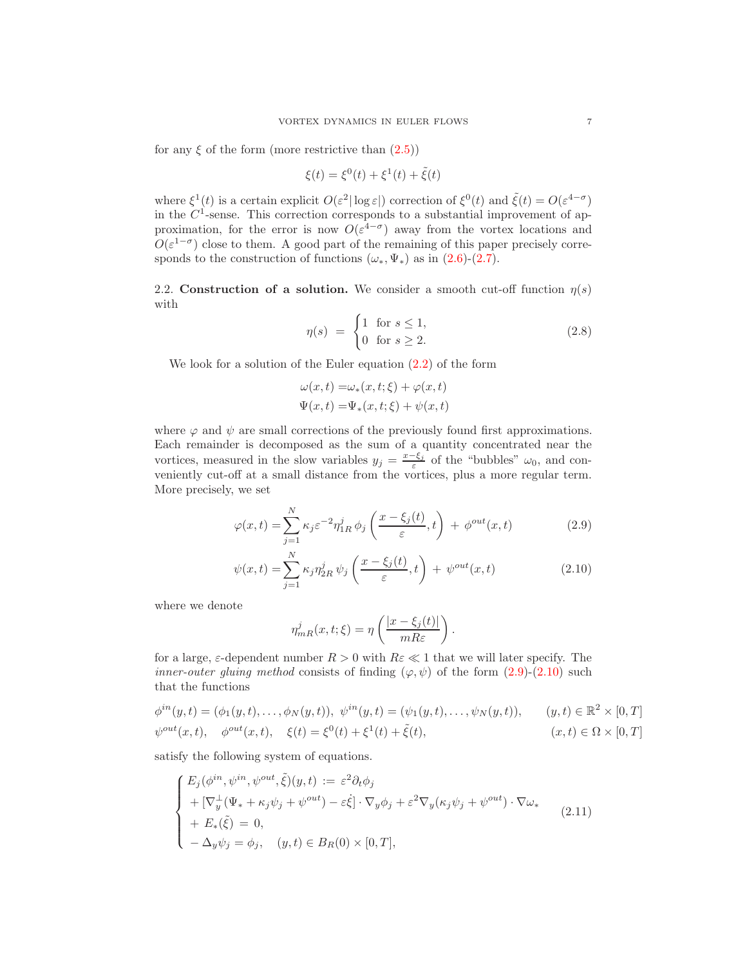for any  $\xi$  of the form (more restrictive than  $(2.5)$ )

$$
\xi(t) = \xi^{0}(t) + \xi^{1}(t) + \tilde{\xi}(t)
$$

where  $\xi^1(t)$  is a certain explicit  $O(\varepsilon^2 |\log \varepsilon|)$  correction of  $\xi^0(t)$  and  $\tilde{\xi}(t) = O(\varepsilon^{4-\sigma})$ in the  $C<sup>1</sup>$ -sense. This correction corresponds to a substantial improvement of approximation, for the error is now  $O(\varepsilon^{4-\sigma})$  away from the vortex locations and  $O(\varepsilon^{1-\sigma})$  close to them. A good part of the remaining of this paper precisely corresponds to the construction of functions  $(\omega_*, \Psi_*)$  as in  $(2.6)-(2.7)$  $(2.6)-(2.7)$ .

2.2. Construction of a solution. We consider a smooth cut-off function  $\eta(s)$ with

<span id="page-6-3"></span>
$$
\eta(s) = \begin{cases} 1 & \text{for } s \le 1, \\ 0 & \text{for } s \ge 2. \end{cases} \tag{2.8}
$$

We look for a solution of the Euler equation [\(2.2\)](#page-5-5) of the form

$$
\omega(x,t) = \omega_*(x,t;\xi) + \varphi(x,t)
$$
  

$$
\Psi(x,t) = \Psi_*(x,t;\xi) + \psi(x,t)
$$

where  $\varphi$  and  $\psi$  are small corrections of the previously found first approximations. Each remainder is decomposed as the sum of a quantity concentrated near the vortices, measured in the slow variables  $y_j = \frac{x-\xi_j}{\varepsilon}$  $\frac{-\varsigma_j}{\varepsilon}$  of the "bubbles"  $\omega_0$ , and conveniently cut-off at a small distance from the vortices, plus a more regular term. More precisely, we set

$$
\varphi(x,t) = \sum_{j=1}^{N} \kappa_j \varepsilon^{-2} \eta_{1R}^j \phi_j \left( \frac{x - \xi_j(t)}{\varepsilon}, t \right) + \phi^{out}(x,t) \tag{2.9}
$$

$$
\psi(x,t) = \sum_{j=1}^{N} \kappa_j \eta_{2R}^j \psi_j \left(\frac{x - \xi_j(t)}{\varepsilon}, t\right) + \psi^{out}(x,t)
$$
\n(2.10)

<span id="page-6-2"></span><span id="page-6-1"></span><span id="page-6-0"></span>.

where we denote

$$
\eta_{mR}^j(x,t;\xi) = \eta\left(\frac{|x-\xi_j(t)|}{mR\varepsilon}\right)
$$

for a large,  $\varepsilon$ -dependent number  $R > 0$  with  $R\varepsilon \ll 1$  that we will later specify. The *inner-outer gluing method* consists of finding  $(\varphi, \psi)$  of the form  $(2.9)-(2.10)$  $(2.9)-(2.10)$  such that the functions

$$
\phi^{in}(y,t) = (\phi_1(y,t), \dots, \phi_N(y,t)), \ \psi^{in}(y,t) = (\psi_1(y,t), \dots, \psi_N(y,t)), \qquad (y,t) \in \mathbb{R}^2 \times [0,T]
$$
  

$$
\psi^{out}(x,t), \quad \phi^{out}(x,t), \quad \xi(t) = \xi^0(t) + \xi^1(t) + \tilde{\xi}(t), \qquad (x,t) \in \Omega \times [0,T]
$$

satisfy the following system of equations.

$$
\begin{cases}\nE_j(\phi^{in}, \psi^{in}, \psi^{out}, \tilde{\xi})(y, t) := \varepsilon^2 \partial_t \phi_j \\
+ [\nabla_y^{\perp}(\Psi_* + \kappa_j \psi_j + \psi^{out}) - \varepsilon \dot{\xi}] \cdot \nabla_y \phi_j + \varepsilon^2 \nabla_y(\kappa_j \psi_j + \psi^{out}) \cdot \nabla \omega_* \\
+ E_*(\tilde{\xi}) = 0, \\
- \Delta_y \psi_j = \phi_j, \quad (y, t) \in B_R(0) \times [0, T],\n\end{cases} \tag{2.11}
$$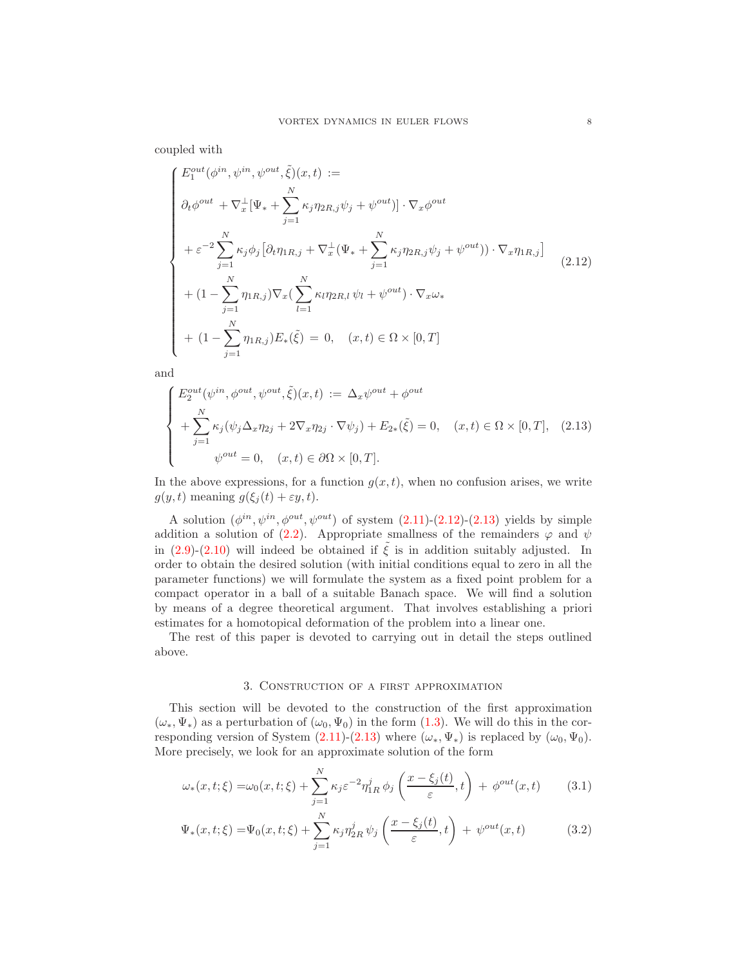coupled with

<span id="page-7-0"></span>
$$
\begin{cases}\nE_1^{out}(\phi^{in}, \psi^{in}, \psi^{out}, \tilde{\xi})(x, t) := \\
\partial_t \phi^{out} + \nabla_x^{\perp} [\Psi_* + \sum_{j=1}^N \kappa_j \eta_{2R,j} \psi_j + \psi^{out}] \cdot \nabla_x \phi^{out} \\
+ \varepsilon^{-2} \sum_{j=1}^N \kappa_j \phi_j [\partial_t \eta_{1R,j} + \nabla_x^{\perp} (\Psi_* + \sum_{j=1}^N \kappa_j \eta_{2R,j} \psi_j + \psi^{out}) \cdot \nabla_x \eta_{1R,j}] \\
+ (1 - \sum_{j=1}^N \eta_{1R,j}) \nabla_x (\sum_{l=1}^N \kappa_l \eta_{2R,l} \psi_l + \psi^{out}) \cdot \nabla_x \omega_* \\
+ (1 - \sum_{j=1}^N \eta_{1R,j}) E_*(\tilde{\xi}) = 0, \quad (x, t) \in \Omega \times [0, T]\n\end{cases} \tag{2.12}
$$

and

<span id="page-7-1"></span>
$$
\begin{cases}\nE_2^{out}(\psi^{in}, \phi^{out}, \psi^{out}, \tilde{\xi})(x, t) := \Delta_x \psi^{out} + \phi^{out} \\
+ \sum_{j=1}^N \kappa_j(\psi_j \Delta_x \eta_{2j} + 2\nabla_x \eta_{2j} \cdot \nabla \psi_j) + E_{2*}(\tilde{\xi}) = 0, \quad (x, t) \in \Omega \times [0, T], \quad (2.13) \\
\psi^{out} = 0, \quad (x, t) \in \partial\Omega \times [0, T].\n\end{cases}
$$

In the above expressions, for a function  $g(x, t)$ , when no confusion arises, we write  $g(y, t)$  meaning  $g(\xi_i(t) + \varepsilon y, t)$ .

A solution  $(\phi^{in}, \psi^{in}, \phi^{out}, \psi^{out})$  of system  $(2.11)-(2.12)-(2.13)$  $(2.11)-(2.12)-(2.13)$  $(2.11)-(2.12)-(2.13)$  $(2.11)-(2.12)-(2.13)$  yields by simple addition a solution of [\(2.2\)](#page-5-5). Appropriate smallness of the remainders  $\varphi$  and  $\psi$ in [\(2.9\)](#page-6-0)-[\(2.10\)](#page-6-1) will indeed be obtained if  $\tilde{\xi}$  is in addition suitably adjusted. In order to obtain the desired solution (with initial conditions equal to zero in all the parameter functions) we will formulate the system as a fixed point problem for a compact operator in a ball of a suitable Banach space. We will find a solution by means of a degree theoretical argument. That involves establishing a priori estimates for a homotopical deformation of the problem into a linear one.

<span id="page-7-4"></span>The rest of this paper is devoted to carrying out in detail the steps outlined above.

# <span id="page-7-3"></span><span id="page-7-2"></span>3. Construction of a first approximation

This section will be devoted to the construction of the first approximation  $(\omega_*, \Psi_*)$  as a perturbation of  $(\omega_0, \Psi_0)$  in the form  $(1.3)$ . We will do this in the cor-responding version of System [\(2.11\)](#page-6-2)-[\(2.13\)](#page-7-1) where  $(\omega_*, \Psi_*)$  is replaced by  $(\omega_0, \Psi_0)$ . More precisely, we look for an approximate solution of the form

$$
\omega_*(x,t;\xi) = \omega_0(x,t;\xi) + \sum_{j=1}^N \kappa_j \varepsilon^{-2} \eta_{1R}^j \phi_j \left( \frac{x - \xi_j(t)}{\varepsilon}, t \right) + \phi^{out}(x,t) \tag{3.1}
$$

$$
\Psi_*(x,t;\xi) = \Psi_0(x,t;\xi) + \sum_{j=1}^N \kappa_j \eta_{2R}^j \psi_j \left(\frac{x-\xi_j(t)}{\varepsilon},t\right) + \psi^{out}(x,t) \tag{3.2}
$$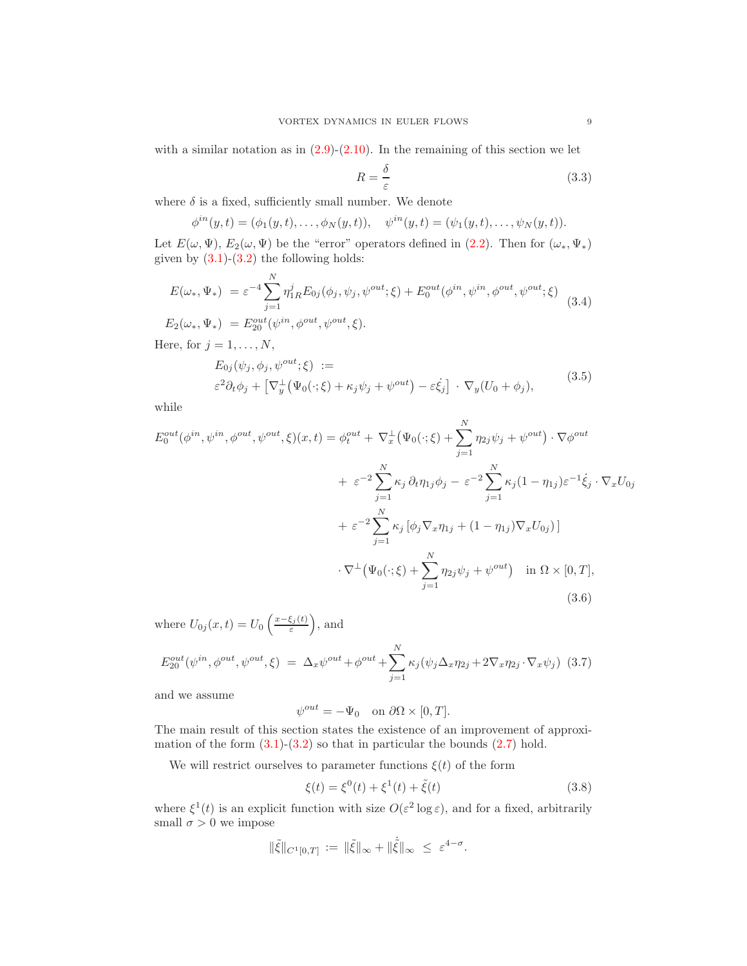with a similar notation as in  $(2.9)-(2.10)$  $(2.9)-(2.10)$ . In the remaining of this section we let

<span id="page-8-3"></span>
$$
R = \frac{\delta}{\varepsilon} \tag{3.3}
$$

where  $\delta$  is a fixed, sufficiently small number. We denote

 $\phi^{in}(y,t) = (\phi_1(y,t), \ldots, \phi_N(y,t)), \quad \psi^{in}(y,t) = (\psi_1(y,t), \ldots, \psi_N(y,t)).$ 

Let  $E(\omega, \Psi)$ ,  $E_2(\omega, \Psi)$  be the "error" operators defined in [\(2.2\)](#page-5-5). Then for  $(\omega_*, \Psi_*)$ given by  $(3.1)-(3.2)$  $(3.1)-(3.2)$  the following holds:

<span id="page-8-1"></span>
$$
E(\omega_*, \Psi_*) = \varepsilon^{-4} \sum_{j=1}^N \eta_{1R}^j E_{0j}(\phi_j, \psi_j, \psi^{out}; \xi) + E_0^{out}(\phi^{in}, \psi^{in}, \phi^{out}, \psi^{out}; \xi)
$$
  
\n
$$
E_2(\omega_*, \Psi_*) = E_{20}^{out}(\psi^{in}, \phi^{out}, \psi^{out}; \xi).
$$
  
\nHere, for  $j = 1, ..., N$ ,  
\n
$$
E_1(\phi_*, \phi_*, \psi^{out}; \xi) :=
$$

<span id="page-8-2"></span>
$$
E_{0j}(\psi_j, \phi_j, \psi^{out}; \xi) :=
$$
  
\n
$$
\varepsilon^2 \partial_t \phi_j + \left[ \nabla_y^{\perp} \left( \Psi_0(\cdot; \xi) + \kappa_j \psi_j + \psi^{out} \right) - \varepsilon \dot{\xi}_j \right] \cdot \nabla_y (U_0 + \phi_j),
$$
\n(3.5)

while

$$
E_0^{out}(\phi^{in}, \psi^{in}, \phi^{out}, \psi^{out}, \xi)(x, t) = \phi_t^{out} + \nabla_x^{\perp} (\Psi_0(\cdot; \xi) + \sum_{j=1}^N \eta_{2j} \psi_j + \psi^{out}) \cdot \nabla \phi^{out}
$$
  
+  $\varepsilon^{-2} \sum_{j=1}^N \kappa_j \partial_t \eta_{1j} \phi_j - \varepsilon^{-2} \sum_{j=1}^N \kappa_j (1 - \eta_{1j}) \varepsilon^{-1} \dot{\xi}_j \cdot \nabla_x U_{0j}$   
+  $\varepsilon^{-2} \sum_{j=1}^N \kappa_j [\phi_j \nabla_x \eta_{1j} + (1 - \eta_{1j}) \nabla_x U_{0j})]$   
 $\cdot \nabla^{\perp} (\Psi_0(\cdot; \xi) + \sum_{j=1}^N \eta_{2j} \psi_j + \psi^{out}) \quad \text{in } \Omega \times [0, T],$   
(3.6)

where  $U_{0j}(x,t) = U_0 \left( \frac{x-\xi_j(t)}{\varepsilon} \right)$  $(\frac{\xi_j(t)}{\varepsilon})$ , and

<span id="page-8-5"></span>
$$
E_{20}^{out}(\psi^{in}, \phi^{out}, \psi^{out}, \xi) = \Delta_x \psi^{out} + \phi^{out} + \sum_{j=1}^{N} \kappa_j (\psi_j \Delta_x \eta_{2j} + 2\nabla_x \eta_{2j} \cdot \nabla_x \psi_j)
$$
(3.7)

and we assume

<span id="page-8-4"></span>
$$
\psi^{out} = -\Psi_0 \quad \text{on } \partial\Omega \times [0, T].
$$

The main result of this section states the existence of an improvement of approximation of the form  $(3.1)-(3.2)$  $(3.1)-(3.2)$  so that in particular the bounds  $(2.7)$  hold.

We will restrict ourselves to parameter functions  $\xi(t)$  of the form

<span id="page-8-0"></span>
$$
\xi(t) = \xi^{0}(t) + \xi^{1}(t) + \tilde{\xi}(t)
$$
\n(3.8)

where  $\xi^1(t)$  is an explicit function with size  $O(\varepsilon^2 \log \varepsilon)$ , and for a fixed, arbitrarily small  $\sigma > 0$  we impose

$$
\|\tilde{\xi}\|_{C^1[0,T]} \, := \, \|\tilde{\xi}\|_{\infty} + \|\dot{\tilde{\xi}}\|_{\infty} \, \leq \, \varepsilon^{4-\sigma}.
$$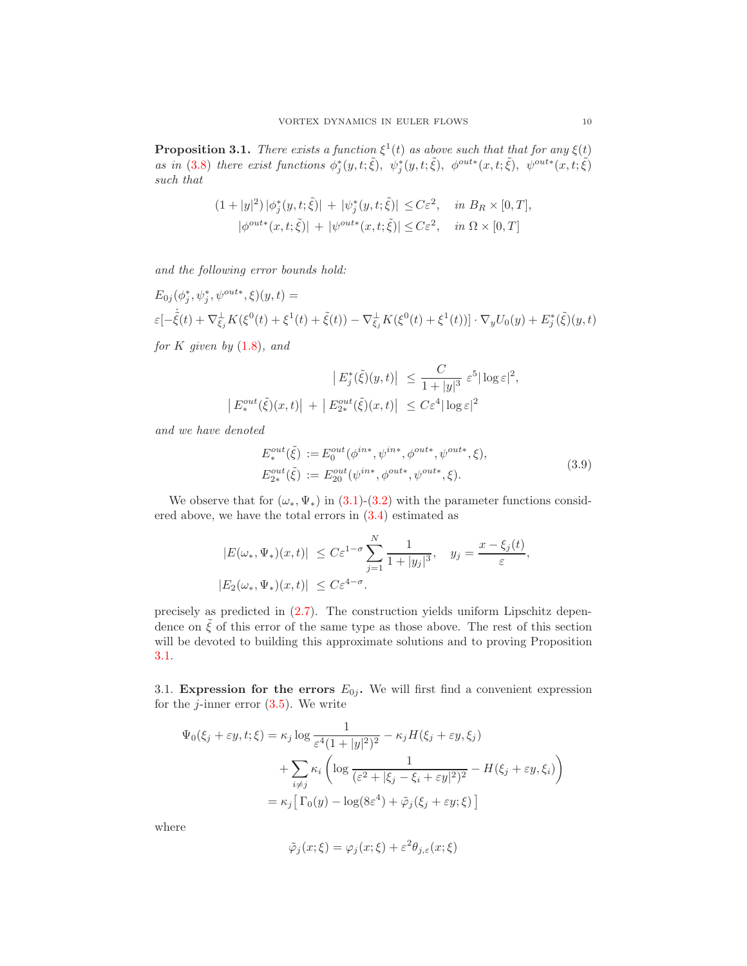<span id="page-9-0"></span>**Proposition 3.1.** There exists a function  $\xi^1(t)$  as above such that that for any  $\xi(t)$ as in (3.[8\)](#page-8-0) there exist functions  $\phi_j^*(y,t;\tilde{\xi}), \psi_j^*(y,t;\tilde{\xi}), \phi^{out*}(x,t;\tilde{\xi}), \psi^{out*}(x,t;\tilde{\xi})$ such that

$$
(1+|y|^2)|\phi_j^*(y,t;\tilde{\xi})| + |\psi_j^*(y,t;\tilde{\xi})| \le C\varepsilon^2, \quad \text{in } B_R \times [0,T],
$$
  

$$
|\phi^{out*}(x,t;\tilde{\xi})| + |\psi^{out*}(x,t;\tilde{\xi})| \le C\varepsilon^2, \quad \text{in } \Omega \times [0,T]
$$

and the following error bounds hold:

$$
E_{0j}(\phi_j^*, \psi_j^*, \psi^{out*}, \xi)(y, t) =
$$
  

$$
\varepsilon[-\dot{\xi}(t) + \nabla_{\xi_j}^{\perp} K(\xi^0(t) + \xi^1(t) + \tilde{\xi}(t)) - \nabla_{\xi_j}^{\perp} K(\xi^0(t) + \xi^1(t))] \cdot \nabla_y U_0(y) + E_j^*(\tilde{\xi})(y, t)
$$

for K given by  $(1.8)$  $(1.8)$ , and

$$
|E_j^*(\tilde{\xi})(y,t)| \leq \frac{C}{1+|y|^3} \varepsilon^5 |\log \varepsilon|^2,
$$
  

$$
|E_*^{out}(\tilde{\xi})(x,t)| + |E_{2*}^{out}(\tilde{\xi})(x,t)| \leq C\varepsilon^4 |\log \varepsilon|^2
$$

and we have denoted

<span id="page-9-1"></span>
$$
E^{out}_{*}(\tilde{\xi}) := E^{out}_{0}(\phi^{in*}, \psi^{in*}, \phi^{out*}, \psi^{out*}, \xi),
$$
  
\n
$$
E^{out}_{2*}(\tilde{\xi}) := E^{out}_{20}(\psi^{in*}, \phi^{out*}, \psi^{out*}, \xi).
$$
\n(3.9)

We observe that for  $(\omega_*, \Psi_*)$  in [\(3](#page-7-2).1)-[\(3](#page-7-3).2) with the parameter functions considered above, we have the total errors in (3.[4\)](#page-8-1) estimated as

$$
|E(\omega_*, \Psi_*)(x, t)| \le C\varepsilon^{1-\sigma} \sum_{j=1}^N \frac{1}{1+|y_j|^3}, \quad y_j = \frac{x-\xi_j(t)}{\varepsilon},
$$
  

$$
|E_2(\omega_*, \Psi_*)(x, t)| \le C\varepsilon^{4-\sigma}.
$$

precisely as predicted in [\(2.7\)](#page-5-4). The construction yields uniform Lipschitz dependence on  $\zeta$  of this error of the same type as those above. The rest of this section will be devoted to building this approximate solutions and to proving Proposition [3.1.](#page-9-0)

3.1. Expression for the errors  $E_{0j}$ . We will first find a convenient expression for the  $j$ -inner error  $(3.5)$ . We write

$$
\Psi_0(\xi_j + \varepsilon y, t; \xi) = \kappa_j \log \frac{1}{\varepsilon^4 (1 + |y|^2)^2} - \kappa_j H(\xi_j + \varepsilon y, \xi_j)
$$

$$
+ \sum_{i \neq j} \kappa_i \left( \log \frac{1}{(\varepsilon^2 + |\xi_j - \xi_i + \varepsilon y|^2)^2} - H(\xi_j + \varepsilon y, \xi_i) \right)
$$

$$
= \kappa_j \left[ \Gamma_0(y) - \log(8\varepsilon^4) + \tilde{\varphi}_j(\xi_j + \varepsilon y; \xi) \right]
$$

where

$$
\tilde{\varphi}_j(x;\xi) = \varphi_j(x;\xi) + \varepsilon^2 \theta_{j,\varepsilon}(x;\xi)
$$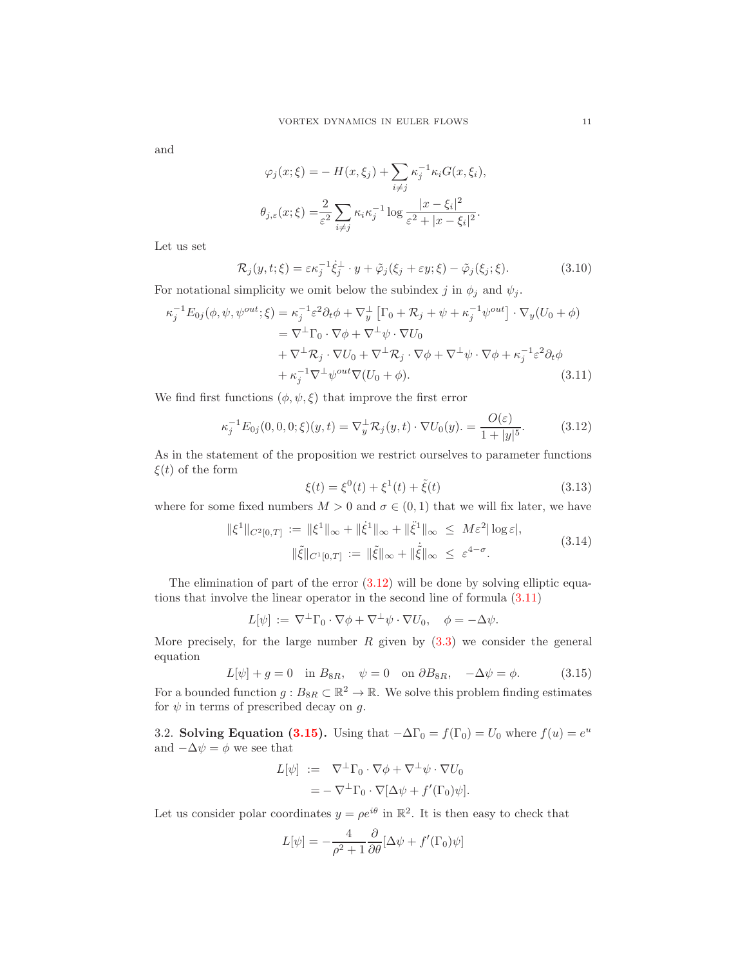and

<span id="page-10-3"></span>
$$
\varphi_j(x;\xi) = -H(x,\xi_j) + \sum_{i \neq j} \kappa_j^{-1} \kappa_i G(x,\xi_i),
$$

$$
\theta_{j,\varepsilon}(x;\xi) = \frac{2}{\varepsilon^2} \sum_{i \neq j} \kappa_i \kappa_j^{-1} \log \frac{|x-\xi_i|^2}{\varepsilon^2 + |x-\xi_i|^2}.
$$

Let us set

$$
\mathcal{R}_j(y, t; \xi) = \varepsilon \kappa_j^{-1} \dot{\xi}_j^{\perp} \cdot y + \tilde{\varphi}_j(\xi_j + \varepsilon y; \xi) - \tilde{\varphi}_j(\xi_j; \xi). \tag{3.10}
$$

For notational simplicity we omit below the subindex j in  $\phi_j$  and  $\psi_j$ .

$$
\kappa_j^{-1} E_{0j}(\phi, \psi, \psi^{out}; \xi) = \kappa_j^{-1} \varepsilon^2 \partial_t \phi + \nabla_y^{\perp} \left[ \Gamma_0 + \mathcal{R}_j + \psi + \kappa_j^{-1} \psi^{out} \right] \cdot \nabla_y (U_0 + \phi)
$$
  
\n
$$
= \nabla^{\perp} \Gamma_0 \cdot \nabla \phi + \nabla^{\perp} \psi \cdot \nabla U_0
$$
  
\n
$$
+ \nabla^{\perp} \mathcal{R}_j \cdot \nabla U_0 + \nabla^{\perp} \mathcal{R}_j \cdot \nabla \phi + \nabla^{\perp} \psi \cdot \nabla \phi + \kappa_j^{-1} \varepsilon^2 \partial_t \phi
$$
  
\n
$$
+ \kappa_j^{-1} \nabla^{\perp} \psi^{out} \nabla (U_0 + \phi).
$$
\n(3.11)

We find first functions  $(\phi, \psi, \xi)$  that improve the first error

<span id="page-10-0"></span>
$$
\kappa_j^{-1} E_{0j}(0,0,0;\xi)(y,t) = \nabla_y^{\perp} \mathcal{R}_j(y,t) \cdot \nabla U_0(y). = \frac{O(\varepsilon)}{1+|y|^5}.
$$
 (3.12)

As in the statement of the proposition we restrict ourselves to parameter functions  $\xi(t)$  of the form

<span id="page-10-4"></span><span id="page-10-1"></span>
$$
\xi(t) = \xi^{0}(t) + \xi^{1}(t) + \tilde{\xi}(t)
$$
\n(3.13)

where for some fixed numbers  $M > 0$  and  $\sigma \in (0, 1)$  that we will fix later, we have

$$
\|\xi^1\|_{C^2[0,T]} := \|\xi^1\|_{\infty} + \|\dot{\xi}^1\|_{\infty} + \|\ddot{\xi}^1\|_{\infty} \le M\varepsilon^2 |\log \varepsilon|,
$$
  

$$
\|\ddot{\xi}\|_{C^1[0,T]} := \|\ddot{\xi}\|_{\infty} + \|\dot{\ddot{\xi}}\|_{\infty} \le \varepsilon^{4-\sigma}.
$$
 (3.14)

The elimination of part of the error  $(3.12)$  will be done by solving elliptic equations that involve the linear operator in the second line of formula [\(3.11\)](#page-10-1)

$$
L[\psi] := \nabla^{\perp} \Gamma_0 \cdot \nabla \phi + \nabla^{\perp} \psi \cdot \nabla U_0, \quad \phi = -\Delta \psi.
$$

More precisely, for the large number  $R$  given by  $(3.3)$  we consider the general equation

<span id="page-10-2"></span>
$$
L[\psi] + g = 0 \quad \text{in } B_{8R}, \quad \psi = 0 \quad \text{on } \partial B_{8R}, \quad -\Delta \psi = \phi. \tag{3.15}
$$

For a bounded function  $g: B_{8R} \subset \mathbb{R}^2 \to \mathbb{R}$ . We solve this problem finding estimates for  $\psi$  in terms of prescribed decay on g.

3.2. Solving Equation [\(3.15\)](#page-10-2). Using that  $-\Delta\Gamma_0 = f(\Gamma_0) = U_0$  where  $f(u) = e^u$ and  $-\Delta \psi = \phi$  we see that

$$
L[\psi] := \nabla^{\perp} \Gamma_0 \cdot \nabla \phi + \nabla^{\perp} \psi \cdot \nabla U_0
$$
  
= -\n
$$
\nabla^{\perp} \Gamma_0 \cdot \nabla [\Delta \psi + f'(\Gamma_0) \psi].
$$

Let us consider polar coordinates  $y = \rho e^{i\theta}$  in  $\mathbb{R}^2$ . It is then easy to check that

$$
L[\psi] = -\frac{4}{\rho^2 + 1} \frac{\partial}{\partial \theta} [\Delta \psi + f'(\Gamma_0)\psi]
$$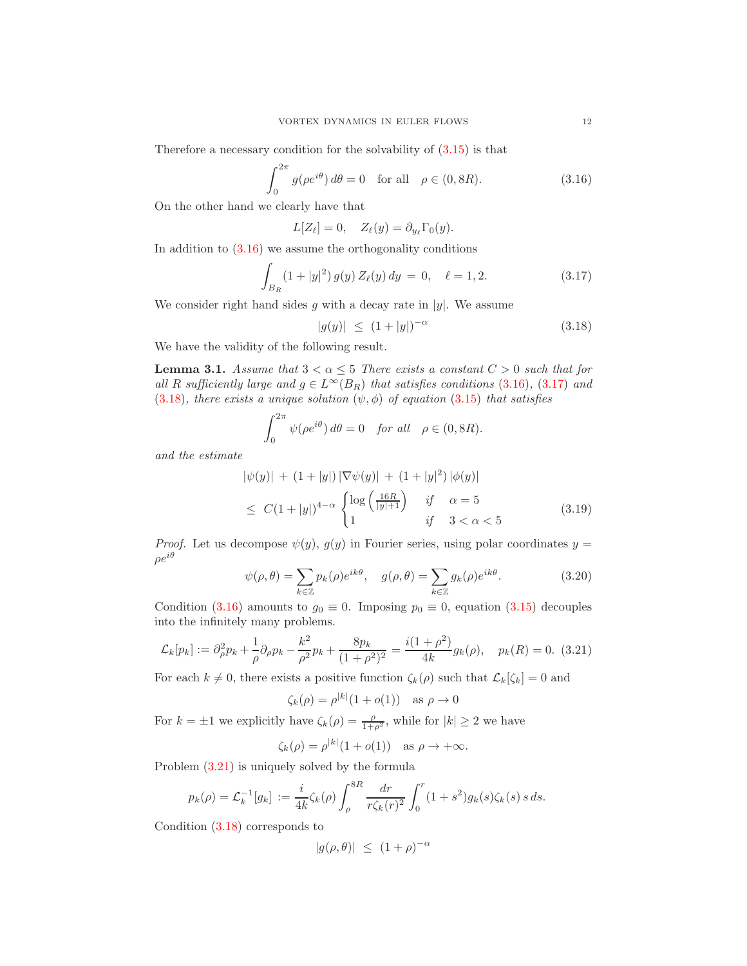Therefore a necessary condition for the solvability of  $(3.15)$  is that

<span id="page-11-0"></span>
$$
\int_0^{2\pi} g(\rho e^{i\theta}) d\theta = 0 \quad \text{for all} \quad \rho \in (0, 8R). \tag{3.16}
$$

On the other hand we clearly have that

$$
L[Z_{\ell}] = 0, \quad Z_{\ell}(y) = \partial_{y_{\ell}} \Gamma_0(y).
$$

In addition to  $(3.16)$  we assume the orthogonality conditions

<span id="page-11-1"></span>
$$
\int_{B_R} (1+|y|^2) g(y) Z_{\ell}(y) dy = 0, \quad \ell = 1, 2.
$$
 (3.17)

We consider right hand sides g with a decay rate in  $|y|$ . We assume

<span id="page-11-5"></span><span id="page-11-2"></span>
$$
|g(y)| \le (1+|y|)^{-\alpha} \tag{3.18}
$$

We have the validity of the following result.

<span id="page-11-4"></span>**Lemma 3.1.** Assume that  $3 < \alpha \leq 5$  There exists a constant  $C > 0$  such that for all R sufficiently large and  $g \in L^{\infty}(B_R)$  that satisfies conditions (3.[16\)](#page-11-0), (3.[17\)](#page-11-1) and (3.[18\)](#page-11-2), there exists a unique solution  $(\psi, \phi)$  of equation (3.[15\)](#page-10-2) that satisfies

$$
\int_0^{2\pi} \psi(\rho e^{i\theta}) d\theta = 0 \quad \text{for all} \quad \rho \in (0, 8R).
$$

and the estimate

$$
|\psi(y)| + (1+|y|)|\nabla\psi(y)| + (1+|y|^2)|\phi(y)|
$$
  
\n
$$
\leq C(1+|y|)^{4-\alpha} \begin{cases} \log\left(\frac{16R}{|y|+1}\right) & \text{if } \alpha = 5\\ 1 & \text{if } 3 < \alpha < 5 \end{cases}
$$
 (3.19)

*Proof.* Let us decompose  $\psi(y)$ ,  $g(y)$  in Fourier series, using polar coordinates  $y =$  $\rho e^{i\theta}$ 

<span id="page-11-6"></span>
$$
\psi(\rho,\theta) = \sum_{k \in \mathbb{Z}} p_k(\rho) e^{ik\theta}, \quad g(\rho,\theta) = \sum_{k \in \mathbb{Z}} g_k(\rho) e^{ik\theta}.
$$
 (3.20)

Condition [\(3.16\)](#page-11-0) amounts to  $g_0 \equiv 0$ . Imposing  $p_0 \equiv 0$ , equation [\(3.15\)](#page-10-2) decouples into the infinitely many problems.

<span id="page-11-3"></span>
$$
\mathcal{L}_k[p_k] := \partial_\rho^2 p_k + \frac{1}{\rho} \partial_\rho p_k - \frac{k^2}{\rho^2} p_k + \frac{8p_k}{(1+\rho^2)^2} = \frac{i(1+\rho^2)}{4k} g_k(\rho), \quad p_k(R) = 0. \tag{3.21}
$$

For each  $k \neq 0$ , there exists a positive function  $\zeta_k(\rho)$  such that  $\mathcal{L}_k[\zeta_k] = 0$  and

$$
\zeta_k(\rho) = \rho^{|k|}(1 + o(1)) \quad \text{as } \rho \to 0
$$

For  $k = \pm 1$  we explicitly have  $\zeta_k(\rho) = \frac{\rho}{1+\rho^2}$ , while for  $|k| \geq 2$  we have

 $\zeta_k(\rho) = \rho^{|k|}(1 + o(1)) \text{ as } \rho \to +\infty.$ 

Problem [\(3.21\)](#page-11-3) is uniquely solved by the formula

$$
p_k(\rho) = \mathcal{L}_k^{-1}[g_k] := \frac{i}{4k} \zeta_k(\rho) \int_{\rho}^{8R} \frac{dr}{r \zeta_k(r)^2} \int_0^r (1+s^2) g_k(s) \zeta_k(s) \, s \, ds.
$$

Condition [\(3.18\)](#page-11-2) corresponds to

$$
|g(\rho,\theta)|\ \leq\ (1+\rho)^{-\alpha}
$$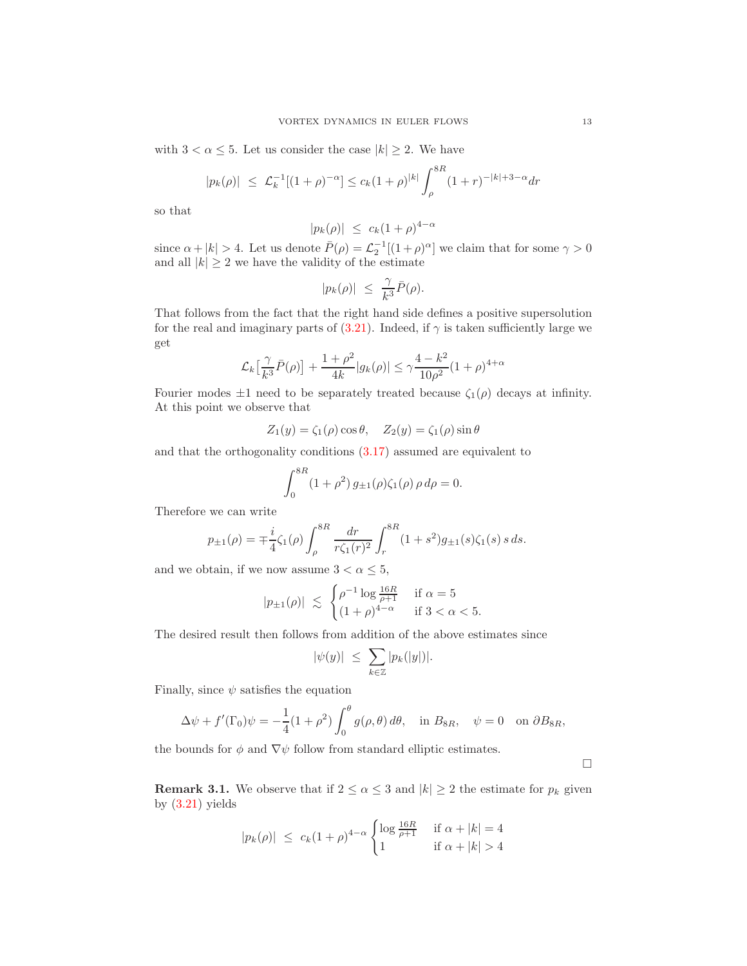with  $3 < \alpha \leq 5$ . Let us consider the case  $|k| \geq 2$ . We have

$$
|p_k(\rho)| \leq \mathcal{L}_k^{-1}[(1+\rho)^{-\alpha}] \leq c_k(1+\rho)^{|k|} \int_{\rho}^{8R} (1+r)^{-|k|+3-\alpha} dr
$$

so that

$$
|p_k(\rho)| \leq c_k (1+\rho)^{4-\alpha}
$$

since  $\alpha + |k| > 4$ . Let us denote  $\bar{P}(\rho) = \mathcal{L}_2^{-1}[(1+\rho)^{\alpha}]$  we claim that for some  $\gamma > 0$ and all  $|k| \geq 2$  we have the validity of the estimate

$$
|p_k(\rho)| \ \leq \ \frac{\gamma}{k^3} \bar{P}(\rho).
$$

That follows from the fact that the right hand side defines a positive supersolution for the real and imaginary parts of  $(3.21)$ . Indeed, if  $\gamma$  is taken sufficiently large we get

$$
\mathcal{L}_{k}\left[\frac{\gamma}{k^{3}}\bar{P}(\rho)\right] + \frac{1+\rho^{2}}{4k}|g_{k}(\rho)| \leq \gamma \frac{4-k^{2}}{10\rho^{2}}(1+\rho)^{4+\alpha}
$$

Fourier modes  $\pm 1$  need to be separately treated because  $\zeta_1(\rho)$  decays at infinity. At this point we observe that

$$
Z_1(y) = \zeta_1(\rho)\cos\theta, \quad Z_2(y) = \zeta_1(\rho)\sin\theta
$$

and that the orthogonality conditions [\(3.17\)](#page-11-1) assumed are equivalent to

$$
\int_0^{8R} (1+\rho^2) g_{\pm 1}(\rho) \zeta_1(\rho) \rho d\rho = 0.
$$

Therefore we can write

$$
p_{\pm 1}(\rho) = \mp \frac{i}{4} \zeta_1(\rho) \int_{\rho}^{8R} \frac{dr}{r \zeta_1(r)^2} \int_{r}^{8R} (1+s^2) g_{\pm 1}(s) \zeta_1(s) \, s \, ds.
$$

and we obtain, if we now assume  $3 < \alpha \leq 5$ ,

$$
|p_{\pm 1}(\rho)| \leq \begin{cases} \rho^{-1} \log \frac{16R}{\rho+1} & \text{if } \alpha = 5\\ (1+\rho)^{4-\alpha} & \text{if } 3 < \alpha < 5. \end{cases}
$$

The desired result then follows from addition of the above estimates since

$$
|\psi(y)| \leq \sum_{k \in \mathbb{Z}} |p_k(|y|)|.
$$

Finally, since  $\psi$  satisfies the equation

$$
\Delta \psi + f'(\Gamma_0)\psi = -\frac{1}{4}(1+\rho^2)\int_0^\theta g(\rho,\theta)\,d\theta, \quad \text{in } B_{8R}, \quad \psi = 0 \quad \text{on } \partial B_{8R},
$$

the bounds for  $\phi$  and  $\nabla \psi$  follow from standard elliptic estimates.

 $\Box$ 

<span id="page-12-0"></span>**Remark 3.1.** We observe that if  $2 \le \alpha \le 3$  and  $|k| \ge 2$  the estimate for  $p_k$  given by  $(3.21)$  yields

$$
|p_k(\rho)| \le c_k (1+\rho)^{4-\alpha} \begin{cases} \log \frac{16R}{\rho+1} & \text{if } \alpha+|k|=4\\ 1 & \text{if } \alpha+|k|>4 \end{cases}
$$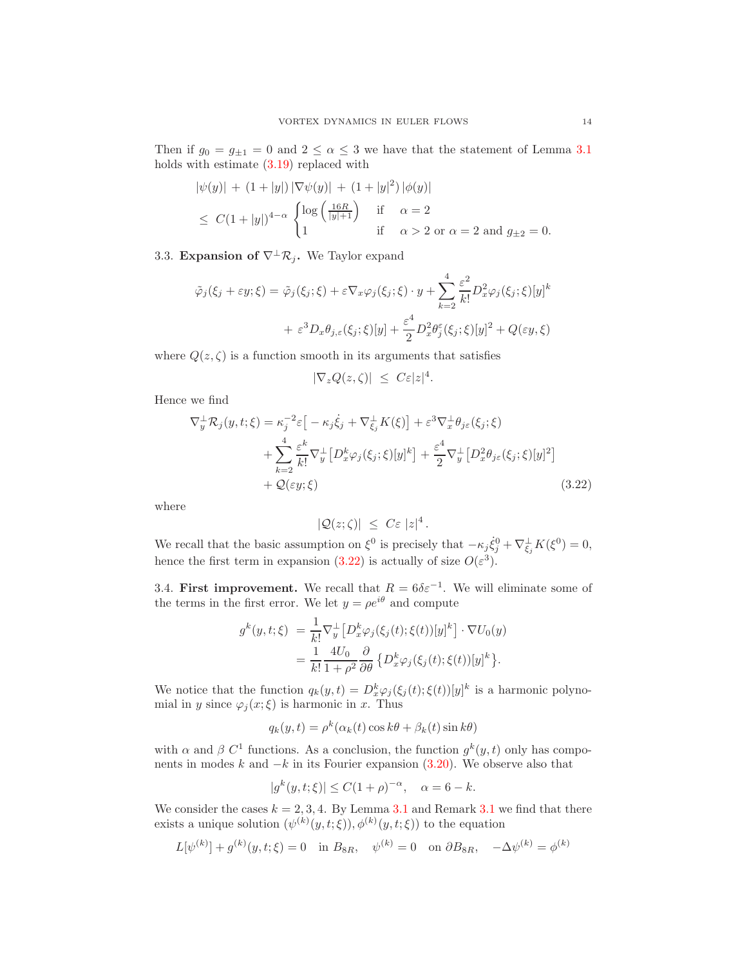Then if  $g_0 = g_{\pm 1} = 0$  and  $2 \le \alpha \le 3$  we have that the statement of Lemma [3.1](#page-11-4) holds with estimate [\(3.19\)](#page-11-5) replaced with

$$
|\psi(y)| + (1+|y|) |\nabla \psi(y)| + (1+|y|^2) |\phi(y)|
$$
  
\n
$$
\leq C(1+|y|)^{4-\alpha} \begin{cases} \log\left(\frac{16R}{|y|+1}\right) & \text{if } \alpha = 2\\ 1 & \text{if } \alpha > 2 \text{ or } \alpha = 2 \text{ and } g_{\pm 2} = 0. \end{cases}
$$

3.3. Expansion of  $\nabla^{\perp}\mathcal{R}_i$ . We Taylor expand

$$
\tilde{\varphi}_j(\xi_j + \varepsilon y; \xi) = \tilde{\varphi}_j(\xi_j; \xi) + \varepsilon \nabla_x \varphi_j(\xi_j; \xi) \cdot y + \sum_{k=2}^4 \frac{\varepsilon^2}{k!} D_x^2 \varphi_j(\xi_j; \xi) [y]^k
$$

$$
+ \varepsilon^3 D_x \theta_{j,\varepsilon}(\xi_j; \xi) [y] + \frac{\varepsilon^4}{2} D_x^2 \theta_j^{\varepsilon}(\xi_j; \xi) [y]^2 + Q(\varepsilon y, \xi)
$$

where  $Q(z, \zeta)$  is a function smooth in its arguments that satisfies

$$
|\nabla_z Q(z,\zeta)| \leq C\varepsilon |z|^4.
$$

Hence we find

$$
\nabla_y^{\perp} \mathcal{R}_j(y, t; \xi) = \kappa_j^{-2} \varepsilon \left[ -\kappa_j \dot{\xi}_j + \nabla_{\xi_j}^{\perp} K(\xi) \right] + \varepsilon^3 \nabla_x^{\perp} \theta_{j\varepsilon}(\xi_j; \xi)
$$
  
+ 
$$
\sum_{k=2}^4 \frac{\varepsilon^k}{k!} \nabla_y^{\perp} \left[ D_x^k \varphi_j(\xi_j; \xi) [y]^k \right] + \frac{\varepsilon^4}{2} \nabla_y^{\perp} \left[ D_x^2 \theta_{j\varepsilon}(\xi_j; \xi) [y]^2 \right]
$$
  
+ 
$$
\mathcal{Q}(\varepsilon y; \xi)
$$
(3.22)

where

<span id="page-13-0"></span>
$$
|Q(z;\zeta)| \leq C\varepsilon |z|^4.
$$

We recall that the basic assumption on  $\xi^0$  is precisely that  $-\kappa_j \dot{\xi}_j^0 + \nabla_{\xi_j}^{\perp} K(\xi^0) = 0$ , hence the first term in expansion [\(3.22\)](#page-13-0) is actually of size  $O(\varepsilon^3)$ .

3.4. First improvement. We recall that  $R = 6\delta \varepsilon^{-1}$ . We will eliminate some of the terms in the first error. We let  $y = \rho e^{i\theta}$  and compute

$$
g^k(y, t; \xi) = \frac{1}{k!} \nabla_y^{\perp} \left[ D_x^k \varphi_j(\xi_j(t); \xi(t)) [y]^k \right] \cdot \nabla U_0(y)
$$
  
= 
$$
\frac{1}{k!} \frac{4U_0}{1 + \rho^2} \frac{\partial}{\partial \theta} \left\{ D_x^k \varphi_j(\xi_j(t); \xi(t)) [y]^k \right\}.
$$

We notice that the function  $q_k(y,t) = D_x^k \varphi_j(\xi_j(t); \xi(t))[y]^k$  is a harmonic polynomial in y since  $\varphi_j(x;\xi)$  is harmonic in x. Thus

$$
q_k(y,t) = \rho^k(\alpha_k(t)\cos k\theta + \beta_k(t)\sin k\theta)
$$

with  $\alpha$  and  $\beta$  C<sup>1</sup> functions. As a conclusion, the function  $g^k(y, t)$  only has components in modes  $k$  and  $-k$  in its Fourier expansion [\(3.20\)](#page-11-6). We observe also that

$$
|g^k(y, t; \xi)| \le C(1+\rho)^{-\alpha}, \quad \alpha = 6 - k.
$$

We consider the cases  $k = 2, 3, 4$ . By Lemma [3.1](#page-12-0) and Remark 3.1 we find that there exists a unique solution  $(\psi^{(k)}(y,t;\xi)), \phi^{(k)}(y,t;\xi))$  to the equation

$$
L[\psi^{(k)}] + g^{(k)}(y, t; \xi) = 0 \text{ in } B_{8R}, \quad \psi^{(k)} = 0 \text{ on } \partial B_{8R}, \quad -\Delta \psi^{(k)} = \phi^{(k)}
$$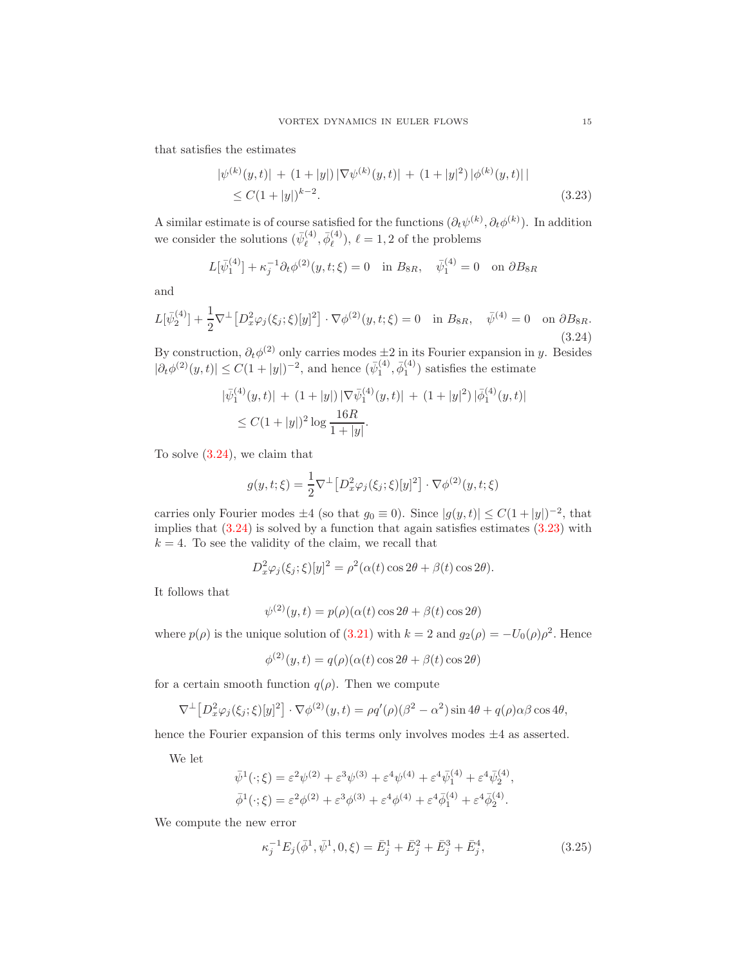that satisfies the estimates

<span id="page-14-1"></span>
$$
|\psi^{(k)}(y,t)| + (1+|y|) |\nabla \psi^{(k)}(y,t)| + (1+|y|^2) |\phi^{(k)}(y,t)|
$$
  
 
$$
\leq C(1+|y|)^{k-2}.
$$
 (3.23)

A similar estimate is of course satisfied for the functions  $(\partial_t \psi^{(k)}, \partial_t \phi^{(k)})$ . In addition we consider the solutions  $(\bar{\psi}_{\ell}^{(4)})$  $\bar{\phi}^{(4)}_\ell, \bar{\phi}^{(4)}_\ell$  $\ell^{(4)}$ ,  $\ell = 1, 2$  of the problems

$$
L[\bar{\psi}_1^{(4)}] + \kappa_j^{-1} \partial_t \phi^{(2)}(y, t; \xi) = 0 \quad \text{in } B_{8R}, \quad \bar{\psi}_1^{(4)} = 0 \quad \text{on } \partial B_{8R}
$$

and

<span id="page-14-0"></span>
$$
L[\bar{\psi}_2^{(4)}] + \frac{1}{2}\nabla^{\perp} [D_x^2 \varphi_j(\xi_j; \xi)[y]^2] \cdot \nabla \phi^{(2)}(y, t; \xi) = 0 \quad \text{in } B_{8R}, \quad \bar{\psi}^{(4)} = 0 \quad \text{on } \partial B_{8R}.
$$
\n(3.24)

By construction,  $\partial_t \phi^{(2)}$  only carries modes  $\pm 2$  in its Fourier expansion in y. Besides  $|\partial_t \phi^{(2)}(y, t)| \leq C(1+|y|)^{-2}$ , and hence  $(\bar{\psi}_1^{(4)}, \bar{\phi}_1^{(4)})$  satisfies the estimate

$$
\begin{aligned} |\bar{\psi}_1^{(4)}(y,t)| + (1+|y|) |\nabla \bar{\psi}_1^{(4)}(y,t)| + (1+|y|^2) |\bar{\phi}_1^{(4)}(y,t)| \\ &\le C(1+|y|)^2 \log \frac{16R}{1+|y|}. \end{aligned}
$$

To solve [\(3.24\)](#page-14-0), we claim that

$$
g(y, t; \xi) = \frac{1}{2} \nabla^{\perp} \left[ D_x^2 \varphi_j(\xi_j; \xi) [y]^2 \right] \cdot \nabla \phi^{(2)}(y, t; \xi)
$$

carries only Fourier modes  $\pm 4$  (so that  $g_0 \equiv 0$ ). Since  $|g(y,t)| \leq C(1+|y|)^{-2}$ , that implies that  $(3.24)$  is solved by a function that again satisfies estimates  $(3.23)$  with  $k = 4$ . To see the validity of the claim, we recall that

$$
D_x^2 \varphi_j(\xi_j; \xi)[y]^2 = \rho^2(\alpha(t) \cos 2\theta + \beta(t) \cos 2\theta).
$$

It follows that

$$
\psi^{(2)}(y,t) = p(\rho)(\alpha(t)\cos 2\theta + \beta(t)\cos 2\theta)
$$

where  $p(\rho)$  is the unique solution of  $(3.21)$  with  $k = 2$  and  $g_2(\rho) = -U_0(\rho)\rho^2$ . Hence

$$
\phi^{(2)}(y,t) = q(\rho)(\alpha(t)\cos 2\theta + \beta(t)\cos 2\theta)
$$

for a certain smooth function  $q(\rho)$ . Then we compute

$$
\nabla^{\perp} [D_x^2 \varphi_j(\xi_j; \xi)[y]^2] \cdot \nabla \phi^{(2)}(y, t) = \rho q'(\rho)(\beta^2 - \alpha^2) \sin 4\theta + q(\rho)\alpha\beta \cos 4\theta,
$$

hence the Fourier expansion of this terms only involves modes  $\pm 4$  as asserted.

We let

$$
\bar{\psi}^{1}(\cdot;\xi) = \varepsilon^{2}\psi^{(2)} + \varepsilon^{3}\psi^{(3)} + \varepsilon^{4}\psi^{(4)} + \varepsilon^{4}\bar{\psi}_{1}^{(4)} + \varepsilon^{4}\bar{\psi}_{2}^{(4)},
$$
  

$$
\bar{\phi}^{1}(\cdot;\xi) = \varepsilon^{2}\phi^{(2)} + \varepsilon^{3}\phi^{(3)} + \varepsilon^{4}\phi^{(4)} + \varepsilon^{4}\bar{\phi}_{1}^{(4)} + \varepsilon^{4}\bar{\phi}_{2}^{(4)}.
$$

We compute the new error

<span id="page-14-2"></span>
$$
\kappa_j^{-1} E_j(\bar{\phi}^1, \bar{\psi}^1, 0, \xi) = \bar{E}_j^1 + \bar{E}_j^2 + \bar{E}_j^3 + \bar{E}_j^4, \tag{3.25}
$$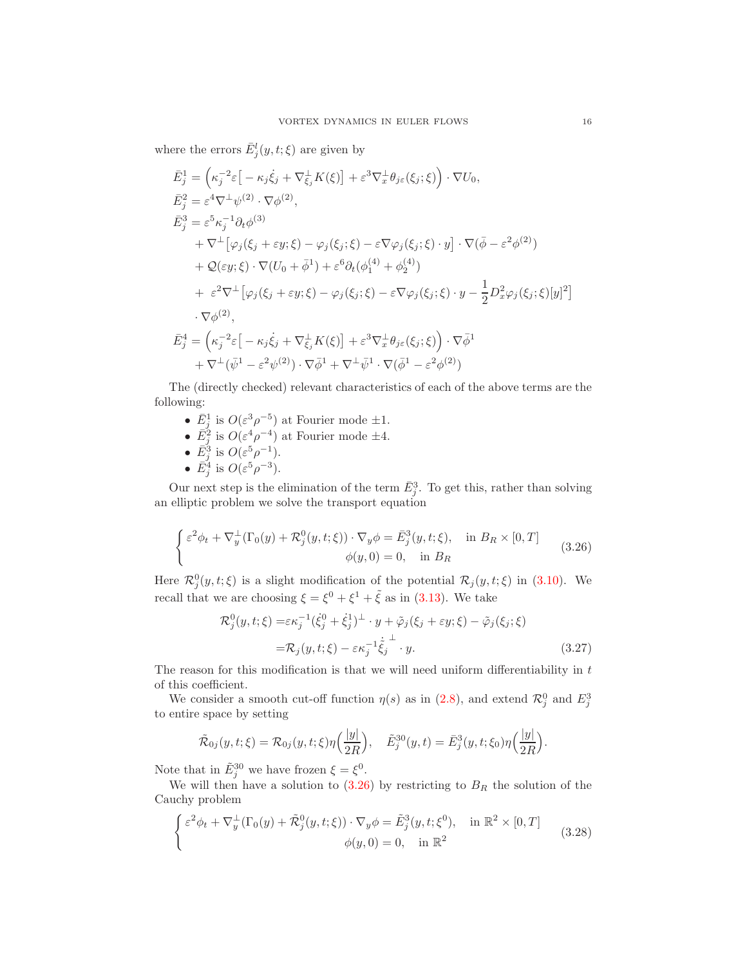where the errors  $\bar{E}^l_j(y, t; \xi)$  are given by

$$
\begin{split}\n\bar{E}_{j}^{1} &= \left(\kappa_{j}^{-2}\varepsilon\right[-\kappa_{j}\dot{\xi}_{j} + \nabla_{\xi_{j}}^{\perp}K(\xi)] + \varepsilon^{3}\nabla_{x}^{\perp}\theta_{j\varepsilon}(\xi_{j};\xi)\right) \cdot \nabla U_{0}, \\
\bar{E}_{j}^{2} &= \varepsilon^{4}\nabla^{\perp}\psi^{(2)} \cdot \nabla\phi^{(2)}, \\
\bar{E}_{j}^{3} &= \varepsilon^{5}\kappa_{j}^{-1}\partial_{t}\phi^{(3)} \\
&+ \nabla^{\perp}\big[\varphi_{j}(\xi_{j} + \varepsilon y;\xi) - \varphi_{j}(\xi_{j};\xi) - \varepsilon\nabla\varphi_{j}(\xi_{j};\xi) \cdot y\big] \cdot \nabla(\bar{\phi} - \varepsilon^{2}\phi^{(2)}) \\
&+ \mathcal{Q}(\varepsilon y;\xi) \cdot \nabla(U_{0} + \bar{\phi}^{1}) + \varepsilon^{6}\partial_{t}(\phi_{1}^{(4)} + \phi_{2}^{(4)}) \\
&+ \varepsilon^{2}\nabla^{\perp}\big[\varphi_{j}(\xi_{j} + \varepsilon y;\xi) - \varphi_{j}(\xi_{j};\xi) - \varepsilon\nabla\varphi_{j}(\xi_{j};\xi) \cdot y - \frac{1}{2}D_{x}^{2}\varphi_{j}(\xi_{j};\xi)[y]^{2}\big] \\
&\cdot \nabla\phi^{(2)}, \\
\bar{E}_{j}^{4} &= \left(\kappa_{j}^{-2}\varepsilon\big[-\kappa_{j}\dot{\xi}_{j} + \nabla_{\xi_{j}}^{\perp}K(\xi)\big] + \varepsilon^{3}\nabla_{x}^{\perp}\theta_{j\varepsilon}(\xi_{j};\xi)\right) \cdot \nabla\bar{\phi}^{1} \\
&+ \nabla^{\perp}(\bar{\psi}^{1} - \varepsilon^{2}\psi^{(2)}) \cdot \nabla\bar{\phi}^{1} + \nabla^{\perp}\bar{\psi}^{1} \cdot \nabla(\bar{\phi}^{1} - \varepsilon^{2}\phi^{(2)})\n\end{split}
$$

The (directly checked) relevant characteristics of each of the above terms are the following:

- $\bar{E}_j^1$  is  $O(\varepsilon^3 \rho^{-5})$  at Fourier mode  $\pm 1$ .
- $\overline{E}_j^2$  is  $O(\varepsilon^4 \rho^{-4})$  at Fourier mode  $\pm 4$ .
- $\bar{E}_j^3$  is  $O(\varepsilon^5 \rho^{-1}).$
- $\bar{E}_j^4$  is  $O(\varepsilon^5 \rho^{-3})$ .

Our next step is the elimination of the term  $\bar{E}_j^3$ . To get this, rather than solving an elliptic problem we solve the transport equation

$$
\begin{cases} \varepsilon^2 \phi_t + \nabla_y^{\perp} (\Gamma_0(y) + \mathcal{R}_j^0(y, t; \xi)) \cdot \nabla_y \phi = \bar{E}_j^3(y, t; \xi), & \text{in } B_R \times [0, T] \\ \phi(y, 0) = 0, & \text{in } B_R \end{cases}
$$
 (3.26)

Here  $\mathcal{R}_{j}^{0}(y,t;\xi)$  is a slight modification of the potential  $\mathcal{R}_{j}(y,t;\xi)$  in [\(3.10\)](#page-10-3). We recall that we are choosing  $\xi = \xi^0 + \xi^1 + \tilde{\xi}$  as in [\(3.13\)](#page-10-4). We take

<span id="page-15-2"></span><span id="page-15-0"></span>
$$
\mathcal{R}_j^0(y, t; \xi) = \varepsilon \kappa_j^{-1} (\dot{\xi}_j^0 + \dot{\xi}_j^1)^{\perp} \cdot y + \tilde{\varphi}_j(\xi_j + \varepsilon y; \xi) - \tilde{\varphi}_j(\xi_j; \xi)
$$
  
=  $\mathcal{R}_j(y, t; \xi) - \varepsilon \kappa_j^{-1} \dot{\xi}_j^{\perp} \cdot y.$  (3.27)

The reason for this modification is that we will need uniform differentiability in  $t$ of this coefficient.

We consider a smooth cut-off function  $\eta(s)$  as in [\(2.8\)](#page-6-3), and extend  $\mathcal{R}_j^0$  and  $E_j^3$ to entire space by setting

<span id="page-15-1"></span>
$$
\tilde{\mathcal{R}}_{0j}(y,t;\xi) = \mathcal{R}_{0j}(y,t;\xi)\eta\left(\frac{|y|}{2R}\right), \quad \tilde{E}_j^{30}(y,t) = \bar{E}_j^{3}(y,t;\xi_0)\eta\left(\frac{|y|}{2R}\right).
$$

Note that in  $\tilde{E}_j^{30}$  we have frozen  $\xi = \xi^0$ .

We will then have a solution to  $(3.26)$  by restricting to  $B_R$  the solution of the Cauchy problem

$$
\begin{cases} \varepsilon^2 \phi_t + \nabla_y^{\perp} (\Gamma_0(y) + \tilde{\mathcal{R}}_j^0(y, t; \xi)) \cdot \nabla_y \phi = \tilde{E}_j^3(y, t; \xi^0), & \text{in } \mathbb{R}^2 \times [0, T] \\ \phi(y, 0) = 0, & \text{in } \mathbb{R}^2 \end{cases}
$$
 (3.28)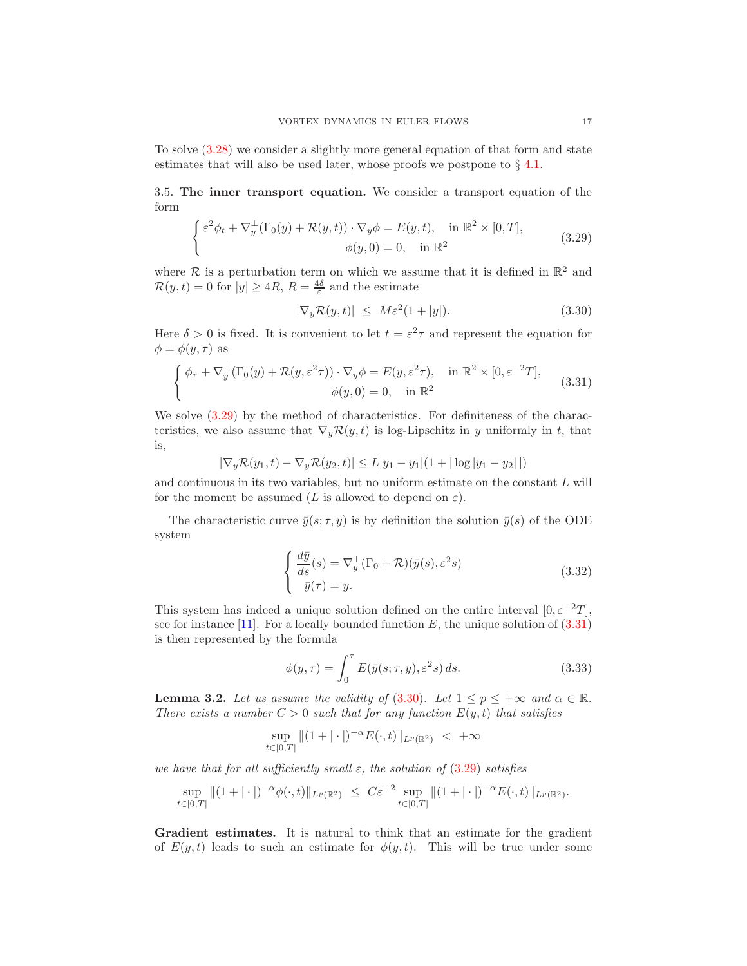To solve [\(3.28\)](#page-15-1) we consider a slightly more general equation of that form and state estimates that will also be used later, whose proofs we postpone to  $\S$  [4.1.](#page-23-0)

<span id="page-16-4"></span>3.5. The inner transport equation. We consider a transport equation of the form

$$
\begin{cases} \varepsilon^2 \phi_t + \nabla_y^{\perp} (\Gamma_0(y) + \mathcal{R}(y, t)) \cdot \nabla_y \phi = E(y, t), & \text{in } \mathbb{R}^2 \times [0, T], \\ \phi(y, 0) = 0, & \text{in } \mathbb{R}^2 \end{cases}
$$
 (3.29)

where  $\mathcal R$  is a perturbation term on which we assume that it is defined in  $\mathbb R^2$  and  $\mathcal{R}(y,t) = 0$  for  $|y| \ge 4R$ ,  $R = \frac{4\delta}{\varepsilon}$  and the estimate

<span id="page-16-2"></span><span id="page-16-1"></span><span id="page-16-0"></span>
$$
|\nabla_y \mathcal{R}(y, t)| \leq M \varepsilon^2 (1 + |y|). \tag{3.30}
$$

Here  $\delta > 0$  is fixed. It is convenient to let  $t = \varepsilon^2 \tau$  and represent the equation for  $\phi = \phi(y, \tau)$  as

$$
\begin{cases}\n\phi_{\tau} + \nabla_y^{\perp}(\Gamma_0(y) + \mathcal{R}(y, \varepsilon^2 \tau)) \cdot \nabla_y \phi = E(y, \varepsilon^2 \tau), & \text{in } \mathbb{R}^2 \times [0, \varepsilon^{-2} T], \\
\phi(y, 0) = 0, & \text{in } \mathbb{R}^2\n\end{cases}
$$
\n(3.31)

We solve  $(3.29)$  by the method of characteristics. For definiteness of the characteristics, we also assume that  $\nabla_y \mathcal{R}(y, t)$  is log-Lipschitz in y uniformly in t, that is,

$$
|\nabla_y \mathcal{R}(y_1, t) - \nabla_y \mathcal{R}(y_2, t)| \le L|y_1 - y_1|(1 + |\log|y_1 - y_2||)
$$

and continuous in its two variables, but no uniform estimate on the constant  $L$  will for the moment be assumed (L is allowed to depend on  $\varepsilon$ ).

The characteristic curve  $\bar{y}(s; \tau, y)$  is by definition the solution  $\bar{y}(s)$  of the ODE system

<span id="page-16-5"></span>
$$
\begin{cases}\n\frac{d\bar{y}}{ds}(s) = \nabla_y^{\perp}(\Gamma_0 + \mathcal{R})(\bar{y}(s), \varepsilon^2 s) \\
\bar{y}(\tau) = y.\n\end{cases}
$$
\n(3.32)

This system has indeed a unique solution defined on the entire interval  $[0, \varepsilon^{-2}T]$ , see for instance [\[11\]](#page-52-17). For a locally bounded function  $E$ , the unique solution of  $(3.31)$ is then represented by the formula

<span id="page-16-6"></span>
$$
\phi(y,\tau) = \int_0^{\tau} E(\bar{y}(s;\tau,y), \varepsilon^2 s) ds.
$$
\n(3.33)

<span id="page-16-3"></span>**Lemma 3.2.** Let us assume the validity of (3.[30\)](#page-16-2). Let  $1 \le p \le +\infty$  and  $\alpha \in \mathbb{R}$ . There exists a number  $C > 0$  such that for any function  $E(y, t)$  that satisfies

$$
\sup_{t \in [0,T]} \|(1+|\cdot|)^{-\alpha} E(\cdot,t)\|_{L^p(\mathbb{R}^2)} < +\infty
$$

we have that for all sufficiently small  $\varepsilon$ , the solution of  $(3.29)$  $(3.29)$  satisfies

$$
\sup_{t\in[0,T]}\|(1+|\cdot|)^{-\alpha}\phi(\cdot,t)\|_{L^p(\mathbb{R}^2)}\ \le\ C\varepsilon^{-2}\sup_{t\in[0,T]}\|(1+|\cdot|)^{-\alpha}E(\cdot,t)\|_{L^p(\mathbb{R}^2)}.
$$

Gradient estimates. It is natural to think that an estimate for the gradient of  $E(y, t)$  leads to such an estimate for  $\phi(y, t)$ . This will be true under some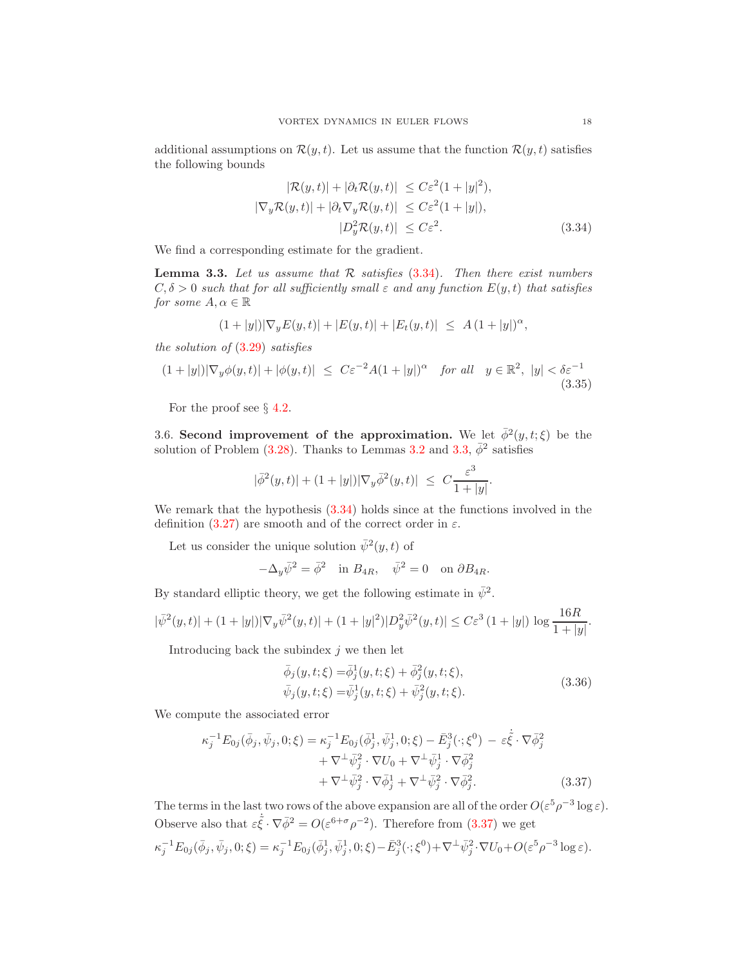additional assumptions on  $\mathcal{R}(y, t)$ . Let us assume that the function  $\mathcal{R}(y, t)$  satisfies the following bounds

<span id="page-17-0"></span>
$$
|\mathcal{R}(y,t)| + |\partial_t \mathcal{R}(y,t)| \le C\varepsilon^2 (1+|y|^2),
$$
  
\n
$$
|\nabla_y \mathcal{R}(y,t)| + |\partial_t \nabla_y \mathcal{R}(y,t)| \le C\varepsilon^2 (1+|y|),
$$
  
\n
$$
|D_y^2 \mathcal{R}(y,t)| \le C\varepsilon^2.
$$
\n(3.34)

We find a corresponding estimate for the gradient.

<span id="page-17-1"></span>**Lemma 3.3.** Let us assume that  $\mathcal{R}$  satisfies (3.[34\)](#page-17-0). Then there exist numbers  $C, \delta > 0$  such that for all sufficiently small  $\varepsilon$  and any function  $E(y, t)$  that satisfies for some  $A, \alpha \in \mathbb{R}$ 

$$
(1+|y|)|\nabla_y E(y,t)|+|E(y,t)|+|E_t(y,t)| \leq A(1+|y|)^{\alpha},
$$

the solution of  $(3.29)$  $(3.29)$  satisfies

<span id="page-17-4"></span>
$$
(1+|y|)|\nabla_y \phi(y,t)|+|\phi(y,t)| \le C\varepsilon^{-2}A(1+|y|)^\alpha \quad \text{for all} \quad y \in \mathbb{R}^2, \ |y| < \delta\varepsilon^{-1} \tag{3.35}
$$

For the proof see  $\S 4.2$ .

3.6. Second improvement of the approximation. We let  $\bar{\phi}^2(y, t; \xi)$  be the solution of Problem [\(3.28\)](#page-15-1). Thanks to Lemmas [3.2](#page-16-3) and [3.3,](#page-17-1)  $\bar{\phi}^2$  satisfies

$$
|\bar{\phi}^2(y,t)| + (1+|y|)|\nabla_y \bar{\phi}^2(y,t)| \leq C \frac{\varepsilon^3}{1+|y|}.
$$

We remark that the hypothesis  $(3.34)$  holds since at the functions involved in the definition  $(3.27)$  are smooth and of the correct order in  $\varepsilon$ .

Let us consider the unique solution  $\bar{\psi}^2(y,t)$  of

$$
-\Delta_y \bar{\psi}^2 = \bar{\phi}^2 \quad \text{in } B_{4R}, \quad \bar{\psi}^2 = 0 \quad \text{on } \partial B_{4R}.
$$

By standard elliptic theory, we get the following estimate in  $\bar{\psi}^2$ .

$$
|\bar{\psi}^{2}(y,t)| + (1+|y|)|\nabla_{y}\bar{\psi}^{2}(y,t)| + (1+|y|^{2})|D_{y}^{2}\bar{\psi}^{2}(y,t)| \leq C\varepsilon^{3} (1+|y|) \log \frac{16R}{1+|y|}
$$

Introducing back the subindex  $j$  we then let

<span id="page-17-3"></span>
$$
\bar{\phi}_j(y, t; \xi) = \bar{\phi}_j^1(y, t; \xi) + \bar{\phi}_j^2(y, t; \xi), \n\bar{\psi}_j(y, t; \xi) = \bar{\psi}_j^1(y, t; \xi) + \bar{\psi}_j^2(y, t; \xi).
$$
\n(3.36)

We compute the associated error

$$
\kappa_j^{-1} E_{0j}(\bar{\phi}_j, \bar{\psi}_j, 0; \xi) = \kappa_j^{-1} E_{0j}(\bar{\phi}_j^1, \bar{\psi}_j^1, 0; \xi) - \bar{E}_j^3(\cdot; \xi^0) - \varepsilon \dot{\xi} \cdot \nabla \bar{\phi}_j^2 \n+ \nabla^{\perp} \bar{\psi}_j^2 \cdot \nabla U_0 + \nabla^{\perp} \bar{\psi}_j^1 \cdot \nabla \bar{\phi}_j^2 \n+ \nabla^{\perp} \bar{\psi}_j^2 \cdot \nabla \bar{\phi}_j^1 + \nabla^{\perp} \bar{\psi}_j^2 \cdot \nabla \bar{\phi}_j^2.
$$
\n(3.37)

The terms in the last two rows of the above expansion are all of the order  $O(\varepsilon^5 \rho^{-3} \log \varepsilon)$ . Observe also that  $\varepsilon \dot{\tilde{\xi}} \cdot \nabla \bar{\phi}^2 = O(\varepsilon^{6+\sigma} \rho^{-2})$ . Therefore from [\(3.37\)](#page-17-2) we get  $\kappa_j^{-1} E_{0j}(\bar{\phi}_j, \bar{\psi}_j, 0; \xi) = \kappa_j^{-1} E_{0j}(\bar{\phi}_j^1, \bar{\psi}_j^1, 0; \xi) - \bar{E}_j^3(\cdot; \xi^0) + \nabla^{\perp} \bar{\psi}_j^2 \cdot \nabla U_0 + O(\varepsilon^5 \rho^{-3} \log \varepsilon).$ 

<span id="page-17-2"></span>.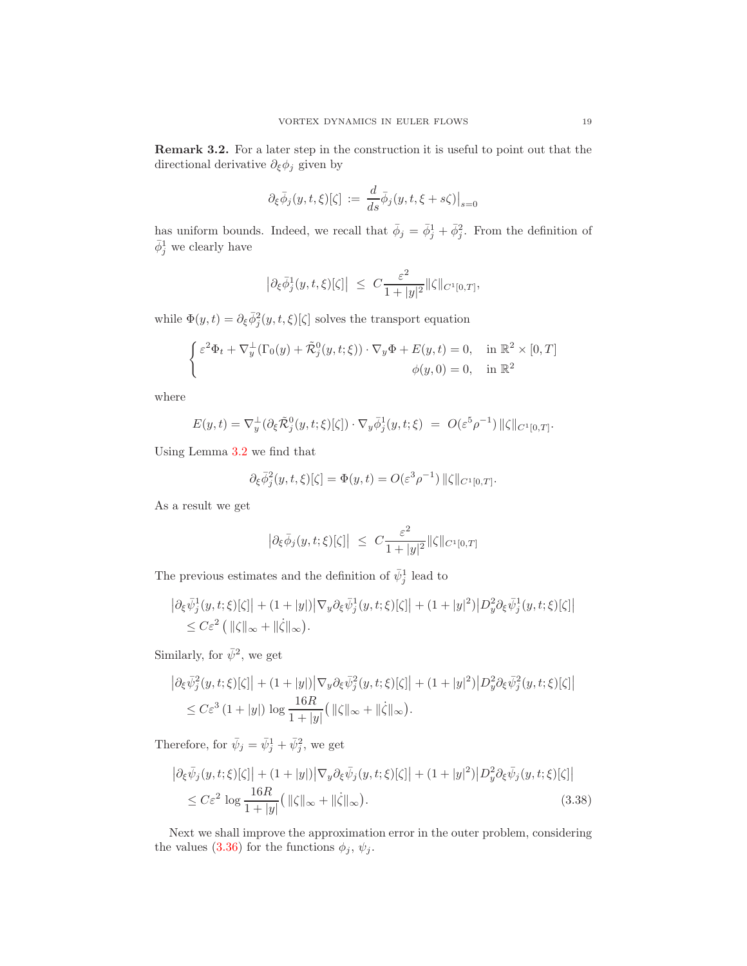Remark 3.2. For a later step in the construction it is useful to point out that the directional derivative  $\partial_{\xi}\phi_j$  given by

$$
\partial_{\xi}\bar{\phi}_j(y,t,\xi)[\zeta] := \frac{d}{ds}\bar{\phi}_j(y,t,\xi+s\zeta)\big|_{s=0}
$$

has uniform bounds. Indeed, we recall that  $\bar{\phi}_j = \bar{\phi}_j^1 + \bar{\phi}_j^2$ . From the definition of  $\bar{\phi}_j^1$  we clearly have

$$
\left|\partial_{\xi}\bar{\phi}_j^1(y,t,\xi)[\zeta]\right| \ \leq \ C\frac{\varepsilon^2}{1+|y|^2}\|\zeta\|_{C^1[0,T]},
$$

while  $\Phi(y, t) = \partial_{\xi} \bar{\phi}_{j}^{2}(y, t, \xi)[\zeta]$  solves the transport equation

$$
\begin{cases} \varepsilon^2 \Phi_t + \nabla_y^{\perp} (\Gamma_0(y) + \tilde{\mathcal{R}}_j^0(y, t; \xi)) \cdot \nabla_y \Phi + E(y, t) = 0, & \text{in } \mathbb{R}^2 \times [0, T] \\ \phi(y, 0) = 0, & \text{in } \mathbb{R}^2 \end{cases}
$$

where

$$
E(y,t) = \nabla_y^{\perp} (\partial_{\xi} \tilde{\mathcal{R}}_j^0(y,t;\xi)[\zeta]) \cdot \nabla_y \bar{\phi}_j^1(y,t;\xi) = O(\varepsilon^5 \rho^{-1}) \, \|\zeta\|_{C^1[0,T]}.
$$

Using Lemma [3.2](#page-16-3) we find that

$$
\partial_{\xi}\overline{\phi}_{j}^{2}(y,t,\xi)[\zeta]=\Phi(y,t)=O(\varepsilon^{3}\rho^{-1})\,\|\zeta\|_{C^{1}[0,T]}.
$$

As a result we get

$$
\left|\partial_{\xi}\bar{\phi}_j(y,t;\xi)[\zeta]\right| \ \leq \ C\frac{\varepsilon^2}{1+|y|^2}\|\zeta\|_{C^1[0,T]}
$$

The previous estimates and the definition of  $\bar{\psi}_j^1$  lead to

$$
\begin{aligned} \left| \partial_{\xi} \bar{\psi}_j^1(y, t; \xi) [\zeta] \right| &+ (1 + |y|) \left| \nabla_y \partial_{\xi} \bar{\psi}_j^1(y, t; \xi) [\zeta] \right| + (1 + |y|^2) \left| D_y^2 \partial_{\xi} \bar{\psi}_j^1(y, t; \xi) [\zeta] \right| \\ &\leq C \varepsilon^2 \left( \| \zeta \|_{\infty} + \| \dot{\zeta} \|_{\infty} \right). \end{aligned}
$$

Similarly, for  $\bar{\psi}^2$ , we get

$$
\begin{split} \left| \partial_{\xi} \bar{\psi}_{j}^{2}(y,t;\xi)[\zeta] \right| &+ (1+|y|) \left| \nabla_{y} \partial_{\xi} \bar{\psi}_{j}^{2}(y,t;\xi)[\zeta] \right| + (1+|y|^{2}) \left| D_{y}^{2} \partial_{\xi} \bar{\psi}_{j}^{2}(y,t;\xi)[\zeta] \right| \\ &\leq C \varepsilon^{3} \left( 1+|y| \right) \log \frac{16R}{1+|y|} \left( \| \zeta \|_{\infty} + \| \dot{\zeta} \|_{\infty} \right). \end{split}
$$

Therefore, for  $\bar{\psi}_j = \bar{\psi}_j^1 + \bar{\psi}_j^2$ , we get

<span id="page-18-0"></span>
$$
\left| \partial_{\xi} \bar{\psi}_j(y, t; \xi) [\zeta] \right| + (1 + |y|) \left| \nabla_y \partial_{\xi} \bar{\psi}_j(y, t; \xi) [\zeta] \right| + (1 + |y|^2) \left| D_y^2 \partial_{\xi} \bar{\psi}_j(y, t; \xi) [\zeta] \right|
$$
  

$$
\leq C \varepsilon^2 \log \frac{16R}{1 + |y|} \left( \| \zeta \|_{\infty} + \| \dot{\zeta} \|_{\infty} \right).
$$
 (3.38)

Next we shall improve the approximation error in the outer problem, considering the values [\(3.36\)](#page-17-3) for the functions  $\phi_j$ ,  $\psi_j$ .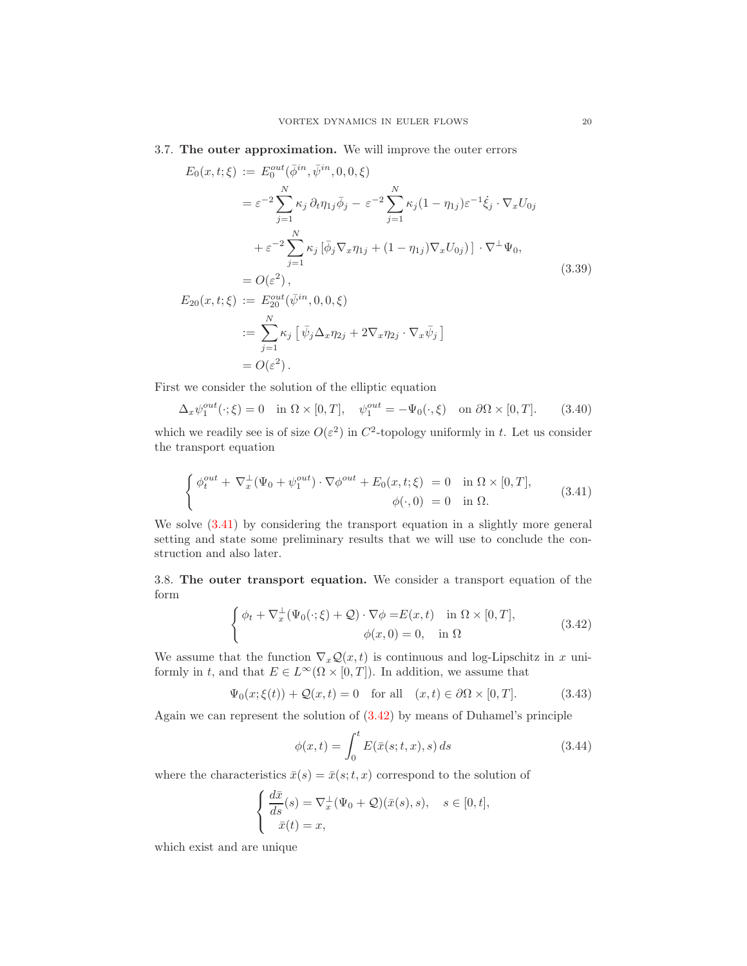# <span id="page-19-5"></span>3.7. The outer approximation. We will improve the outer errors

<span id="page-19-3"></span>
$$
E_0(x, t; \xi) := E_0^{out}(\bar{\phi}^{in}, \bar{\psi}^{in}, 0, 0, \xi)
$$
  
\n
$$
= \varepsilon^{-2} \sum_{j=1}^N \kappa_j \partial_t \eta_{1j} \bar{\phi}_j - \varepsilon^{-2} \sum_{j=1}^N \kappa_j (1 - \eta_{1j}) \varepsilon^{-1} \dot{\xi}_j \cdot \nabla_x U_{0j}
$$
  
\n
$$
+ \varepsilon^{-2} \sum_{j=1}^N \kappa_j [\bar{\phi}_j \nabla_x \eta_{1j} + (1 - \eta_{1j}) \nabla_x U_{0j})] \cdot \nabla^{\perp} \Psi_0,
$$
  
\n
$$
= O(\varepsilon^2),
$$
  
\n
$$
E_{20}(x, t; \xi) := E_{20}^{out}(\bar{\psi}^{in}, 0, 0, \xi)
$$
  
\n
$$
:= \sum_{j=1}^N \kappa_j [\bar{\psi}_j \Delta_x \eta_{2j} + 2 \nabla_x \eta_{2j} \cdot \nabla_x \bar{\psi}_j]
$$
  
\n
$$
= O(\varepsilon^2).
$$
  
\n(3.39)

First we consider the solution of the elliptic equation

<span id="page-19-4"></span>
$$
\Delta_x \psi_1^{out}(\cdot;\xi) = 0 \quad \text{in } \Omega \times [0,T], \quad \psi_1^{out} = -\Psi_0(\cdot,\xi) \quad \text{on } \partial\Omega \times [0,T]. \tag{3.40}
$$

which we readily see is of size  $O(\varepsilon^2)$  in  $C^2$ -topology uniformly in t. Let us consider the transport equation

<span id="page-19-0"></span>
$$
\begin{cases}\n\phi_t^{out} + \nabla_x^{\perp}(\Psi_0 + \psi_1^{out}) \cdot \nabla \phi^{out} + E_0(x, t; \xi) = 0 & \text{in } \Omega \times [0, T], \\
\phi(\cdot, 0) = 0 & \text{in } \Omega.\n\end{cases}
$$
\n(3.41)

We solve [\(3.41\)](#page-19-0) by considering the transport equation in a slightly more general setting and state some preliminary results that we will use to conclude the construction and also later.

3.8. The outer transport equation. We consider a transport equation of the form

$$
\begin{cases}\n\phi_t + \nabla_x^{\perp}(\Psi_0(\cdot;\xi) + \mathcal{Q}) \cdot \nabla \phi = E(x,t) & \text{in } \Omega \times [0,T], \\
\phi(x,0) = 0, & \text{in } \Omega\n\end{cases}
$$
\n(3.42)

We assume that the function  $\nabla_x \mathcal{Q}(x, t)$  is continuous and log-Lipschitz in x uniformly in t, and that  $E \in L^{\infty}(\Omega \times [0, T])$ . In addition, we assume that

<span id="page-19-6"></span>
$$
\Psi_0(x;\xi(t)) + \mathcal{Q}(x,t) = 0 \quad \text{for all} \quad (x,t) \in \partial\Omega \times [0,T]. \tag{3.43}
$$

Again we can represent the solution of [\(3.42\)](#page-19-1) by means of Duhamel's principle

<span id="page-19-2"></span><span id="page-19-1"></span>
$$
\phi(x,t) = \int_0^t E(\bar{x}(s;t,x),s) ds \qquad (3.44)
$$

where the characteristics  $\bar{x}(s) = \bar{x}(s; t, x)$  correspond to the solution of

$$
\begin{cases}\n\frac{d\bar{x}}{ds}(s) = \nabla_x^{\perp}(\Psi_0 + \mathcal{Q})(\bar{x}(s), s), \quad s \in [0, t], \\
\bar{x}(t) = x,\n\end{cases}
$$

which exist and are unique

 $\mathbb{R}^{\mathbb{Z}}$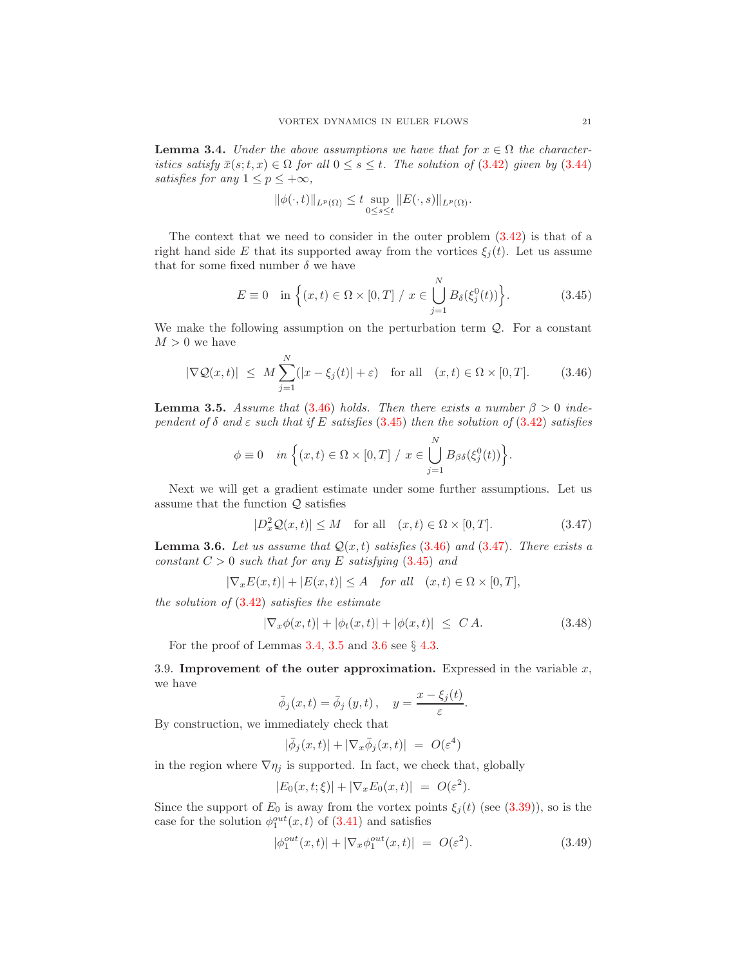<span id="page-20-3"></span>**Lemma 3.4.** Under the above assumptions we have that for  $x \in \Omega$  the characteristics satisfy  $\bar{x}(s;t,x) \in \Omega$  for all  $0 \leq s \leq t$ . The solution of (3.[42\)](#page-19-1) given by (3.[44\)](#page-19-2) satisfies for any  $1 \leq p \leq +\infty$ ,

$$
\|\phi(\cdot,t)\|_{L^p(\Omega)} \leq t \sup_{0\leq s\leq t}\|E(\cdot,s)\|_{L^p(\Omega)}.
$$

The context that we need to consider in the outer problem [\(3.42\)](#page-19-1) is that of a right hand side E that its supported away from the vortices  $\xi_j(t)$ . Let us assume that for some fixed number  $\delta$  we have

<span id="page-20-1"></span>
$$
E \equiv 0 \quad \text{in } \left\{ (x, t) \in \Omega \times [0, T] \middle| \middle| x \in \bigcup_{j=1}^{N} B_{\delta}(\xi_j^0(t)) \right\}.
$$
 (3.45)

We make the following assumption on the perturbation term  $\mathcal{Q}$ . For a constant  $M>0$  we have

<span id="page-20-0"></span>
$$
|\nabla \mathcal{Q}(x,t)| \leq M \sum_{j=1}^{N} (|x - \xi_j(t)| + \varepsilon) \quad \text{for all} \quad (x,t) \in \Omega \times [0,T]. \tag{3.46}
$$

<span id="page-20-4"></span>**Lemma 3.5.** Assume that (3.[46\)](#page-20-0) holds. Then there exists a number  $\beta > 0$  independent of  $\delta$  and  $\varepsilon$  such that if E satisfies (3.[45\)](#page-20-1) then the solution of (3.[42\)](#page-19-1) satisfies

$$
\phi \equiv 0 \quad in \left\{ (x,t) \in \Omega \times [0,T] \middle| x \in \bigcup_{j=1}^{N} B_{\beta\delta}(\xi_j^0(t)) \right\}.
$$

Next we will get a gradient estimate under some further assumptions. Let us assume that the function  $Q$  satisfies

<span id="page-20-2"></span>
$$
|D_x^2 \mathcal{Q}(x, t)| \le M \quad \text{for all} \quad (x, t) \in \Omega \times [0, T]. \tag{3.47}
$$

<span id="page-20-5"></span>**Lemma 3.6.** Let us assume that  $Q(x,t)$  satisfies (3.[46\)](#page-20-0) and (3.[47\)](#page-20-2). There exists a constant  $C > 0$  such that for any E satisfying  $(3.45)$  $(3.45)$  and

$$
|\nabla_x E(x,t)| + |E(x,t)| \le A \quad for all \quad (x,t) \in \Omega \times [0,T],
$$

the solution of  $(3.42)$  $(3.42)$  satisfies the estimate

<span id="page-20-7"></span>
$$
|\nabla_x \phi(x, t)| + |\phi_t(x, t)| + |\phi(x, t)| \le C A.
$$
 (3.48)

For the proof of Lemmas  $3.4$ ,  $3.5$  and  $3.6$  see  $\S$  [4.3.](#page-28-0)

3.9. Improvement of the outer approximation. Expressed in the variable  $x$ , we have

$$
\bar{\phi}_j(x,t) = \bar{\phi}_j(y,t), \quad y = \frac{x - \xi_j(t)}{\varepsilon}.
$$

By construction, we immediately check that

$$
|\bar{\phi}_j(x,t)| + |\nabla_x \bar{\phi}_j(x,t)| = O(\varepsilon^4)
$$

in the region where  $\nabla \eta_j$  is supported. In fact, we check that, globally

$$
|E_0(x,t;\xi)| + |\nabla_x E_0(x,t)| = O(\varepsilon^2).
$$

Since the support of  $E_0$  is away from the vortex points  $\xi_i(t)$  (see [\(3.39\)](#page-19-3)), so is the case for the solution  $\phi_1^{out}(x,t)$  of  $(3.41)$  and satisfies

<span id="page-20-6"></span>
$$
|\phi_1^{out}(x,t)| + |\nabla_x \phi_1^{out}(x,t)| = O(\varepsilon^2). \tag{3.49}
$$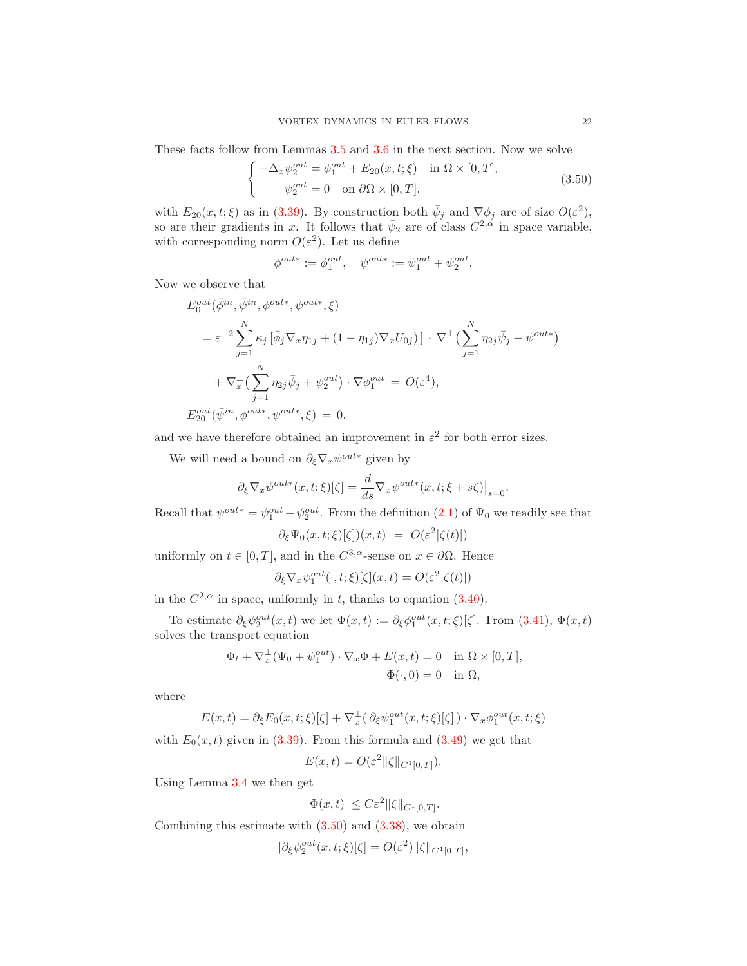These facts follow from Lemmas [3.5](#page-20-4) and [3.6](#page-20-5) in the next section. Now we solve

$$
\begin{cases}\n-\Delta_x \psi_2^{out} = \phi_1^{out} + E_{20}(x, t; \xi) & \text{in } \Omega \times [0, T], \\
\psi_2^{out} = 0 & \text{on } \partial \Omega \times [0, T].\n\end{cases}
$$
\n(3.50)

with  $E_{20}(x,t;\xi)$  as in [\(3.39\)](#page-19-3). By construction both  $\bar{\psi}_j$  and  $\nabla \phi_j$  are of size  $O(\varepsilon^2)$ , so are their gradients in x. It follows that  $\bar{\psi}_2$  are of class  $C^{2,\alpha}$  in space variable, with corresponding norm  $O(\varepsilon^2)$ . Let us define

<span id="page-21-0"></span>
$$
\phi^{out*} := \phi_1^{out}, \quad \psi^{out*} := \psi_1^{out} + \psi_2^{out}.
$$

Now we observe that

$$
E_0^{out}(\bar{\phi}^{in}, \bar{\psi}^{in}, \phi^{out*}, \psi^{out*}, \xi)
$$
  
=  $\varepsilon^{-2} \sum_{j=1}^N \kappa_j [\bar{\phi}_j \nabla_x \eta_{1j} + (1 - \eta_{1j}) \nabla_x U_{0j})] \cdot \nabla^{\perp} \left( \sum_{j=1}^N \eta_{2j} \bar{\psi}_j + \psi^{out*} \right)$   
+  $\nabla^{\perp}_x \left( \sum_{j=1}^N \eta_{2j} \bar{\psi}_j + \psi^{out}_{2} \right) \cdot \nabla \phi_1^{out} = O(\varepsilon^4),$   
 $E_{20}^{out}(\bar{\psi}^{in}, \phi^{out*}, \psi^{out*}, \xi) = 0.$ 

and we have therefore obtained an improvement in  $\varepsilon^2$  for both error sizes.

We will need a bound on  $\partial_{\xi} \nabla_x \psi^{out*}$  given by

$$
\partial_{\xi} \nabla_x \psi^{out*}(x, t; \xi)[\zeta] = \frac{d}{ds} \nabla_x \psi^{out*}(x, t; \xi + s\zeta)|_{s=0}.
$$

Recall that  $\psi^{out*} = \psi_1^{out} + \psi_2^{out}$ . From the definition  $(2.1)$  of  $\Psi_0$  we readily see that

$$
\partial_{\xi} \Psi_0(x, t; \xi)[\zeta])(x, t) = O(\varepsilon^2 |\zeta(t)|)
$$

uniformly on  $t \in [0, T]$ , and in the  $C^{3,\alpha}$ -sense on  $x \in \partial\Omega$ . Hence

$$
\partial_{\xi} \nabla_x \psi_1^{out}(\cdot, t; \xi)[\zeta](x, t) = O(\varepsilon^2 |\zeta(t)|)
$$

in the  $C^{2,\alpha}$  in space, uniformly in t, thanks to equation  $(3.40)$ .

To estimate  $\partial_{\xi} \psi_2^{out}(x,t)$  we let  $\Phi(x,t) := \partial_{\xi} \phi_1^{out}(x,t;\xi)[\zeta]$ . From  $(3.41)$ ,  $\Phi(x,t)$ solves the transport equation

$$
\Phi_t + \nabla_x^{\perp} (\Psi_0 + \psi_1^{out}) \cdot \nabla_x \Phi + E(x, t) = 0 \quad \text{in } \Omega \times [0, T],
$$
  

$$
\Phi(\cdot, 0) = 0 \quad \text{in } \Omega,
$$

where

$$
E(x,t) = \partial_{\xi} E_0(x,t;\xi)[\zeta] + \nabla_x^{\perp}(\partial_{\xi} \psi_1^{out}(x,t;\xi)[\zeta]) \cdot \nabla_x \phi_1^{out}(x,t;\xi)
$$

with  $E_0(x, t)$  given in [\(3.39\)](#page-19-3). From this formula and [\(3.49\)](#page-20-6) we get that

$$
E(x,t) = O(\varepsilon^2 ||\zeta||_{C^1[0,T]}).
$$

Using Lemma [3.4](#page-20-3) we then get

$$
|\Phi(x,t)| \leq C\varepsilon^2 \|\zeta\|_{C^1[0,T]}.
$$

Combining this estimate with  $(3.50)$  and  $(3.38)$ , we obtain

$$
|\partial_{\xi} \psi_2^{out}(x, t; \xi)[\zeta] = O(\varepsilon^2) \|\zeta\|_{C^1[0, T]},
$$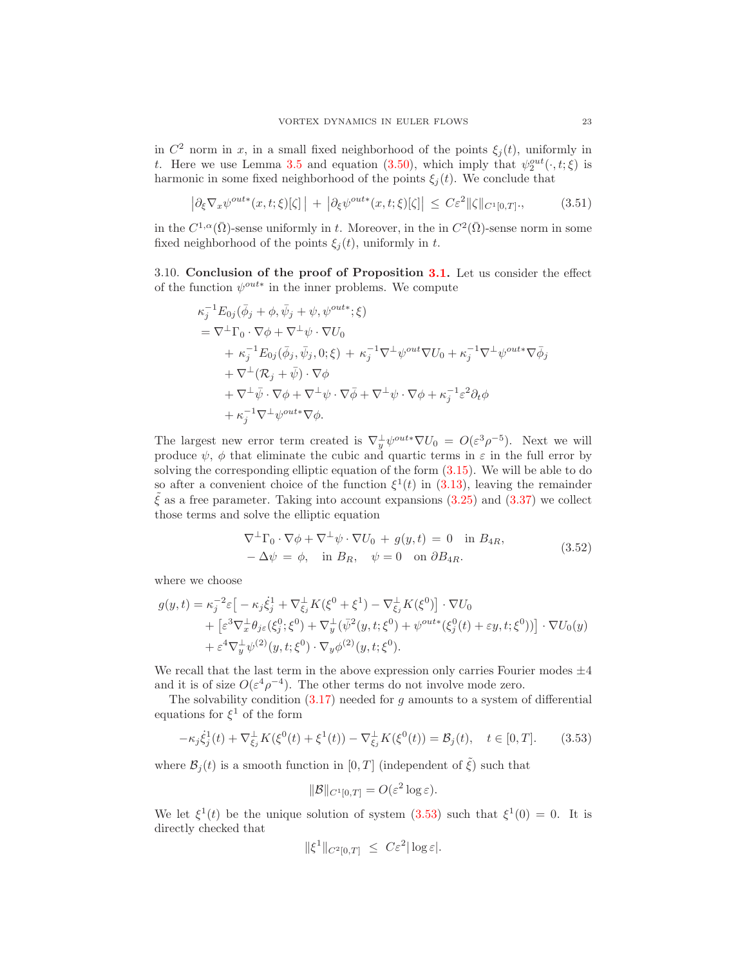in  $C^2$  norm in x, in a small fixed neighborhood of the points  $\xi_j(t)$ , uniformly in t. Here we use Lemma [3.5](#page-20-4) and equation [\(3.50\)](#page-21-0), which imply that  $\psi_2^{out}(\cdot, t; \xi)$  is harmonic in some fixed neighborhood of the points  $\xi_i(t)$ . We conclude that

<span id="page-22-2"></span>
$$
\left| \partial_{\xi} \nabla_x \psi^{out*}(x, t; \xi)[\zeta] \right| + \left| \partial_{\xi} \psi^{out*}(x, t; \xi)[\zeta] \right| \leq C \varepsilon^2 \|\zeta\|_{C^1[0, T]} \tag{3.51}
$$

in the  $C^{1,\alpha}(\bar{\Omega})$ -sense uniformly in t. Moreover, in the in  $C^2(\bar{\Omega})$ -sense norm in some fixed neighborhood of the points  $\xi_i(t)$ , uniformly in t.

3.10. Conclusion of the proof of Proposition [3.1.](#page-9-0) Let us consider the effect of the function  $\psi^{out*}$  in the inner problems. We compute

$$
\kappa_j^{-1} E_{0j} (\bar{\phi}_j + \phi, \bar{\psi}_j + \psi, \psi^{out*}; \xi)
$$
  
=  $\nabla^{\perp} \Gamma_0 \cdot \nabla \phi + \nabla^{\perp} \psi \cdot \nabla U_0$   
+  $\kappa_j^{-1} E_{0j} (\bar{\phi}_j, \bar{\psi}_j, 0; \xi) + \kappa_j^{-1} \nabla^{\perp} \psi^{out} \nabla U_0 + \kappa_j^{-1} \nabla^{\perp} \psi^{out*} \nabla \bar{\phi}_j$   
+  $\nabla^{\perp} (\mathcal{R}_j + \bar{\psi}) \cdot \nabla \phi$   
+  $\nabla^{\perp} \bar{\psi} \cdot \nabla \phi + \nabla^{\perp} \psi \cdot \nabla \bar{\phi} + \nabla^{\perp} \psi \cdot \nabla \phi + \kappa_j^{-1} \varepsilon^2 \partial_t \phi$   
+  $\kappa_j^{-1} \nabla^{\perp} \psi^{out*} \nabla \phi$ .

The largest new error term created is  $\nabla_y^{\perp} \psi^{out*} \nabla U_0 = O(\varepsilon^3 \rho^{-5})$ . Next we will produce  $\psi$ ,  $\phi$  that eliminate the cubic and quartic terms in  $\varepsilon$  in the full error by solving the corresponding elliptic equation of the form [\(3.15\)](#page-10-2). We will be able to do so after a convenient choice of the function  $\xi^1(t)$  in [\(3.13\)](#page-10-4), leaving the remainder  $\tilde{\xi}$  as a free parameter. Taking into account expansions [\(3.25\)](#page-14-2) and [\(3.37\)](#page-17-2) we collect those terms and solve the elliptic equation

<span id="page-22-1"></span>
$$
\nabla^{\perp} \Gamma_0 \cdot \nabla \phi + \nabla^{\perp} \psi \cdot \nabla U_0 + g(y, t) = 0 \text{ in } B_{4R},
$$
  
\n
$$
-\Delta \psi = \phi, \text{ in } B_R, \quad \psi = 0 \text{ on } \partial B_{4R}.
$$
\n(3.52)

where we choose

$$
g(y,t) = \kappa_j^{-2} \varepsilon \big[ -\kappa_j \dot{\xi}_j^1 + \nabla_{\xi_j}^1 K(\xi^0 + \xi^1) - \nabla_{\xi_j}^1 K(\xi^0) \big] \cdot \nabla U_0
$$
  
+ 
$$
\big[ \varepsilon^3 \nabla_x^{\perp} \theta_{j\varepsilon}(\xi_j^0; \xi^0) + \nabla_y^{\perp} (\bar{\psi}^2(y, t; \xi^0) + \psi^{out*}(\xi_j^0(t) + \varepsilon y, t; \xi^0)) \big] \cdot \nabla U_0(y)
$$
  
+ 
$$
\varepsilon^4 \nabla_y^{\perp} \psi^{(2)}(y, t; \xi^0) \cdot \nabla_y \phi^{(2)}(y, t; \xi^0).
$$

We recall that the last term in the above expression only carries Fourier modes  $\pm 4$ and it is of size  $O(\varepsilon^4 \rho^{-4})$ . The other terms do not involve mode zero.

The solvability condition  $(3.17)$  needed for g amounts to a system of differential equations for  $\xi^1$  of the form

$$
-\kappa_j \dot{\xi}_j^1(t) + \nabla_{\xi_j}^{\perp} K(\xi^0(t) + \xi^1(t)) - \nabla_{\xi_j}^{\perp} K(\xi^0(t)) = \mathcal{B}_j(t), \quad t \in [0, T]. \tag{3.53}
$$

where  $\mathcal{B}_i(t)$  is a smooth function in [0, T] (independent of  $\tilde{\xi}$ ) such that

<span id="page-22-0"></span>
$$
\|\mathcal{B}\|_{C^1[0,T]} = O(\varepsilon^2 \log \varepsilon).
$$

We let  $\xi^1(t)$  be the unique solution of system  $(3.53)$  such that  $\xi^1(0) = 0$ . It is directly checked that

$$
\|\xi^1\|_{C^2[0,T]} \ \leq \ C\varepsilon^2 |\log \varepsilon|.
$$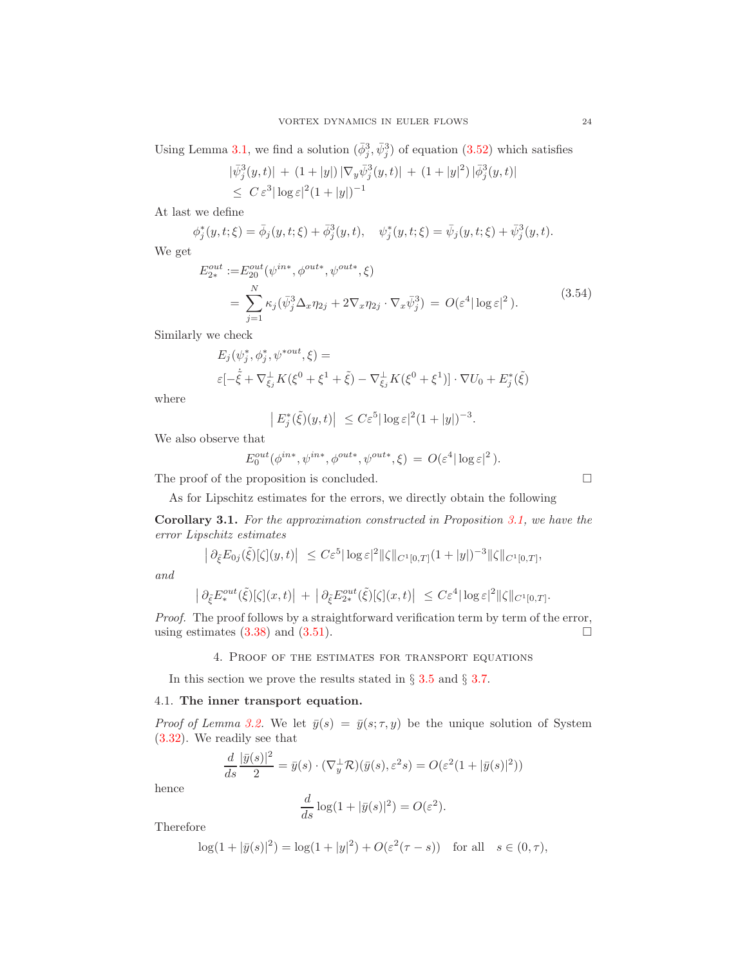Using Lemma [3.1,](#page-11-4) we find a solution  $(\bar{\phi}_j^3, \bar{\psi}_j^3)$  of equation [\(3.52\)](#page-22-1) which satisfies

$$
|\bar{\psi}_j^3(y,t)| + (1+|y|) |\nabla_y \bar{\psi}_j^3(y,t)| + (1+|y|^2) |\bar{\phi}_j^3(y,t)|
$$
  
\$\leq C \varepsilon^3 |\log \varepsilon|^2 (1+|y|)^{-1}\$

At last we define

$$
\phi_j^*(y, t; \xi) = \bar{\phi}_j(y, t; \xi) + \bar{\phi}_j^3(y, t), \quad \psi_j^*(y, t; \xi) = \bar{\psi}_j(y, t; \xi) + \bar{\psi}_j^3(y, t).
$$

We get

<span id="page-23-1"></span>
$$
E_{2*}^{out} := E_{20}^{out}(\psi^{in*}, \phi^{out*}, \psi^{out*}, \xi)
$$
  
= 
$$
\sum_{j=1}^{N} \kappa_j(\bar{\psi}_j^3 \Delta_x \eta_{2j} + 2\nabla_x \eta_{2j} \cdot \nabla_x \bar{\psi}_j^3) = O(\varepsilon^4 |\log \varepsilon|^2).
$$
 (3.54)

Similarly we check

$$
E_j(\psi_j^*, \phi_j^*, \psi^{*out}, \xi) = \\
\varepsilon[-\dot{\xi} + \nabla_{\xi_j}^{\perp} K(\xi^0 + \xi^1 + \tilde{\xi}) - \nabla_{\xi_j}^{\perp} K(\xi^0 + \xi^1)] \cdot \nabla U_0 + E_j^*(\tilde{\xi})
$$

where

$$
\left| E_j^*(\tilde{\xi})(y,t) \right| \leq C \varepsilon^5 |\log \varepsilon|^2 (1+|y|)^{-3}.
$$

We also observe that

$$
E_0^{out}(\phi^{in*}, \psi^{in*}, \phi^{out*}, \psi^{out*}, \xi) = O(\varepsilon^4 |\log \varepsilon|^2).
$$

The proof of the proposition is concluded.  $\Box$ 

As for Lipschitz estimates for the errors, we directly obtain the following

Corollary 3.1. For the approximation constructed in Proposition [3.1,](#page-9-0) we have the error Lipschitz estimates

$$
\left| \partial_{\xi} E_{0j}(\tilde{\xi})[\zeta](y,t) \right| \leq C \varepsilon^{5} |\log \varepsilon|^{2} \|\zeta\|_{C^{1}[0,T]} (1+|y|)^{-3} \|\zeta\|_{C^{1}[0,T]},
$$

and

$$
\left| \partial_{\tilde{\xi}} E^{out}_{*}(\tilde{\xi})[\zeta](x,t) \right| + \left| \partial_{\tilde{\xi}} E^{out}_{2*}(\tilde{\xi})[\zeta](x,t) \right| \leq C \varepsilon^{4} |\log \varepsilon|^{2} \|\zeta\|_{C^{1}[0,T]}.
$$

Proof. The proof follows by a straightforward verification term by term of the error, using estimates  $(3.38)$  and  $(3.51)$ .

# 4. Proof of the estimates for transport equations

In this section we prove the results stated in § [3.5](#page-16-4) and § [3.7.](#page-19-5)

# <span id="page-23-0"></span>4.1. The inner transport equation.

*Proof of Lemma [3.2.](#page-16-3)* We let  $\bar{y}(s) = \bar{y}(s; \tau, y)$  be the unique solution of System [\(3.32\)](#page-16-5). We readily see that

$$
\frac{d}{ds}\frac{|\bar{y}(s)|^2}{2} = \bar{y}(s) \cdot (\nabla_y^{\perp} \mathcal{R})(\bar{y}(s), \varepsilon^2 s) = O(\varepsilon^2 (1 + |\bar{y}(s)|^2))
$$

hence

$$
\frac{d}{ds}\log(1+|\bar{y}(s)|^2) = O(\varepsilon^2).
$$

Therefore

$$
\log(1+|\bar{y}(s)|^2) = \log(1+|y|^2) + O(\varepsilon^2(\tau-s)) \text{ for all } s \in (0,\tau),
$$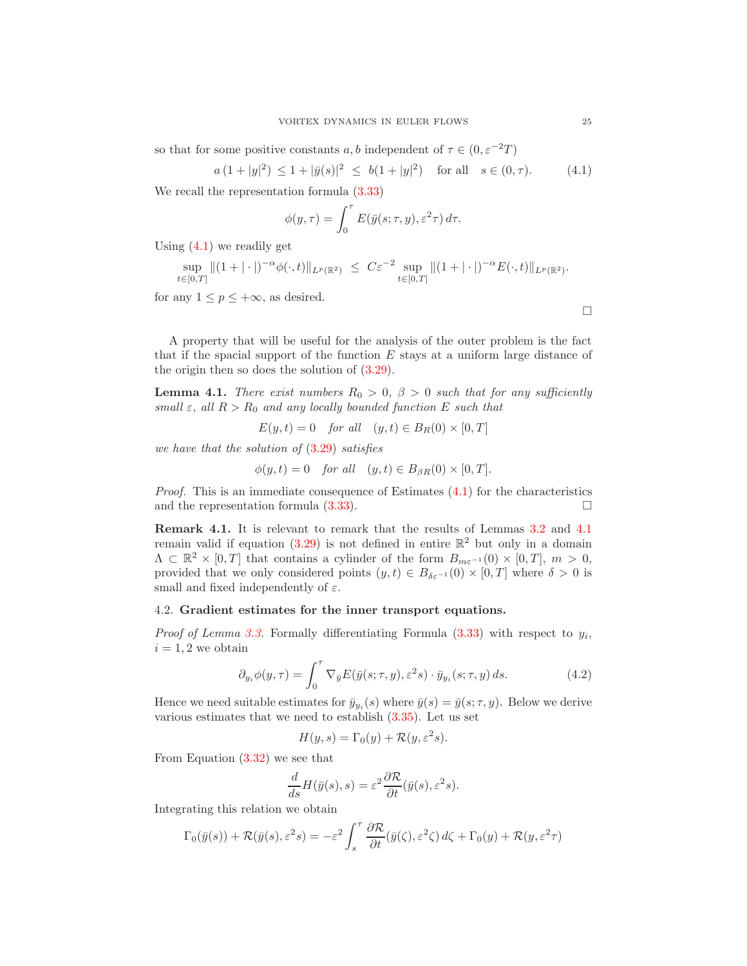so that for some positive constants a, b independent of  $\tau \in (0, \varepsilon^{-2}T)$ 

<span id="page-24-1"></span>
$$
a(1+|y|^2) \le 1+|\bar{y}(s)|^2 \le b(1+|y|^2)
$$
 for all  $s \in (0,\tau)$ . (4.1)

We recall the representation formula [\(3.33\)](#page-16-6)

$$
\phi(y,\tau) = \int_0^{\tau} E(\bar{y}(s;\tau,y), \varepsilon^2 \tau) d\tau.
$$

Using  $(4.1)$  we readily get

$$
\sup_{t\in[0,T]}\|(1+|\cdot|)^{-\alpha}\phi(\cdot,t)\|_{L^p(\mathbb{R}^2)} \ \leq \ C\varepsilon^{-2}\sup_{t\in[0,T]}\|(1+|\cdot|)^{-\alpha}E(\cdot,t)\|_{L^p(\mathbb{R}^2)}.
$$

for any  $1 \leq p \leq +\infty$ , as desired.

A property that will be useful for the analysis of the outer problem is the fact that if the spacial support of the function  $E$  stays at a uniform large distance of the origin then so does the solution of [\(3.29\)](#page-16-0).

<span id="page-24-2"></span>**Lemma 4.1.** There exist numbers  $R_0 > 0$ ,  $\beta > 0$  such that for any sufficiently small  $\varepsilon$ , all  $R > R_0$  and any locally bounded function E such that

$$
E(y, t) = 0 \quad for all \quad (y, t) \in B_R(0) \times [0, T]
$$

we have that the solution of (3.[29\)](#page-16-0) satisfies

$$
\phi(y, t) = 0 \quad \text{for all} \quad (y, t) \in B_{\beta R}(0) \times [0, T].
$$

*Proof.* This is an immediate consequence of Estimates  $(4.1)$  for the characteristics and the representation formula  $(3.33)$ .

Remark 4.1. It is relevant to remark that the results of Lemmas [3.2](#page-16-3) and [4.1](#page-24-2) remain valid if equation  $(3.29)$  is not defined in entire  $\mathbb{R}^2$  but only in a domain  $\Lambda \subset \mathbb{R}^2 \times [0,T]$  that contains a cylinder of the form  $B_{m\varepsilon^{-1}}(0) \times [0,T]$ ,  $m > 0$ , provided that we only considered points  $(y, t) \in B_{\delta \varepsilon^{-1}}(0) \times [0, T]$  where  $\delta > 0$  is small and fixed independently of  $\varepsilon$ .

### <span id="page-24-0"></span>4.2. Gradient estimates for the inner transport equations.

*Proof of Lemma [3.3.](#page-17-1)* Formally differentiating Formula  $(3.33)$  with respect to  $y_i$ ,  $i = 1, 2$  we obtain

$$
\partial_{y_i} \phi(y,\tau) = \int_0^{\tau} \nabla_{\bar{y}} E(\bar{y}(s;\tau,y), \varepsilon^2 s) \cdot \bar{y}_{y_i}(s;\tau,y) ds.
$$
 (4.2)

Hence we need suitable estimates for  $\bar{y}_{y_i}(s)$  where  $\bar{y}(s) = \bar{y}(s; \tau, y)$ . Below we derive various estimates that we need to establish  $(3.35)$ . Let us set

<span id="page-24-3"></span>
$$
H(y, s) = \Gamma_0(y) + \mathcal{R}(y, \varepsilon^2 s).
$$

From Equation [\(3.32\)](#page-16-5) we see that

$$
\frac{d}{ds}H(\bar{y}(s),s) = \varepsilon^2 \frac{\partial \mathcal{R}}{\partial t}(\bar{y}(s),\varepsilon^2 s).
$$

Integrating this relation we obtain

$$
\Gamma_0(\bar{y}(s)) + \mathcal{R}(\bar{y}(s), \varepsilon^2 s) = -\varepsilon^2 \int_s^\tau \frac{\partial \mathcal{R}}{\partial t}(\bar{y}(\zeta), \varepsilon^2 \zeta) d\zeta + \Gamma_0(y) + \mathcal{R}(y, \varepsilon^2 \tau)
$$

 $\Box$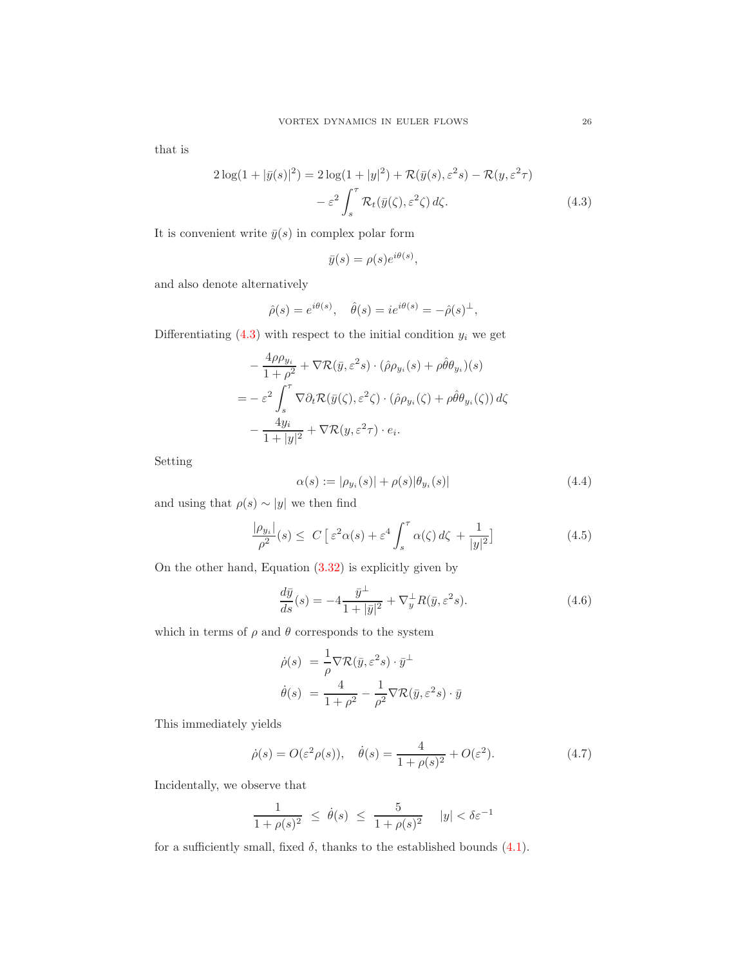that is

$$
2\log(1+|\bar{y}(s)|^2) = 2\log(1+|y|^2) + \mathcal{R}(\bar{y}(s), \varepsilon^2 s) - \mathcal{R}(y, \varepsilon^2 \tau)
$$

$$
-\varepsilon^2 \int_s^\tau \mathcal{R}_t(\bar{y}(\zeta), \varepsilon^2 \zeta) d\zeta.
$$
(4.3)

It is convenient write  $\bar{y}(s)$  in complex polar form

<span id="page-25-0"></span>
$$
\bar{y}(s) = \rho(s)e^{i\theta(s)},
$$

and also denote alternatively

$$
\hat{\rho}(s) = e^{i\theta(s)}, \quad \hat{\theta}(s) = ie^{i\theta(s)} = -\hat{\rho}(s)^{\perp},
$$

Differentiating  $(4.3)$  with respect to the initial condition  $y_i$  we get

$$
- \frac{4\rho\rho_{y_i}}{1+\rho^2} + \nabla \mathcal{R}(\bar{y}, \varepsilon^2 s) \cdot (\hat{\rho}\rho_{y_i}(s) + \rho\hat{\theta}\theta_{y_i})(s)
$$
  
= 
$$
- \varepsilon^2 \int_s^\tau \nabla \partial_t \mathcal{R}(\bar{y}(\zeta), \varepsilon^2 \zeta) \cdot (\hat{\rho}\rho_{y_i}(\zeta) + \rho\hat{\theta}\theta_{y_i}(\zeta)) d\zeta
$$
  

$$
- \frac{4y_i}{1+|y|^2} + \nabla \mathcal{R}(y, \varepsilon^2 \tau) \cdot e_i.
$$

Setting

<span id="page-25-4"></span><span id="page-25-3"></span>
$$
\alpha(s) := |\rho_{y_i}(s)| + \rho(s)|\theta_{y_i}(s)| \tag{4.4}
$$

and using that  $\rho(s) \sim |y|$  we then find

$$
\frac{|\rho_{y_i}|}{\rho^2}(s) \le C \left[ \varepsilon^2 \alpha(s) + \varepsilon^4 \int_s^\tau \alpha(\zeta) d\zeta + \frac{1}{|y|^2} \right] \tag{4.5}
$$

On the other hand, Equation [\(3.32\)](#page-16-5) is explicitly given by

<span id="page-25-1"></span>
$$
\frac{d\bar{y}}{ds}(s) = -4\frac{\bar{y}^{\perp}}{1+|\bar{y}|^2} + \nabla_y^{\perp} R(\bar{y}, \varepsilon^2 s). \tag{4.6}
$$

which in terms of  $\rho$  and  $\theta$  corresponds to the system

$$
\dot{\rho}(s) = \frac{1}{\rho} \nabla \mathcal{R}(\bar{y}, \varepsilon^2 s) \cdot \bar{y}^{\perp}
$$

$$
\dot{\theta}(s) = \frac{4}{1 + \rho^2} - \frac{1}{\rho^2} \nabla \mathcal{R}(\bar{y}, \varepsilon^2 s) \cdot \bar{y}
$$

This immediately yields

<span id="page-25-2"></span>
$$
\dot{\rho}(s) = O(\varepsilon^2 \rho(s)), \quad \dot{\theta}(s) = \frac{4}{1 + \rho(s)^2} + O(\varepsilon^2). \tag{4.7}
$$

Incidentally, we observe that

$$
\frac{1}{1+\rho(s)^2} \ \leq \ \dot{\theta}(s) \ \leq \ \frac{5}{1+\rho(s)^2} \quad |y| < \delta\varepsilon^{-1}
$$

for a sufficiently small, fixed  $\delta$ , thanks to the established bounds  $(4.1)$ .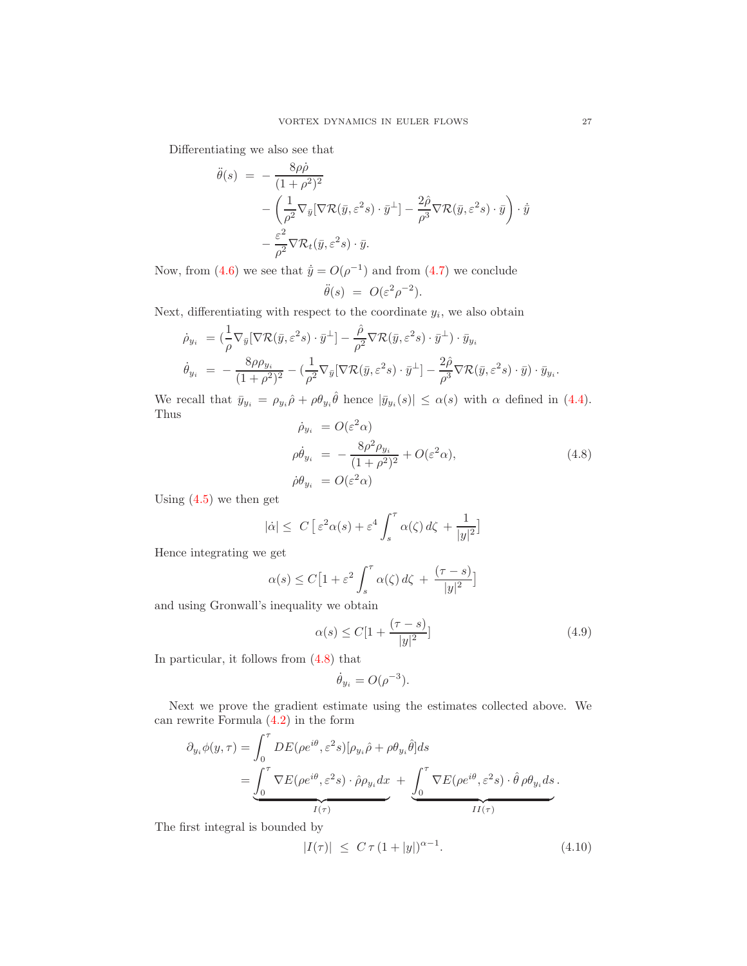Differentiating we also see that

$$
\ddot{\theta}(s) = -\frac{8\rho\dot{\rho}}{(1+\rho^2)^2} \n- \left(\frac{1}{\rho^2}\nabla_{\bar{y}}[\nabla \mathcal{R}(\bar{y}, \varepsilon^2 s) \cdot \bar{y}^{\perp}] - \frac{2\hat{\rho}}{\rho^3}\nabla \mathcal{R}(\bar{y}, \varepsilon^2 s) \cdot \bar{y}\right) \cdot \dot{\bar{y}} \n- \frac{\varepsilon^2}{\rho^2}\nabla \mathcal{R}_t(\bar{y}, \varepsilon^2 s) \cdot \bar{y}.
$$

Now, from [\(4.6\)](#page-25-1) we see that  $\dot{\bar{y}} = O(\rho^{-1})$  and from [\(4.7\)](#page-25-2) we conclude

$$
\ddot{\theta}(s) = O(\varepsilon^2 \rho^{-2}).
$$

Next, differentiating with respect to the coordinate  $y_i$ , we also obtain

$$
\dot{\rho}_{y_i} = (\frac{1}{\rho} \nabla_{\bar{y}} [\nabla \mathcal{R}(\bar{y}, \varepsilon^2 s) \cdot \bar{y}^\perp] - \frac{\hat{\rho}}{\rho^2} \nabla \mathcal{R}(\bar{y}, \varepsilon^2 s) \cdot \bar{y}^\perp) \cdot \bar{y}_{y_i}
$$
\n
$$
\dot{\theta}_{y_i} = -\frac{8\rho \rho_{y_i}}{(1+\rho^2)^2} - (\frac{1}{\rho^2} \nabla_{\bar{y}} [\nabla \mathcal{R}(\bar{y}, \varepsilon^2 s) \cdot \bar{y}^\perp] - \frac{2\hat{\rho}}{\rho^3} \nabla \mathcal{R}(\bar{y}, \varepsilon^2 s) \cdot \bar{y}) \cdot \bar{y}_{y_i}.
$$

We recall that  $\bar{y}_{y_i} = \rho_{y_i} \hat{\rho} + \rho \theta_{y_i} \hat{\theta}$  hence  $|\bar{y}_{y_i}(s)| \leq \alpha(s)$  with  $\alpha$  defined in [\(4.4\)](#page-25-3). Thus

<span id="page-26-0"></span>
$$
\dot{\rho}_{y_i} = O(\varepsilon^2 \alpha)
$$
  
\n
$$
\rho \dot{\theta}_{y_i} = -\frac{8\rho^2 \rho_{y_i}}{(1+\rho^2)^2} + O(\varepsilon^2 \alpha),
$$
  
\n
$$
\dot{\rho} \theta_{y_i} = O(\varepsilon^2 \alpha)
$$
\n(4.8)

Using  $(4.5)$  we then get

$$
|\dot{\alpha}| \leq C \left[ \varepsilon^2 \alpha(s) + \varepsilon^4 \int_s^\tau \alpha(\zeta) \, d\zeta + \frac{1}{|y|^2} \right]
$$

Hence integrating we get

$$
\alpha(s) \le C \left[ 1 + \varepsilon^2 \int_s^\tau \alpha(\zeta) \, d\zeta + \frac{(\tau - s)}{|y|^2} \right]
$$

and using Gronwall's inequality we obtain

<span id="page-26-1"></span>
$$
\alpha(s) \le C[1 + \frac{(\tau - s)}{|y|^2}]
$$
\n(4.9)

In particular, it follows from [\(4.8\)](#page-26-0) that

$$
\dot{\theta}_{y_i} = O(\rho^{-3}).
$$

Next we prove the gradient estimate using the estimates collected above. We can rewrite Formula [\(4.2\)](#page-24-3) in the form

$$
\partial_{y_i} \phi(y, \tau) = \int_0^{\tau} DE(\rho e^{i\theta}, \varepsilon^2 s) [\rho_{y_i} \hat{\rho} + \rho \theta_{y_i} \hat{\theta}] ds \n= \underbrace{\int_0^{\tau} \nabla E(\rho e^{i\theta}, \varepsilon^2 s) \cdot \hat{\rho} \rho_{y_i} dx}_{I(\tau)} + \underbrace{\int_0^{\tau} \nabla E(\rho e^{i\theta}, \varepsilon^2 s) \cdot \hat{\theta} \rho \theta_{y_i} ds}_{II(\tau)}.
$$

The first integral is bounded by

<span id="page-26-2"></span>
$$
|I(\tau)| \le C \tau (1+|y|)^{\alpha-1}.
$$
 (4.10)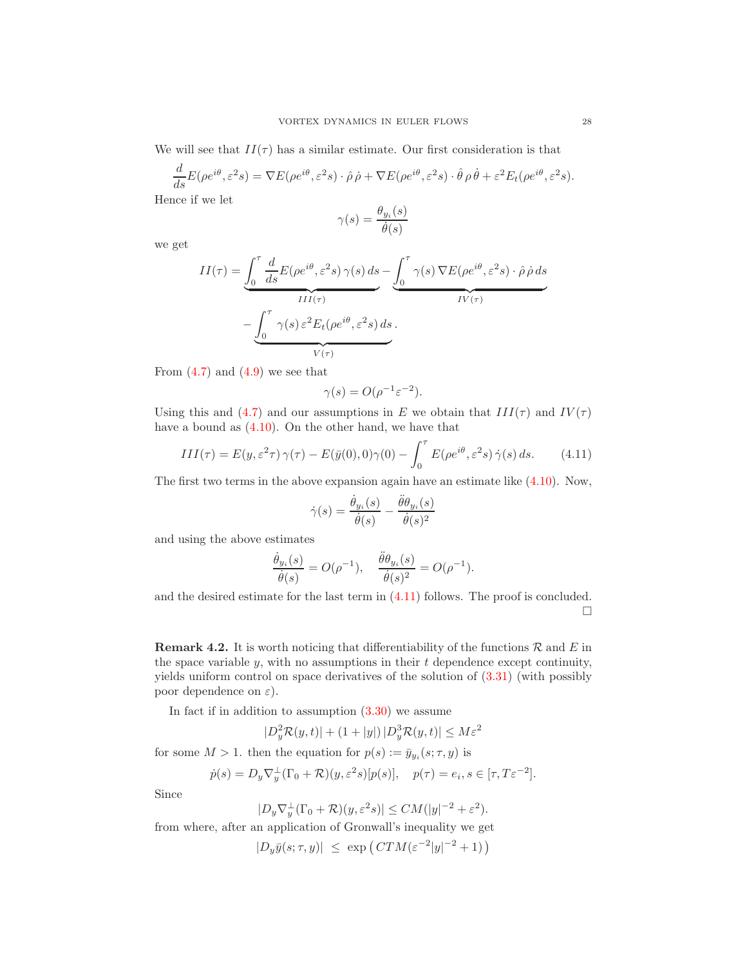We will see that  $II(\tau)$  has a similar estimate. Our first consideration is that

$$
\frac{d}{ds}E(\rho e^{i\theta}, \varepsilon^2 s) = \nabla E(\rho e^{i\theta}, \varepsilon^2 s) \cdot \hat{\rho} \, \dot{\rho} + \nabla E(\rho e^{i\theta}, \varepsilon^2 s) \cdot \hat{\theta} \, \rho \, \dot{\theta} + \varepsilon^2 E_t(\rho e^{i\theta}, \varepsilon^2 s).
$$

Hence if we let

$$
\gamma(s) = \frac{\theta_{y_i}(s)}{\dot{\theta}(s)}
$$

we get

$$
II(\tau) = \underbrace{\int_0^{\tau} \frac{d}{ds} E(\rho e^{i\theta}, \varepsilon^2 s) \gamma(s) ds}_{III(\tau)} - \underbrace{\int_0^{\tau} \gamma(s) \nabla E(\rho e^{i\theta}, \varepsilon^2 s) \cdot \hat{\rho} \dot{\rho} ds}_{V(\tau)} - \underbrace{\int_0^{\tau} \gamma(s) \varepsilon^2 E_t(\rho e^{i\theta}, \varepsilon^2 s) ds}_{V(\tau)}.
$$

From  $(4.7)$  and  $(4.9)$  we see that

$$
\gamma(s) = O(\rho^{-1} \varepsilon^{-2}).
$$

Using this and [\(4.7\)](#page-25-2) and our assumptions in E we obtain that  $III(\tau)$  and  $IV(\tau)$ have a bound as [\(4.10\)](#page-26-2). On the other hand, we have that

<span id="page-27-0"></span>
$$
III(\tau) = E(y, \varepsilon^2 \tau) \gamma(\tau) - E(\bar{y}(0), 0)\gamma(0) - \int_0^{\tau} E(\rho e^{i\theta}, \varepsilon^2 s) \dot{\gamma}(s) ds.
$$
 (4.11)

The first two terms in the above expansion again have an estimate like [\(4.10\)](#page-26-2). Now,

$$
\dot{\gamma}(s) = \frac{\dot{\theta}_{y_i}(s)}{\dot{\theta}(s)} - \frac{\ddot{\theta}\theta_{y_i}(s)}{\dot{\theta}(s)^2}
$$

and using the above estimates

$$
\frac{\dot{\theta}_{y_i}(s)}{\dot{\theta}(s)} = O(\rho^{-1}), \quad \frac{\ddot{\theta}\theta_{y_i}(s)}{\dot{\theta}(s)^2} = O(\rho^{-1}).
$$

and the desired estimate for the last term in [\(4.11\)](#page-27-0) follows. The proof is concluded.  $\Box$ 

<span id="page-27-1"></span>**Remark 4.2.** It is worth noticing that differentiability of the functions  $\mathcal{R}$  and  $E$  in the space variable  $y$ , with no assumptions in their  $t$  dependence except continuity, yields uniform control on space derivatives of the solution of [\(3.31\)](#page-16-1) (with possibly poor dependence on  $\varepsilon$ ).

In fact if in addition to assumption  $(3.30)$  we assume

$$
|D_y^2 \mathcal{R}(y, t)| + (1 + |y|) |D_y^3 \mathcal{R}(y, t)| \le M\varepsilon^2
$$

for some  $M > 1$ . then the equation for  $p(s) := \bar{y}_{y_i}(s; \tau, y)$  is

$$
\dot{p}(s) = D_y \nabla_y^{\perp} (\Gamma_0 + \mathcal{R})(y, \varepsilon^2 s) [p(s)], \quad p(\tau) = e_i, s \in [\tau, T \varepsilon^{-2}].
$$

Since

$$
|D_y \nabla_y^{\perp} (\Gamma_0 + \mathcal{R})(y, \varepsilon^2 s)| \leq CM(|y|^{-2} + \varepsilon^2).
$$

from where, after an application of Gronwall's inequality we get

$$
|D_y\bar{y}(s;\tau,y)| \le \exp\left(CTM(\varepsilon^{-2}|y|^{-2}+1)\right)
$$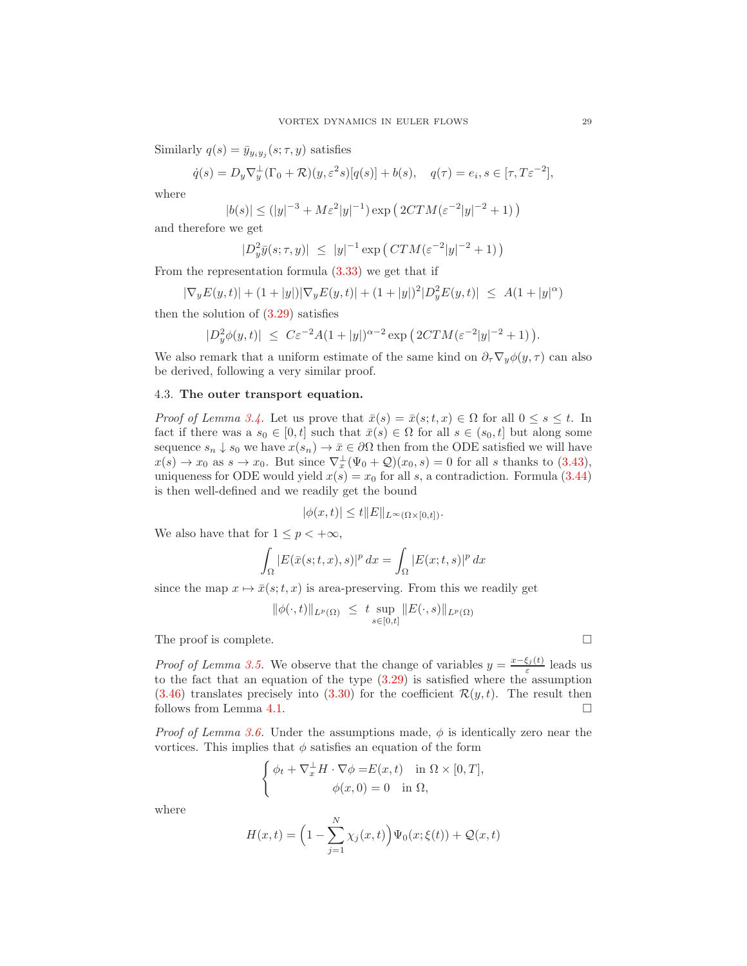Similarly  $q(s) = \bar{y}_{y_i y_j}(s; \tau, y)$  satisfies

$$
\dot{q}(s) = D_y \nabla_y^{\perp} (\Gamma_0 + \mathcal{R})(y, \varepsilon^2 s) [q(s)] + b(s), \quad q(\tau) = e_i, s \in [\tau, T\varepsilon^{-2}],
$$

where

$$
|b(s)| \le (|y|^{-3} + M\varepsilon^2|y|^{-1}) \exp\left(2CTM(\varepsilon^{-2}|y|^{-2} + 1)\right)
$$

and therefore we get

$$
|D_y^2 \bar{y}(s; \tau, y)| \le |y|^{-1} \exp\left( \, C TM(\varepsilon^{-2}|y|^{-2} + 1) \, \right)
$$

From the representation formula [\(3.33\)](#page-16-6) we get that if

$$
|\nabla_y E(y,t)| + (1+|y|)|\nabla_y E(y,t)| + (1+|y|)^2|D_y^2 E(y,t)| \leq A(1+|y|^\alpha)
$$

then the solution of  $(3.29)$  satisfies

$$
|D_y^2 \phi(y, t)| \le C \varepsilon^{-2} A (1 + |y|)^{\alpha - 2} \exp \big( 2CTM(\varepsilon^{-2}|y|^{-2} + 1) \big).
$$

We also remark that a uniform estimate of the same kind on  $\partial_{\tau} \nabla_{y} \phi(y, \tau)$  can also be derived, following a very similar proof.

### <span id="page-28-0"></span>4.3. The outer transport equation.

*Proof of Lemma [3.4.](#page-20-3)* Let us prove that  $\bar{x}(s) = \bar{x}(s;t,x) \in \Omega$  for all  $0 \le s \le t$ . In fact if there was a  $s_0 \in [0, t]$  such that  $\bar{x}(s) \in \Omega$  for all  $s \in (s_0, t]$  but along some sequence  $s_n \downarrow s_0$  we have  $x(s_n) \to \bar{x} \in \partial\Omega$  then from the ODE satisfied we will have  $x(s) \to x_0$  as  $s \to x_0$ . But since  $\nabla_x^{\perp}(\Psi_0 + \mathcal{Q})(x_0, s) = 0$  for all s thanks to [\(3.43\)](#page-19-6), uniqueness for ODE would yield  $x(s) = x_0$  for all s, a contradiction. Formula [\(3.44\)](#page-19-2) is then well-defined and we readily get the bound

$$
|\phi(x,t)| \le t ||E||_{L^{\infty}(\Omega \times [0,t])}.
$$

We also have that for  $1 \leq p < +\infty$ ,

$$
\int_{\Omega} |E(\bar{x}(s;t,x),s)|^p dx = \int_{\Omega} |E(x;t,s)|^p dx
$$

since the map  $x \mapsto \bar{x}(s;t,x)$  is area-preserving. From this we readily get

$$
\|\phi(\cdot,t)\|_{L^p(\Omega)} \ \le \ t \sup_{s\in[0,t]} \|E(\cdot,s)\|_{L^p(\Omega)}
$$

The proof is complete.

*Proof of Lemma [3.5.](#page-20-4)* We observe that the change of variables  $y = \frac{x-\xi_j(t)}{\epsilon}$  $\frac{\xi_j(t)}{\varepsilon}$  leads us to the fact that an equation of the type  $(3.29)$  is satisfied where the assumption  $(3.46)$  translates precisely into  $(3.30)$  for the coefficient  $\mathcal{R}(y, t)$ . The result then follows from Lemma [4.1.](#page-24-2)

*Proof of Lemma [3.6.](#page-20-5)* Under the assumptions made,  $\phi$  is identically zero near the vortices. This implies that  $\phi$  satisfies an equation of the form

$$
\begin{cases} \phi_t + \nabla_x^{\perp} H \cdot \nabla \phi = E(x, t) & \text{in } \Omega \times [0, T], \\ \phi(x, 0) = 0 & \text{in } \Omega, \end{cases}
$$

where

$$
H(x,t) = \left(1 - \sum_{j=1}^{N} \chi_j(x,t)\right) \Psi_0(x;\xi(t)) + \mathcal{Q}(x,t)
$$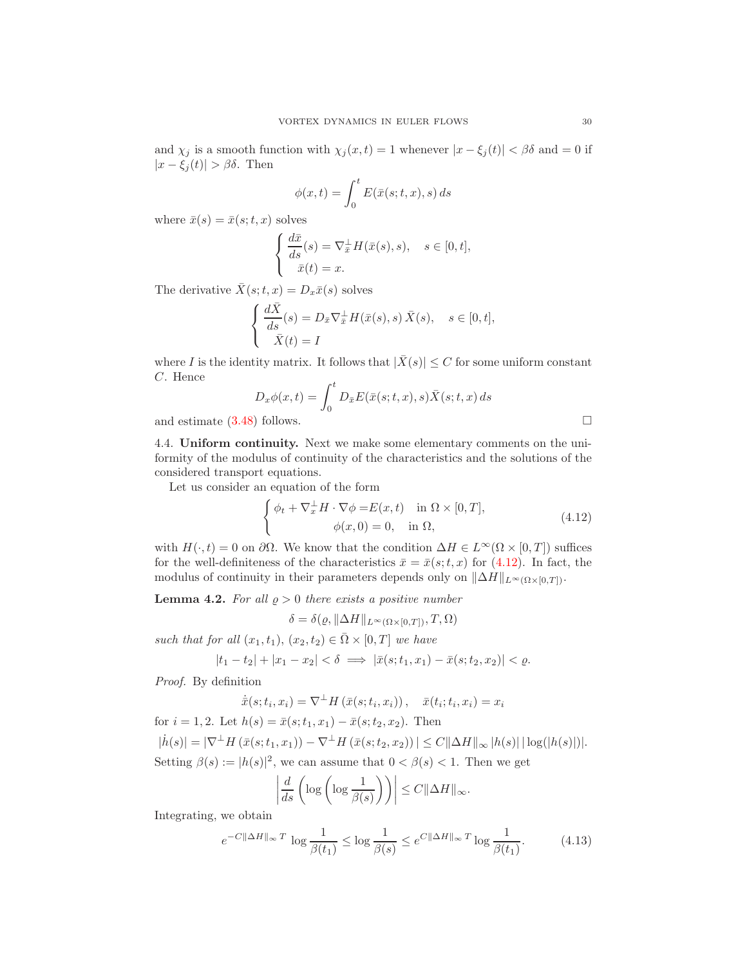and  $\chi_j$  is a smooth function with  $\chi_j(x, t) = 1$  whenever  $|x - \xi_j(t)| < \beta \delta$  and  $= 0$  if  $|x - \xi_i(t)| > \beta \delta$ . Then

$$
\phi(x,t) = \int_0^t E(\bar{x}(s;t,x),s) \, ds
$$

where  $\bar{x}(s) = \bar{x}(s;t,x)$  solves

$$
\begin{cases} \frac{d\bar{x}}{ds}(s) = \nabla_{\bar{x}}^{\perp} H(\bar{x}(s), s), & s \in [0, t], \\ \bar{x}(t) = x. \end{cases}
$$

The derivative  $\bar{X}(s;t,x) = D_x\bar{x}(s)$  solves

$$
\begin{cases} \frac{d\bar{X}}{ds}(s) = D_{\bar{x}} \nabla_{\bar{x}}^{\perp} H(\bar{x}(s), s) \bar{X}(s), & s \in [0, t], \\ \bar{X}(t) = I \end{cases}
$$

where I is the identity matrix. It follows that  $|\bar{X}(s)| \leq C$  for some uniform constant C. Hence

$$
D_x \phi(x, t) = \int_0^t D_{\bar{x}} E(\bar{x}(s; t, x), s) \bar{X}(s; t, x) ds
$$

and estimate  $(3.48)$  follows.

4.4. Uniform continuity. Next we make some elementary comments on the uniformity of the modulus of continuity of the characteristics and the solutions of the considered transport equations.

Let us consider an equation of the form

<span id="page-29-0"></span>
$$
\begin{cases}\n\phi_t + \nabla_x^{\perp} H \cdot \nabla \phi = E(x, t) & \text{in } \Omega \times [0, T], \\
\phi(x, 0) = 0, & \text{in } \Omega,\n\end{cases}
$$
\n(4.12)

with  $H(\cdot, t) = 0$  on  $\partial\Omega$ . We know that the condition  $\Delta H \in L^{\infty}(\Omega \times [0, T])$  suffices for the well-definiteness of the characteristics  $\bar{x} = \bar{x}(s;t,x)$  for [\(4.12\)](#page-29-0). In fact, the modulus of continuity in their parameters depends only on  $\|\Delta H\|_{L^{\infty}(\Omega\times[0,T])}$ .

<span id="page-29-2"></span>**Lemma 4.2.** For all  $\rho > 0$  there exists a positive number

$$
\delta = \delta(\varrho, \|\Delta H\|_{L^{\infty}(\Omega \times [0,T])}, T, \Omega)
$$

such that for all  $(x_1, t_1), (x_2, t_2) \in \overline{\Omega} \times [0, T]$  we have

$$
|t_1 - t_2| + |x_1 - x_2| < \delta \implies |\bar{x}(s; t_1, x_1) - \bar{x}(s; t_2, x_2)| < \varrho.
$$

Proof. By definition

$$
\dot{\bar{x}}(s; t_i, x_i) = \nabla^{\perp} H(\bar{x}(s; t_i, x_i)), \quad \bar{x}(t_i; t_i, x_i) = x_i
$$

for  $i = 1, 2$ . Let  $h(s) = \bar{x}(s; t_1, x_1) - \bar{x}(s; t_2, x_2)$ . Then  $|h(s)| = |\nabla^{\perp} H(\bar{x}(s; t_1, x_1)) - \nabla^{\perp} H(\bar{x}(s; t_2, x_2))| \leq C ||\Delta H||_{\infty} |h(s)| |\log(|h(s)|)|.$ Setting  $\beta(s) := |h(s)|^2$ , we can assume that  $0 < \beta(s) < 1$ . Then we get

$$
\left| \frac{d}{ds} \left( \log \left( \log \frac{1}{\beta(s)} \right) \right) \right| \leq C ||\Delta H||_{\infty}.
$$

Integrating, we obtain

<span id="page-29-1"></span>
$$
e^{-C\|\Delta H\|_{\infty}T} \log \frac{1}{\beta(t_1)} \le \log \frac{1}{\beta(s)} \le e^{C\|\Delta H\|_{\infty}T} \log \frac{1}{\beta(t_1)}.\tag{4.13}
$$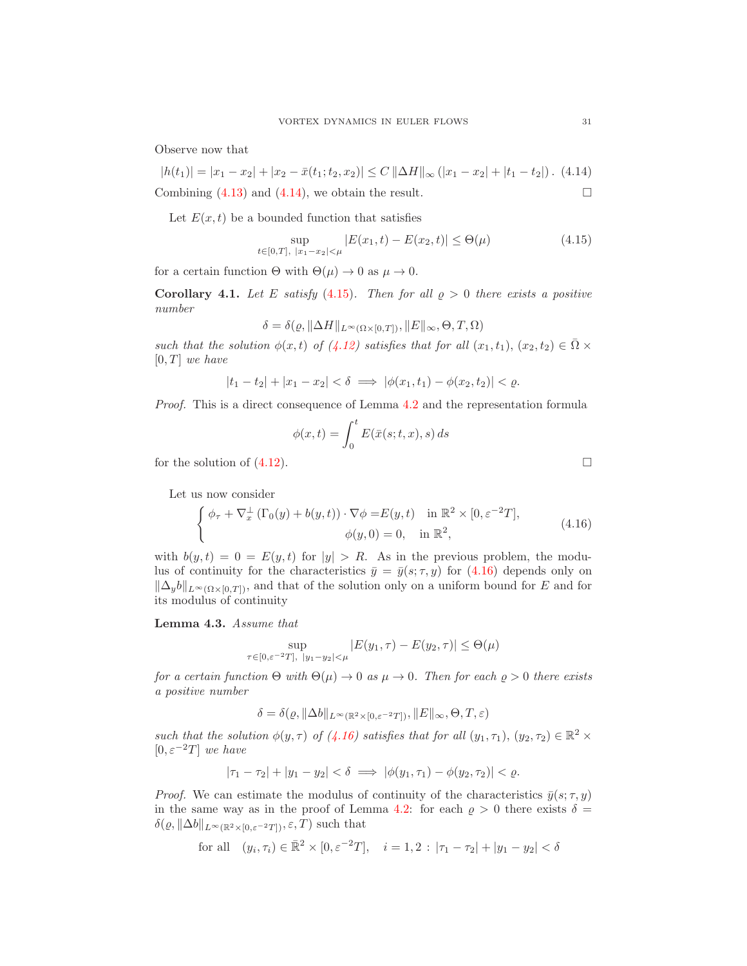Observe now that

<span id="page-30-0"></span> $|h(t_1)| = |x_1 - x_2| + |x_2 - \bar{x}(t_1, t_2, x_2)| \leq C ||\Delta H||_{\infty} (|x_1 - x_2| + |t_1 - t_2|).$  (4.14) Combining  $(4.13)$  and  $(4.14)$ , we obtain the result.

Let  $E(x, t)$  be a bounded function that satisfies

<span id="page-30-1"></span>
$$
\sup_{t \in [0,T], |x_1 - x_2| < \mu} |E(x_1, t) - E(x_2, t)| \leq \Theta(\mu) \tag{4.15}
$$

for a certain function  $\Theta$  with  $\Theta(\mu) \to 0$  as  $\mu \to 0$ .

Corollary 4.1. Let E satisfy (4.[15\)](#page-30-1). Then for all  $\rho > 0$  there exists a positive number

$$
\delta = \delta(\varrho, \|\Delta H\|_{L^{\infty}(\Omega \times [0,T])}, \|E\|_{\infty}, \Theta, T, \Omega)
$$

such that the solution  $\phi(x, t)$  of [\(4.12\)](#page-29-0) satisfies that for all  $(x_1, t_1), (x_2, t_2) \in \overline{\Omega} \times$  $[0, T]$  we have

$$
|t_1 - t_2| + |x_1 - x_2| < \delta \implies |\phi(x_1, t_1) - \phi(x_2, t_2)| < \varrho.
$$

Proof. This is a direct consequence of Lemma [4.2](#page-29-2) and the representation formula

$$
\phi(x,t) = \int_0^t E(\bar{x}(s;t,x),s) \, ds
$$
 for the solution of (4.12).

Let us now consider

<span id="page-30-2"></span>
$$
\begin{cases}\n\phi_{\tau} + \nabla_x^{\perp} (\Gamma_0(y) + b(y, t)) \cdot \nabla \phi = E(y, t) & \text{in } \mathbb{R}^2 \times [0, \varepsilon^{-2} T], \\
\phi(y, 0) = 0, & \text{in } \mathbb{R}^2,\n\end{cases}
$$
\n(4.16)

with  $b(y, t) = 0 = E(y, t)$  for  $|y| > R$ . As in the previous problem, the modulus of continuity for the characteristics  $\bar{y} = \bar{y}(s; \tau, y)$  for [\(4.16\)](#page-30-2) depends only on  $\|\Delta_y b\|_{L^\infty(\Omega\times[0,T])}$ , and that of the solution only on a uniform bound for E and for its modulus of continuity

<span id="page-30-3"></span>Lemma 4.3. Assume that

$$
\sup_{\tau \in [0,\varepsilon^{-2}T], \ |y_1 - y_2| < \mu} |E(y_1, \tau) - E(y_2, \tau)| \leq \Theta(\mu)
$$

for a certain function  $\Theta$  with  $\Theta(\mu) \to 0$  as  $\mu \to 0$ . Then for each  $\varrho > 0$  there exists a positive number

$$
\delta = \delta(\varrho, \|\Delta b\|_{L^\infty(\mathbb{R}^2 \times [0, \varepsilon^{-2} T])}, \|E\|_{\infty}, \Theta, T, \varepsilon)
$$

such that the solution  $\phi(y, \tau)$  of [\(4.16\)](#page-30-2) satisfies that for all  $(y_1, \tau_1)$ ,  $(y_2, \tau_2) \in \mathbb{R}^2$  ×  $[0, \varepsilon^{-2}T]$  we have

$$
|\tau_1 - \tau_2| + |y_1 - y_2| < \delta \implies |\phi(y_1, \tau_1) - \phi(y_2, \tau_2)| < \varrho.
$$

*Proof.* We can estimate the modulus of continuity of the characteristics  $\bar{y}(s; \tau, y)$ in the same way as in the proof of Lemma [4.2:](#page-29-2) for each  $\rho > 0$  there exists  $\delta =$  $\delta(\varrho, \|\Delta b\|_{L^\infty(\mathbb{R}^2\times[0,\varepsilon^{-2}T])}, \varepsilon, T)$  such that

for all 
$$
(y_i, \tau_i) \in \mathbb{R}^2 \times [0, \varepsilon^{-2} T], \quad i = 1, 2 : |\tau_1 - \tau_2| + |y_1 - y_2| < \delta
$$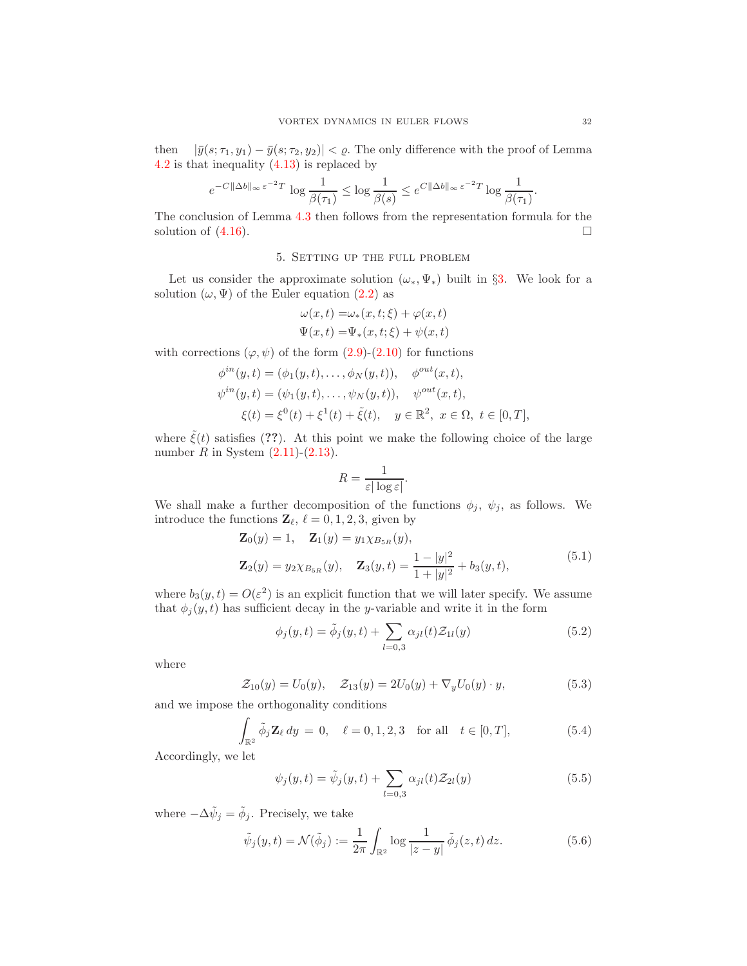then  $|\bar{y}(s; \tau_1, y_1) - \bar{y}(s; \tau_2, y_2)| < \varrho$ . The only difference with the proof of Lemma [4.2](#page-29-2) is that inequality [\(4.13\)](#page-29-1) is replaced by

$$
e^{-C\|\Delta b\|_\infty\,\varepsilon^{-2}T}\,\log\frac{1}{\beta(\tau_1)}\leq \log\frac{1}{\beta(s)}\leq e^{C\|\Delta b\|_\infty\,\varepsilon^{-2}T}\log\frac{1}{\beta(\tau_1)}.
$$

The conclusion of Lemma [4.3](#page-30-3) then follows from the representation formula for the solution of  $(4.16)$ .

# 5. Setting up the full problem

Let us consider the approximate solution  $(\omega_*, \Psi_*)$  built in §[3.](#page-7-4) We look for a solution  $(\omega, \Psi)$  of the Euler equation [\(2.2\)](#page-5-5) as

$$
\omega(x,t) = \omega_*(x,t;\xi) + \varphi(x,t)
$$
  

$$
\Psi(x,t) = \Psi_*(x,t;\xi) + \psi(x,t)
$$

with corrections  $(\varphi, \psi)$  of the form  $(2.9)-(2.10)$  $(2.9)-(2.10)$  for functions

$$
\phi^{in}(y,t) = (\phi_1(y,t), \dots, \phi_N(y,t)), \quad \phi^{out}(x,t),
$$
  

$$
\psi^{in}(y,t) = (\psi_1(y,t), \dots, \psi_N(y,t)), \quad \psi^{out}(x,t),
$$
  

$$
\xi(t) = \xi^0(t) + \xi^1(t) + \tilde{\xi}(t), \quad y \in \mathbb{R}^2, \ x \in \Omega, \ t \in [0,T],
$$

where  $\tilde{\xi}(t)$  satisfies (??). At this point we make the following choice of the large number  $R$  in System  $(2.11)-(2.13)$  $(2.11)-(2.13)$ .

$$
R = \frac{1}{\varepsilon |\log \varepsilon|}.
$$

We shall make a further decomposition of the functions  $\phi_j$ ,  $\psi_j$ , as follows. We introduce the functions  $\mathbf{Z}_{\ell}$ ,  $\ell = 0, 1, 2, 3$ , given by

<span id="page-31-4"></span>
$$
\mathbf{Z}_0(y) = 1, \quad \mathbf{Z}_1(y) = y_1 \chi_{B_{5R}}(y),
$$
  

$$
\mathbf{Z}_2(y) = y_2 \chi_{B_{5R}}(y), \quad \mathbf{Z}_3(y, t) = \frac{1 - |y|^2}{1 + |y|^2} + b_3(y, t),
$$
  
(5.1)

where  $b_3(y,t) = O(\varepsilon^2)$  is an explicit function that we will later specify. We assume that  $\phi_j(y, t)$  has sufficient decay in the y-variable and write it in the form

<span id="page-31-5"></span><span id="page-31-2"></span>
$$
\phi_j(y,t) = \tilde{\phi}_j(y,t) + \sum_{l=0,3} \alpha_{jl}(t) \mathcal{Z}_{1l}(y) \tag{5.2}
$$

where

$$
\mathcal{Z}_{10}(y) = U_0(y), \quad \mathcal{Z}_{13}(y) = 2U_0(y) + \nabla_y U_0(y) \cdot y,\tag{5.3}
$$

and we impose the orthogonality conditions

<span id="page-31-0"></span>
$$
\int_{\mathbb{R}^2} \tilde{\phi}_j \mathbf{Z}_{\ell} \, dy = 0, \quad \ell = 0, 1, 2, 3 \quad \text{for all} \quad t \in [0, T], \tag{5.4}
$$

Accordingly, we let

<span id="page-31-3"></span>
$$
\psi_j(y,t) = \tilde{\psi}_j(y,t) + \sum_{l=0,3} \alpha_{jl}(t) \mathcal{Z}_{2l}(y) \tag{5.5}
$$

where  $-\Delta \tilde{\psi}_j = \tilde{\phi}_j$ . Precisely, we take

<span id="page-31-1"></span>
$$
\tilde{\psi}_j(y,t) = \mathcal{N}(\tilde{\phi}_j) := \frac{1}{2\pi} \int_{\mathbb{R}^2} \log \frac{1}{|z-y|} \, \tilde{\phi}_j(z,t) \, dz.
$$
\n(5.6)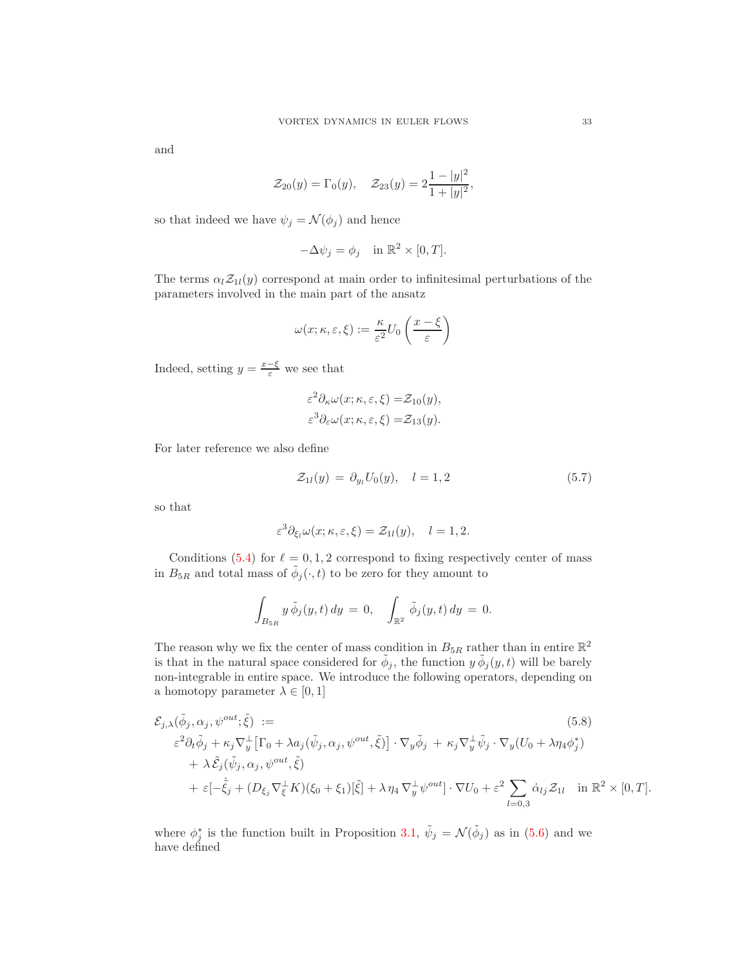and

$$
\mathcal{Z}_{20}(y) = \Gamma_0(y), \quad \mathcal{Z}_{23}(y) = 2\frac{1-|y|^2}{1+|y|^2},
$$

so that indeed we have  $\psi_j = \mathcal{N}(\phi_j)$  and hence

$$
-\Delta \psi_j = \phi_j \quad \text{in } \mathbb{R}^2 \times [0, T].
$$

The terms  $\alpha_l \mathcal{Z}_{1l}(y)$  correspond at main order to infinitesimal perturbations of the parameters involved in the main part of the ansatz

$$
\omega(x; \kappa, \varepsilon, \xi) := \frac{\kappa}{\varepsilon^2} U_0\left(\frac{x - \xi}{\varepsilon}\right)
$$

Indeed, setting  $y = \frac{x-\xi}{\varepsilon}$  we see that

$$
\varepsilon^2 \partial_\kappa \omega(x;\kappa,\varepsilon,\xi) = \mathcal{Z}_{10}(y),
$$
  

$$
\varepsilon^3 \partial_\varepsilon \omega(x;\kappa,\varepsilon,\xi) = \mathcal{Z}_{13}(y).
$$

For later reference we also define

<span id="page-32-0"></span>
$$
\mathcal{Z}_{1l}(y) = \partial_{y_l} U_0(y), \quad l = 1, 2 \tag{5.7}
$$

so that

$$
\varepsilon^3 \partial_{\xi_l} \omega(x; \kappa, \varepsilon, \xi) = \mathcal{Z}_{1l}(y), \quad l = 1, 2.
$$

Conditions [\(5.4\)](#page-31-0) for  $\ell = 0, 1, 2$  correspond to fixing respectively center of mass in  $B_{5R}$  and total mass of  $\tilde{\phi}_j(\cdot, t)$  to be zero for they amount to

<span id="page-32-1"></span>
$$
\int_{B_{5R}} y \tilde{\phi}_j(y,t) dy = 0, \quad \int_{\mathbb{R}^2} \tilde{\phi}_j(y,t) dy = 0.
$$

The reason why we fix the center of mass condition in  $B_{5R}$  rather than in entire  $\mathbb{R}^2$ is that in the natural space considered for  $\tilde{\phi}_j$ , the function  $y \tilde{\phi}_j(y, t)$  will be barely non-integrable in entire space. We introduce the following operators, depending on a homotopy parameter  $\lambda \in [0, 1]$ 

$$
\mathcal{E}_{j,\lambda}(\tilde{\phi}_j, \alpha_j, \psi^{out}; \tilde{\xi}) :=
$$
\n
$$
\varepsilon^2 \partial_t \tilde{\phi}_j + \kappa_j \nabla_y^{\perp} [\Gamma_0 + \lambda a_j(\tilde{\psi}_j, \alpha_j, \psi^{out}, \tilde{\xi})] \cdot \nabla_y \tilde{\phi}_j + \kappa_j \nabla_y^{\perp} \tilde{\psi}_j \cdot \nabla_y (U_0 + \lambda \eta_4 \phi_j^*)
$$
\n
$$
+ \lambda \tilde{\mathcal{E}}_j(\tilde{\psi}_j, \alpha_j, \psi^{out}, \tilde{\xi})
$$
\n
$$
+ \varepsilon [-\dot{\tilde{\xi}}_j + (D_{\xi_j} \nabla_{\xi}^{\perp} K)(\xi_0 + \xi_1)[\tilde{\xi}] + \lambda \eta_4 \nabla_y^{\perp} \psi^{out}] \cdot \nabla U_0 + \varepsilon^2 \sum_{l=0,3} \dot{\alpha}_{lj} \mathcal{Z}_{1l} \quad \text{in } \mathbb{R}^2 \times [0, T].
$$
\n(5.8)

where  $\phi_j^*$  is the function built in Proposition [3.1,](#page-9-0)  $\tilde{\psi}_j = \mathcal{N}(\tilde{\phi}_j)$  as in [\(5.6\)](#page-31-1) and we have defined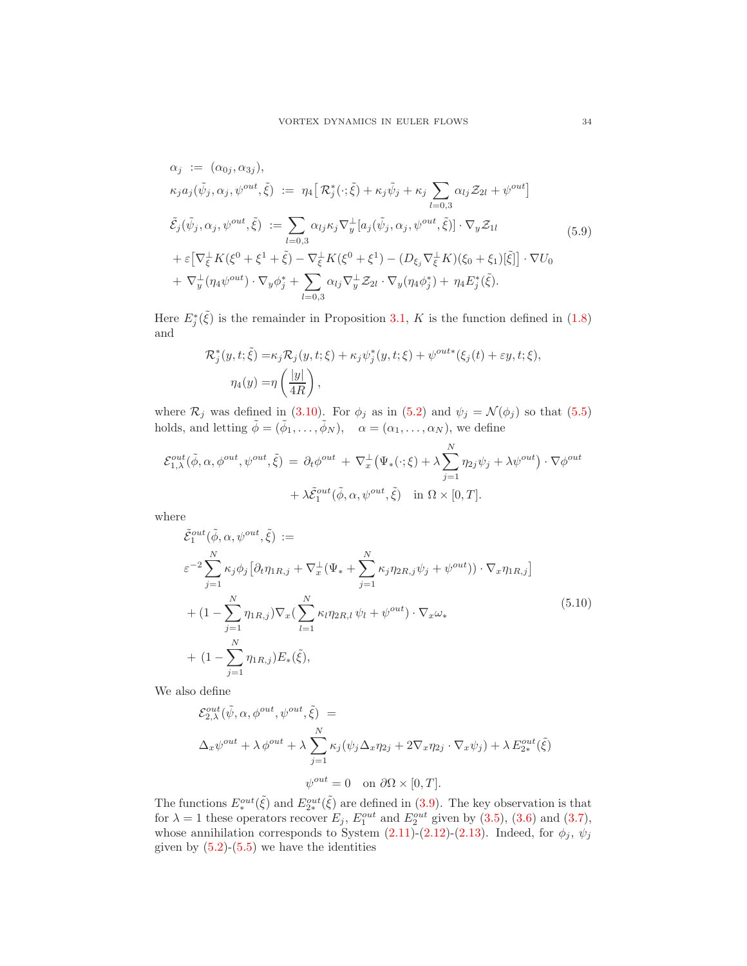<span id="page-33-0"></span>
$$
\alpha_j := (\alpha_{0j}, \alpha_{3j}),
$$
\n
$$
\kappa_j a_j(\tilde{\psi}_j, \alpha_j, \psi^{out}, \tilde{\xi}) := \eta_4 \Big[ \mathcal{R}_j^*(\cdot; \tilde{\xi}) + \kappa_j \tilde{\psi}_j + \kappa_j \sum_{l=0,3} \alpha_{lj} \mathcal{Z}_{2l} + \psi^{out} \Big]
$$
\n
$$
\tilde{\mathcal{E}}_j(\tilde{\psi}_j, \alpha_j, \psi^{out}, \tilde{\xi}) := \sum_{l=0,3} \alpha_{lj} \kappa_j \nabla_y^{\perp} [a_j(\tilde{\psi}_j, \alpha_j, \psi^{out}, \tilde{\xi})] \cdot \nabla_y \mathcal{Z}_{1l}
$$
\n
$$
+ \varepsilon \Big[ \nabla_{\xi}^{\perp} K(\xi^0 + \xi^1 + \tilde{\xi}) - \nabla_{\xi}^{\perp} K(\xi^0 + \xi^1) - (D_{\xi_j} \nabla_{\xi}^{\perp} K)(\xi_0 + \xi_1) [\tilde{\xi}] \Big] \cdot \nabla U_0
$$
\n
$$
+ \nabla_y^{\perp} (\eta_4 \psi^{out}) \cdot \nabla_y \phi_j^* + \sum_{l=0,3} \alpha_{lj} \nabla_y^{\perp} \mathcal{Z}_{2l} \cdot \nabla_y (\eta_4 \phi_j^*) + \eta_4 E_j^*(\tilde{\xi}).
$$
\n(5.9)

Here  $E_j^*(\tilde{\xi})$  is the remainder in Proposition [3.1,](#page-9-0) K is the function defined in [\(1.8\)](#page-2-1) and

$$
\mathcal{R}_j^*(y, t; \tilde{\xi}) = \kappa_j \mathcal{R}_j(y, t; \xi) + \kappa_j \psi_j^*(y, t; \xi) + \psi^{out*}(\xi_j(t) + \varepsilon y, t; \xi),
$$
  

$$
\eta_4(y) = \eta \left(\frac{|y|}{4R}\right),
$$

where  $\mathcal{R}_j$  was defined in [\(3.10\)](#page-10-3). For  $\phi_j$  as in [\(5.2\)](#page-31-2) and  $\psi_j = \mathcal{N}(\phi_j)$  so that [\(5.5\)](#page-31-3) holds, and letting  $\tilde{\phi} = (\tilde{\phi}_1, \ldots, \tilde{\phi}_N)$ ,  $\alpha = (\alpha_1, \ldots, \alpha_N)$ , we define

$$
\mathcal{E}_{1,\lambda}^{out}(\tilde{\phi}, \alpha, \phi^{out}, \psi^{out}, \tilde{\xi}) = \partial_t \phi^{out} + \nabla_x^{\perp} (\Psi_*(\cdot; \xi) + \lambda \sum_{j=1}^N \eta_{2j} \psi_j + \lambda \psi^{out}) \cdot \nabla \phi^{out} + \lambda \tilde{\mathcal{E}}_1^{out}(\tilde{\phi}, \alpha, \psi^{out}, \tilde{\xi}) \quad \text{in } \Omega \times [0, T].
$$

where

<span id="page-33-1"></span>
$$
\tilde{\mathcal{E}}_{1}^{out}(\tilde{\phi}, \alpha, \psi^{out}, \tilde{\xi}) :=
$$
\n
$$
\varepsilon^{-2} \sum_{j=1}^{N} \kappa_{j} \phi_{j} \left[ \partial_{t} \eta_{1R,j} + \nabla_{x}^{\perp} (\Psi_{*} + \sum_{j=1}^{N} \kappa_{j} \eta_{2R,j} \psi_{j} + \psi^{out}) \right) \cdot \nabla_{x} \eta_{1R,j} \right]
$$
\n
$$
+ (1 - \sum_{j=1}^{N} \eta_{1R,j}) \nabla_{x} (\sum_{l=1}^{N} \kappa_{l} \eta_{2R,l} \psi_{l} + \psi^{out}) \cdot \nabla_{x} \omega_{*}
$$
\n
$$
+ (1 - \sum_{j=1}^{N} \eta_{1R,j}) E_{*}(\tilde{\xi}), \qquad (5.10)
$$

We also define

$$
\mathcal{E}_{2,\lambda}^{out}(\tilde{\psi}, \alpha, \phi^{out}, \psi^{out}, \tilde{\xi}) =
$$
  

$$
\Delta_x \psi^{out} + \lambda \phi^{out} + \lambda \sum_{j=1}^N \kappa_j (\psi_j \Delta_x \eta_{2j} + 2 \nabla_x \eta_{2j} \cdot \nabla_x \psi_j) + \lambda E_{2*}^{out}(\tilde{\xi})
$$
  

$$
\psi^{out} = 0 \quad \text{on } \partial \Omega \times [0, T].
$$

The functions  $E^{out}_*(\tilde{\xi})$  and  $E^{out}_{2*}(\tilde{\xi})$  are defined in [\(3.9\)](#page-9-1). The key observation is that for  $\lambda = 1$  these operators recover  $E_j$ ,  $E_1^{out}$  and  $E_2^{out}$  given by [\(3.5\)](#page-8-2), [\(3.6\)](#page-8-4) and [\(3.7\)](#page-8-5), whose annihilation corresponds to System  $(2.11)-(2.12)-(2.13)$  $(2.11)-(2.12)-(2.13)$  $(2.11)-(2.12)-(2.13)$  $(2.11)-(2.12)-(2.13)$ . Indeed, for  $\phi_j$ ,  $\psi_j$ given by  $(5.2)-(5.5)$  $(5.2)-(5.5)$  we have the identities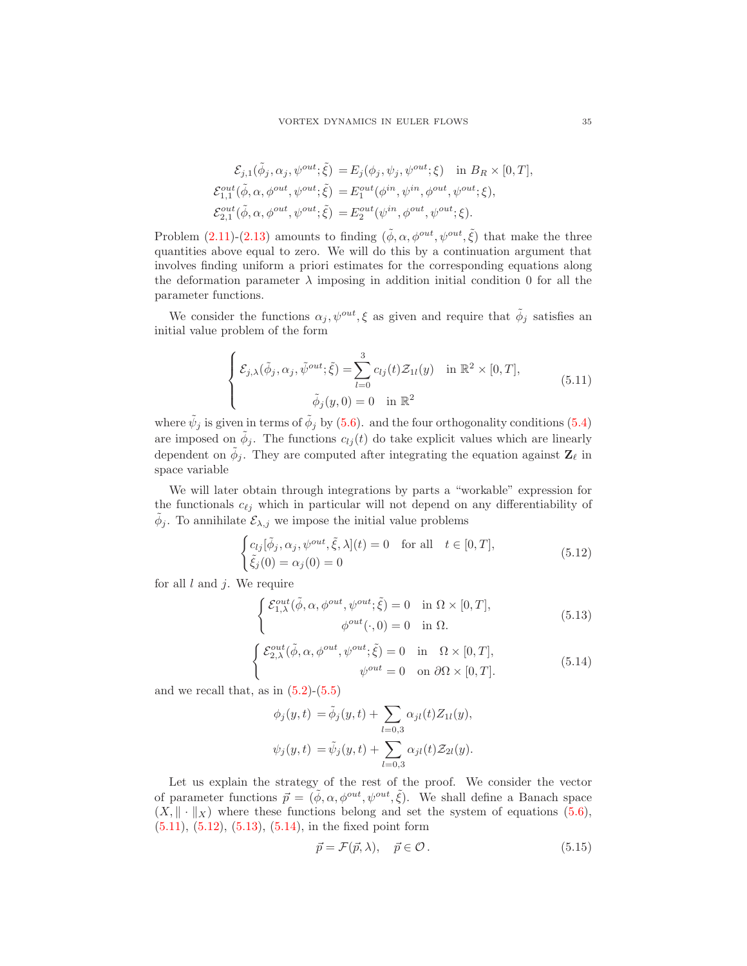$$
\mathcal{E}_{j,1}(\tilde{\phi}_j, \alpha_j, \psi^{out}; \tilde{\xi}) = E_j(\phi_j, \psi_j, \psi^{out}; \xi) \quad \text{in } B_R \times [0, T],
$$
  
\n
$$
\mathcal{E}_{1,1}^{out}(\tilde{\phi}, \alpha, \phi^{out}, \psi^{out}; \tilde{\xi}) = E_1^{out}(\phi^{in}, \psi^{in}, \phi^{out}, \psi^{out}; \xi),
$$
  
\n
$$
\mathcal{E}_{2,1}^{out}(\tilde{\phi}, \alpha, \phi^{out}, \psi^{out}; \tilde{\xi}) = E_2^{out}(\psi^{in}, \phi^{out}, \psi^{out}; \xi).
$$

Problem  $(2.11)-(2.13)$  $(2.11)-(2.13)$  amounts to finding  $(\tilde{\phi}, \alpha, \phi^{out}, \psi^{out}, \tilde{\xi})$  that make the three quantities above equal to zero. We will do this by a continuation argument that involves finding uniform a priori estimates for the corresponding equations along the deformation parameter  $\lambda$  imposing in addition initial condition 0 for all the parameter functions.

We consider the functions  $\alpha_j, \psi^{out}, \xi$  as given and require that  $\tilde{\phi}_j$  satisfies an initial value problem of the form

<span id="page-34-0"></span>
$$
\begin{cases}\n\mathcal{E}_{j,\lambda}(\tilde{\phi}_j, \alpha_j, \tilde{\psi}^{out}; \tilde{\xi}) = \sum_{l=0}^3 c_{lj}(t) \mathcal{Z}_{1l}(y) & \text{in } \mathbb{R}^2 \times [0, T], \\
\tilde{\phi}_j(y, 0) = 0 & \text{in } \mathbb{R}^2\n\end{cases}
$$
\n(5.11)

where  $\tilde{\psi}_j$  is given in terms of  $\tilde{\phi}_j$  by [\(5.6\)](#page-31-1). and the four orthogonality conditions [\(5.4\)](#page-31-0) are imposed on  $\tilde{\phi}_j$ . The functions  $c_{lj}(t)$  do take explicit values which are linearly dependent on  $\tilde{\phi}_j$ . They are computed after integrating the equation against  $\mathbf{Z}_{\ell}$  in space variable

We will later obtain through integrations by parts a "workable" expression for the functionals  $c_{\ell j}$  which in particular will not depend on any differentiability of  $\tilde{\phi}_j$ . To annihilate  $\mathcal{E}_{\lambda,j}$  we impose the initial value problems

<span id="page-34-1"></span>
$$
\begin{cases} c_{lj}[\tilde{\phi}_j, \alpha_j, \psi^{out}, \tilde{\xi}, \lambda](t) = 0 & \text{for all} \quad t \in [0, T],\\ \tilde{\xi}_j(0) = \alpha_j(0) = 0 \end{cases}
$$
\n(5.12)

for all  $l$  and  $j$ . We require

<span id="page-34-2"></span>
$$
\begin{cases}\n\mathcal{E}_{1,\lambda}^{out}(\tilde{\phi}, \alpha, \phi^{out}, \psi^{out}; \tilde{\xi}) = 0 & \text{in } \Omega \times [0, T], \\
\phi^{out}(\cdot, 0) = 0 & \text{in } \Omega.\n\end{cases}
$$
\n(5.13)

<span id="page-34-3"></span>
$$
\begin{cases}\n\mathcal{E}_{2,\lambda}^{out}(\tilde{\phi}, \alpha, \phi^{out}, \psi^{out}; \tilde{\xi}) = 0 & \text{in } \Omega \times [0, T], \\
\psi^{out} = 0 & \text{on } \partial\Omega \times [0, T].\n\end{cases}
$$
\n(5.14)

and we recall that, as in  $(5.2)-(5.5)$  $(5.2)-(5.5)$ 

$$
\phi_j(y,t) = \tilde{\phi}_j(y,t) + \sum_{l=0,3} \alpha_{jl}(t) Z_{1l}(y),
$$
  

$$
\psi_j(y,t) = \tilde{\psi}_j(y,t) + \sum_{l=0,3} \alpha_{jl}(t) Z_{2l}(y).
$$

Let us explain the strategy of the rest of the proof. We consider the vector of parameter functions  $\vec{p} = (\tilde{\phi}, \alpha, \phi^{out}, \psi^{out}, \tilde{\xi})$ . We shall define a Banach space  $(X, \|\cdot\|_X)$  where these functions belong and set the system of equations [\(5.6\)](#page-31-1), [\(5.11\)](#page-34-0), [\(5.12\)](#page-34-1), [\(5.13\)](#page-34-2), [\(5.14\)](#page-34-3), in the fixed point form

<span id="page-34-4"></span>
$$
\vec{p} = \mathcal{F}(\vec{p}, \lambda), \quad \vec{p} \in \mathcal{O} \,. \tag{5.15}
$$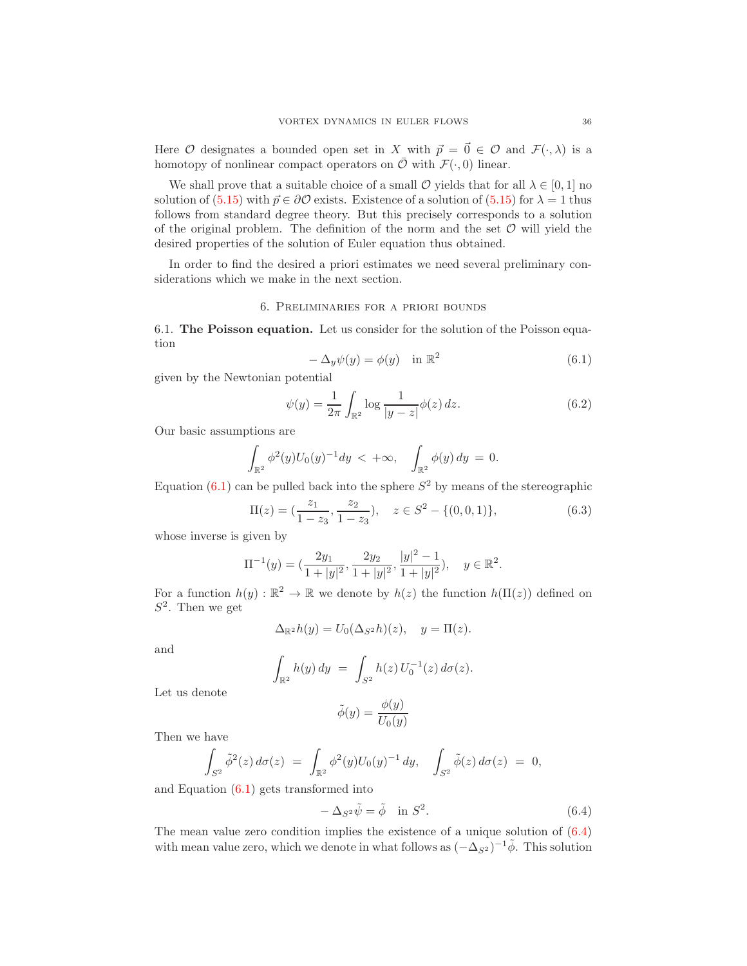Here O designates a bounded open set in X with  $\vec{p} = \vec{0} \in \mathcal{O}$  and  $\mathcal{F}(\cdot, \lambda)$  is a homotopy of nonlinear compact operators on  $\overline{\mathcal{O}}$  with  $\mathcal{F}(\cdot, 0)$  linear.

We shall prove that a suitable choice of a small  $\mathcal O$  yields that for all  $\lambda \in [0,1]$  no solution of [\(5.15\)](#page-34-4) with  $\vec{p} \in \partial \mathcal{O}$  exists. Existence of a solution of (5.15) for  $\lambda = 1$  thus follows from standard degree theory. But this precisely corresponds to a solution of the original problem. The definition of the norm and the set  $\mathcal O$  will yield the desired properties of the solution of Euler equation thus obtained.

In order to find the desired a priori estimates we need several preliminary considerations which we make in the next section.

### 6. Preliminaries for a priori bounds

6.1. The Poisson equation. Let us consider for the solution of the Poisson equation

<span id="page-35-0"></span>
$$
-\Delta_y \psi(y) = \phi(y) \quad \text{in } \mathbb{R}^2
$$
\n(6.1)

given by the Newtonian potential

<span id="page-35-2"></span>
$$
\psi(y) = \frac{1}{2\pi} \int_{\mathbb{R}^2} \log \frac{1}{|y - z|} \phi(z) \, dz.
$$
\n(6.2)

Our basic assumptions are

$$
\int_{\mathbb{R}^2} \phi^2(y) U_0(y)^{-1} dy < +\infty, \quad \int_{\mathbb{R}^2} \phi(y) dy = 0.
$$

Equation  $(6.1)$  can be pulled back into the sphere  $S^2$  by means of the stereographic

<span id="page-35-3"></span>
$$
\Pi(z) = \left(\frac{z_1}{1 - z_3}, \frac{z_2}{1 - z_3}\right), \quad z \in S^2 - \{(0, 0, 1)\},\tag{6.3}
$$

whose inverse is given by

$$
\Pi^{-1}(y)=(\frac{2y_1}{1+|y|^2},\frac{2y_2}{1+|y|^2},\frac{|y|^2-1}{1+|y|^2}),\quad y\in\mathbb{R}^2.
$$

For a function  $h(y): \mathbb{R}^2 \to \mathbb{R}$  we denote by  $h(z)$  the function  $h(\Pi(z))$  defined on  $S^2$ . Then we get

$$
\Delta_{\mathbb{R}^2}h(y) = U_0(\Delta_{S^2}h)(z), \quad y = \Pi(z).
$$

and

$$
\int_{\mathbb{R}^2} h(y) \, dy \ = \ \int_{S^2} h(z) \, U_0^{-1}(z) \, d\sigma(z).
$$

Let us denote

$$
\tilde{\phi}(y) = \frac{\phi(y)}{U_0(y)}
$$

Then we have

$$
\int_{S^2} \tilde{\phi}^2(z) d\sigma(z) = \int_{\mathbb{R}^2} \phi^2(y) U_0(y)^{-1} dy, \quad \int_{S^2} \tilde{\phi}(z) d\sigma(z) = 0,
$$

and Equation [\(6.1\)](#page-35-0) gets transformed into

<span id="page-35-1"></span>
$$
-\Delta_{S^2}\tilde{\psi} = \tilde{\phi} \quad \text{in } S^2. \tag{6.4}
$$

The mean value zero condition implies the existence of a unique solution of [\(6.4\)](#page-35-1) with mean value zero, which we denote in what follows as  $(-\Delta_{S^2})^{-1}\tilde{\phi}$ . This solution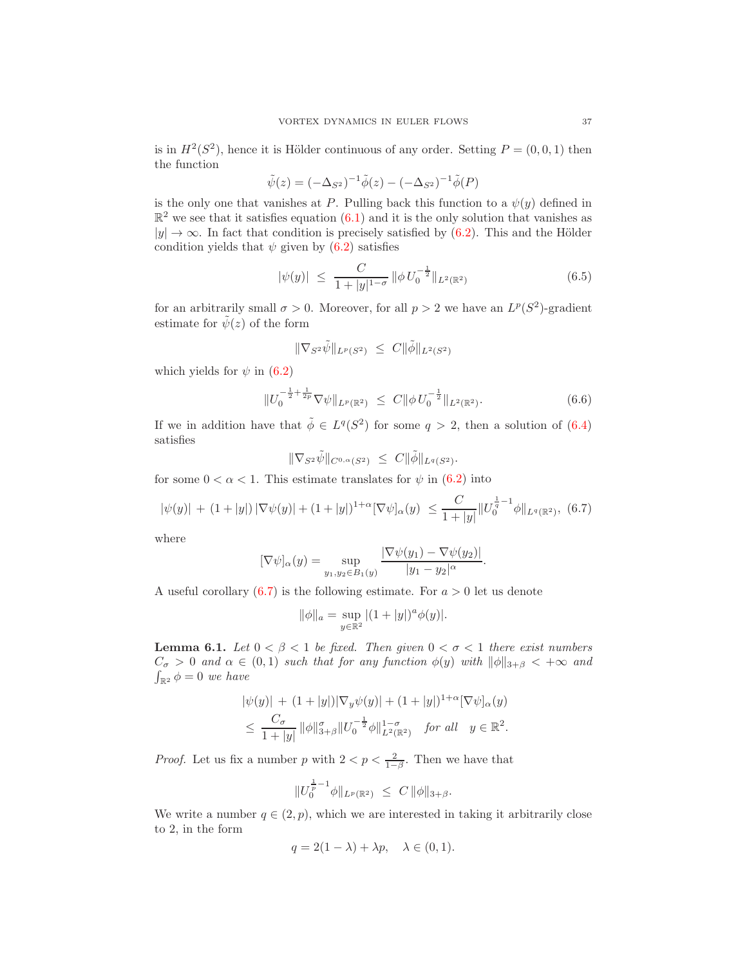is in  $H^2(S^2)$ , hence it is Hölder continuous of any order. Setting  $P = (0,0,1)$  then the function

$$
\tilde{\psi}(z) = (-\Delta_{S^2})^{-1} \tilde{\phi}(z) - (-\Delta_{S^2})^{-1} \tilde{\phi}(P)
$$

is the only one that vanishes at P. Pulling back this function to a  $\psi(y)$  defined in  $\mathbb{R}^2$  we see that it satisfies equation  $(6.1)$  and it is the only solution that vanishes as  $|y| \to \infty$ . In fact that condition is precisely satisfied by [\(6.2\)](#page-35-2). This and the Hölder condition yields that  $\psi$  given by [\(6.2\)](#page-35-2) satisfies

<span id="page-36-3"></span>
$$
|\psi(y)| \leq \frac{C}{1+|y|^{1-\sigma}} \|\phi \, U_0^{-\frac{1}{2}}\|_{L^2(\mathbb{R}^2)} \tag{6.5}
$$

for an arbitrarily small  $\sigma > 0$ . Moreover, for all  $p > 2$  we have an  $L^p(S^2)$ -gradient estimate for  $\tilde{\psi}(z)$  of the form

$$
\|\nabla_{S^2}\tilde{\psi}\|_{L^p(S^2)} \ \leq \ C \|\tilde{\phi}\|_{L^2(S^2)}
$$

which yields for  $\psi$  in [\(6.2\)](#page-35-2)

<span id="page-36-2"></span>
$$
||U_0^{-\frac{1}{2} + \frac{1}{2p}} \nabla \psi||_{L^p(\mathbb{R}^2)} \leq C ||\phi U_0^{-\frac{1}{2}}||_{L^2(\mathbb{R}^2)}.
$$
\n(6.6)

If we in addition have that  $\tilde{\phi} \in L^q(S^2)$  for some  $q > 2$ , then a solution of [\(6.4\)](#page-35-1) satisfies

$$
\|\nabla_{S^2}\tilde{\psi}\|_{C^{0,\alpha}(S^2)} \ \leq \ C\|\tilde{\phi}\|_{L^q(S^2)}.
$$

for some  $0 < \alpha < 1$ . This estimate translates for  $\psi$  in [\(6.2\)](#page-35-2) into

<span id="page-36-0"></span>
$$
|\psi(y)| + (1+|y|) |\nabla \psi(y)| + (1+|y|)^{1+\alpha} [\nabla \psi]_{\alpha}(y) \leq \frac{C}{1+|y|} \|U_0^{\frac{1}{q}-1} \phi\|_{L^q(\mathbb{R}^2)}, \tag{6.7}
$$

where

$$
[\nabla \psi]_{\alpha}(y) = \sup_{y_1, y_2 \in B_1(y)} \frac{|\nabla \psi(y_1) - \nabla \psi(y_2)|}{|y_1 - y_2|^{\alpha}}.
$$

A useful corollary  $(6.7)$  is the following estimate. For  $a > 0$  let us denote

$$
\|\phi\|_a = \sup_{y \in \mathbb{R}^2} |(1+|y|)^a \phi(y)|.
$$

<span id="page-36-1"></span>**Lemma 6.1.** Let  $0 < \beta < 1$  be fixed. Then given  $0 < \sigma < 1$  there exist numbers  $C_{\sigma} > 0$  and  $\alpha \in (0,1)$  such that for any function  $\phi(y)$  with  $\|\phi\|_{3+\beta} < +\infty$  and  $\int_{\mathbb{R}^2} \phi = 0$  we have

$$
|\psi(y)| + (1+|y|)|\nabla_y \psi(y)| + (1+|y|)^{1+\alpha} [\nabla \psi]_{\alpha}(y)
$$
  

$$
\leq \frac{C_{\sigma}}{1+|y|} \|\phi\|_{3+\beta}^{\sigma} \|U_0^{-\frac{1}{2}} \phi\|_{L^2(\mathbb{R}^2)}^{1-\sigma} \text{ for all } y \in \mathbb{R}^2.
$$

*Proof.* Let us fix a number p with  $2 < p < \frac{2}{1-\beta}$ . Then we have that

$$
||U_0^{\frac{1}{p}-1}\phi||_{L^p(\mathbb{R}^2)} \leq C ||\phi||_{3+\beta}.
$$

We write a number  $q \in (2, p)$ , which we are interested in taking it arbitrarily close to 2, in the form

$$
q = 2(1 - \lambda) + \lambda p, \quad \lambda \in (0, 1).
$$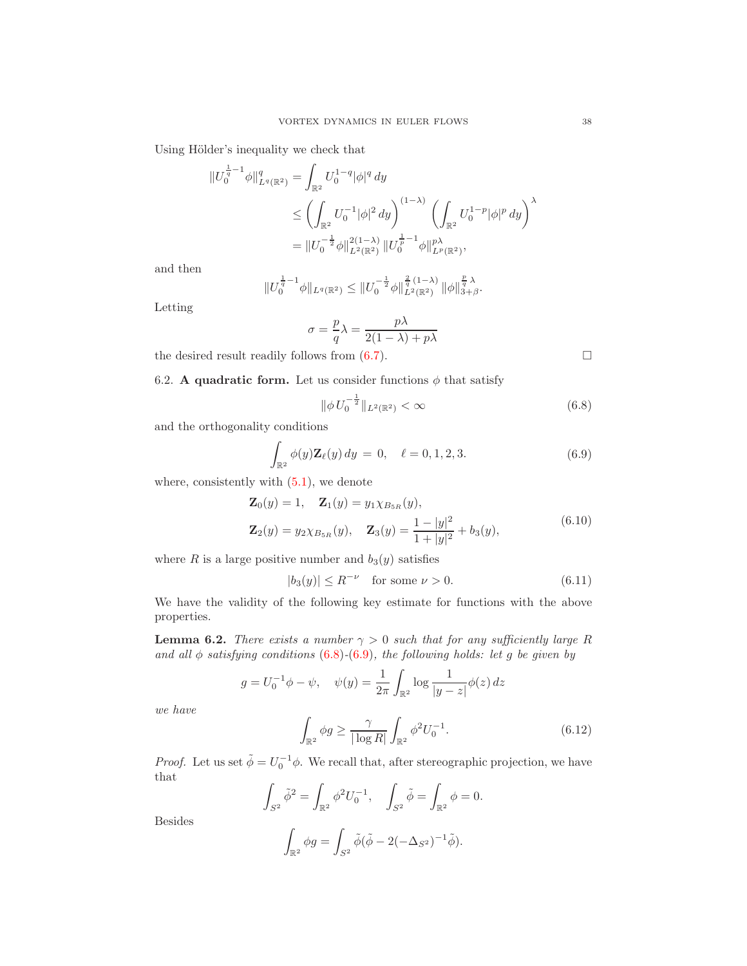Using Hölder's inequality we check that

$$
\begin{split} \|U_0^{\frac{1}{q}-1}\phi\|_{L^q(\mathbb{R}^2)}^q &= \int_{\mathbb{R}^2} U_0^{1-q} |\phi|^q \, dy \\ &\le \left(\int_{\mathbb{R}^2} U_0^{-1} |\phi|^2 \, dy\right)^{(1-\lambda)} \left(\int_{\mathbb{R}^2} U_0^{1-p} |\phi|^p \, dy\right)^\lambda \\ &= \|U_0^{-\frac{1}{2}}\phi\|_{L^2(\mathbb{R}^2)}^{2(1-\lambda)} \|U_0^{\frac{1}{p}-1}\phi\|_{L^p(\mathbb{R}^2)}^{p\lambda}, \end{split}
$$

and then

$$
||U_0^{\frac{1}{q}-1}\phi||_{L^q(\mathbb{R}^2)} \leq ||U_0^{-\frac{1}{2}}\phi||_{L^2(\mathbb{R}^2)}^{\frac{2}{q}(1-\lambda)} ||\phi||_{3+\beta}^{\frac{p}{q}\lambda}.
$$

Letting

$$
\sigma = \frac{p}{q}\lambda = \frac{p\lambda}{2(1-\lambda) + p\lambda}
$$

the desired result readily follows from  $(6.7)$ .

6.2. A quadratic form. Let us consider functions  $\phi$  that satisfy

<span id="page-37-0"></span>
$$
\|\phi \, U_0^{-\frac{1}{2}}\|_{L^2(\mathbb{R}^2)} < \infty \tag{6.8}
$$

and the orthogonality conditions

<span id="page-37-1"></span>
$$
\int_{\mathbb{R}^2} \phi(y) \mathbf{Z}_{\ell}(y) dy = 0, \quad \ell = 0, 1, 2, 3. \tag{6.9}
$$

where, consistently with  $(5.1)$ , we denote

<span id="page-37-2"></span>
$$
\mathbf{Z}_0(y) = 1, \quad \mathbf{Z}_1(y) = y_1 \chi_{B_{5R}}(y),
$$
  

$$
\mathbf{Z}_2(y) = y_2 \chi_{B_{5R}}(y), \quad \mathbf{Z}_3(y) = \frac{1 - |y|^2}{1 + |y|^2} + b_3(y),
$$
  
(6.10)

where R is a large positive number and  $b_3(y)$  satisfies

<span id="page-37-3"></span>
$$
|b_3(y)| \le R^{-\nu} \quad \text{for some } \nu > 0. \tag{6.11}
$$

We have the validity of the following key estimate for functions with the above properties.

<span id="page-37-4"></span>**Lemma 6.2.** There exists a number  $\gamma > 0$  such that for any sufficiently large R and all  $\phi$  satisfying conditions (6.[8\)](#page-37-0)-(6.[9\)](#page-37-1), the following holds: let g be given by

$$
g = U_0^{-1} \phi - \psi
$$
,  $\psi(y) = \frac{1}{2\pi} \int_{\mathbb{R}^2} \log \frac{1}{|y - z|} \phi(z) dz$ 

we have

<span id="page-37-5"></span>
$$
\int_{\mathbb{R}^2} \phi g \ge \frac{\gamma}{|\log R|} \int_{\mathbb{R}^2} \phi^2 U_0^{-1}.
$$
\n(6.12)

*Proof.* Let us set  $\tilde{\phi} = U_0^{-1} \phi$ . We recall that, after stereographic projection, we have that

$$
\int_{S^2} \tilde{\phi}^2 = \int_{\mathbb{R}^2} \phi^2 U_0^{-1}, \quad \int_{S^2} \tilde{\phi} = \int_{\mathbb{R}^2} \phi = 0.
$$

Besides

$$
\int_{\mathbb{R}^2} \phi g = \int_{S^2} \tilde{\phi} (\tilde{\phi} - 2(-\Delta_{S^2})^{-1} \tilde{\phi}).
$$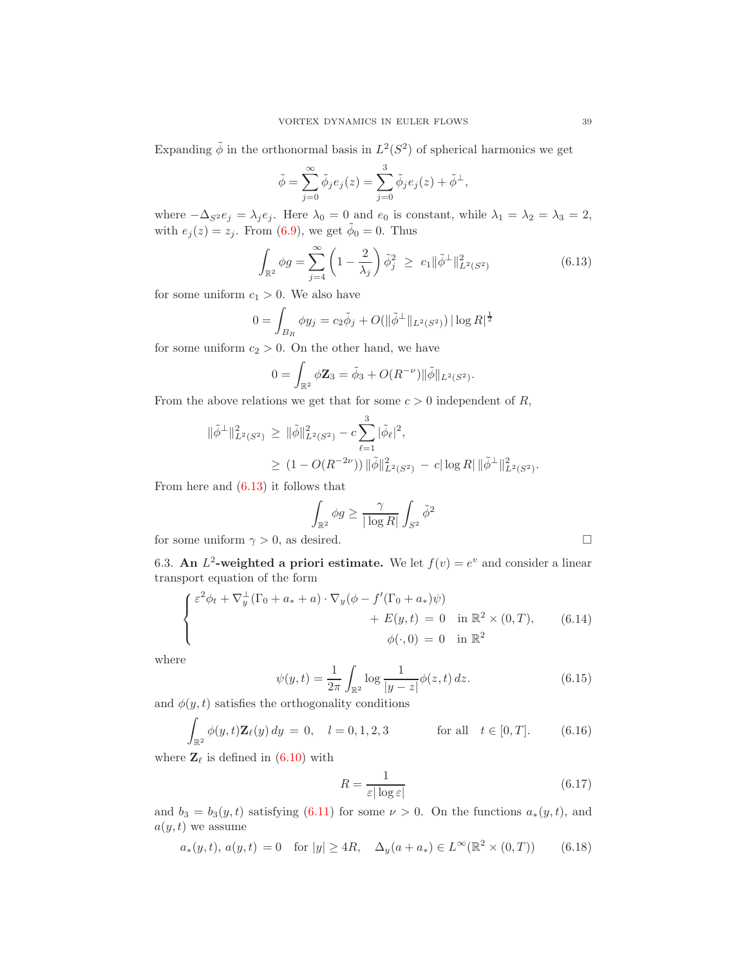Expanding  $\tilde{\phi}$  in the orthonormal basis in  $L^2(S^2)$  of spherical harmonics we get

$$
\tilde{\phi} = \sum_{j=0}^{\infty} \tilde{\phi}_j e_j(z) = \sum_{j=0}^{3} \tilde{\phi}_j e_j(z) + \tilde{\phi}^{\perp},
$$

where  $-\Delta_{S^2} e_j = \lambda_j e_j$ . Here  $\lambda_0 = 0$  and  $e_0$  is constant, while  $\lambda_1 = \lambda_2 = \lambda_3 = 2$ , with  $e_j(z) = z_j$ . From [\(6.9\)](#page-37-1), we get  $\tilde{\phi}_0 = 0$ . Thus

<span id="page-38-0"></span>
$$
\int_{\mathbb{R}^2} \phi g = \sum_{j=4}^{\infty} \left( 1 - \frac{2}{\lambda_j} \right) \tilde{\phi}_j^2 \ge c_1 \| \tilde{\phi}^{\perp} \|_{L^2(S^2)}^2
$$
\n(6.13)

for some uniform  $c_1 > 0$ . We also have

$$
0 = \int_{B_R} \phi y_j = c_2 \tilde{\phi}_j + O(\|\tilde{\phi}^{\perp}\|_{L^2(S^2)}) |\log R|^{\frac{1}{2}}
$$

for some uniform  $c_2 > 0$ . On the other hand, we have

$$
0 = \int_{\mathbb{R}^2} \phi \mathbf{Z}_3 = \tilde{\phi}_3 + O(R^{-\nu}) ||\tilde{\phi}||_{L^2(S^2)}.
$$

From the above relations we get that for some  $c > 0$  independent of R,

$$
\begin{aligned} \|\tilde{\phi}^{\perp}\|_{L^2(S^2)}^2 &\geq \|\tilde{\phi}\|_{L^2(S^2)}^2 - c \sum_{\ell=1}^3 |\tilde{\phi}_{\ell}|^2, \\ &\geq (1 - O(R^{-2\nu})) \|\tilde{\phi}\|_{L^2(S^2)}^2 - c |\log R| \|\tilde{\phi}^{\perp}\|_{L^2(S^2)}^2. \end{aligned}
$$

From here and  $(6.13)$  it follows that

$$
\int_{\mathbb{R}^2} \phi g \ge \frac{\gamma}{|\log R|} \int_{S^2} \tilde{\phi}^2
$$

for some uniform  $\gamma > 0$ , as desired.

6.3. An  $L^2$ -weighted a priori estimate. We let  $f(v) = e^v$  and consider a linear transport equation of the form

<span id="page-38-2"></span>
$$
\begin{cases}\n\varepsilon^2 \phi_t + \nabla_y^{\perp} (\Gamma_0 + a_* + a) \cdot \nabla_y (\phi - f'(\Gamma_0 + a_*) \psi) \\
+ E(y, t) = 0 \quad \text{in } \mathbb{R}^2 \times (0, T), \\
\phi(\cdot, 0) = 0 \quad \text{in } \mathbb{R}^2\n\end{cases}
$$
\n(6.14)

where

<span id="page-38-5"></span>
$$
\psi(y,t) = \frac{1}{2\pi} \int_{\mathbb{R}^2} \log \frac{1}{|y-z|} \phi(z,t) \, dz. \tag{6.15}
$$

and  $\phi(y, t)$  satisfies the orthogonality conditions

<span id="page-38-3"></span>
$$
\int_{\mathbb{R}^2} \phi(y, t) \mathbf{Z}_{\ell}(y) dy = 0, \quad l = 0, 1, 2, 3 \quad \text{for all} \quad t \in [0, T]. \tag{6.16}
$$

where  $\mathbf{Z}_{\ell}$  is defined in [\(6.10\)](#page-37-2) with

<span id="page-38-1"></span>
$$
R = \frac{1}{\varepsilon |\log \varepsilon|} \tag{6.17}
$$

and  $b_3 = b_3(y, t)$  satisfying [\(6.11\)](#page-37-3) for some  $\nu > 0$ . On the functions  $a_*(y, t)$ , and  $a(y, t)$  we assume

<span id="page-38-4"></span>
$$
a_*(y,t), a(y,t) = 0
$$
 for  $|y| \ge 4R$ ,  $\Delta_y(a+a_*) \in L^{\infty}(\mathbb{R}^2 \times (0,T))$  (6.18)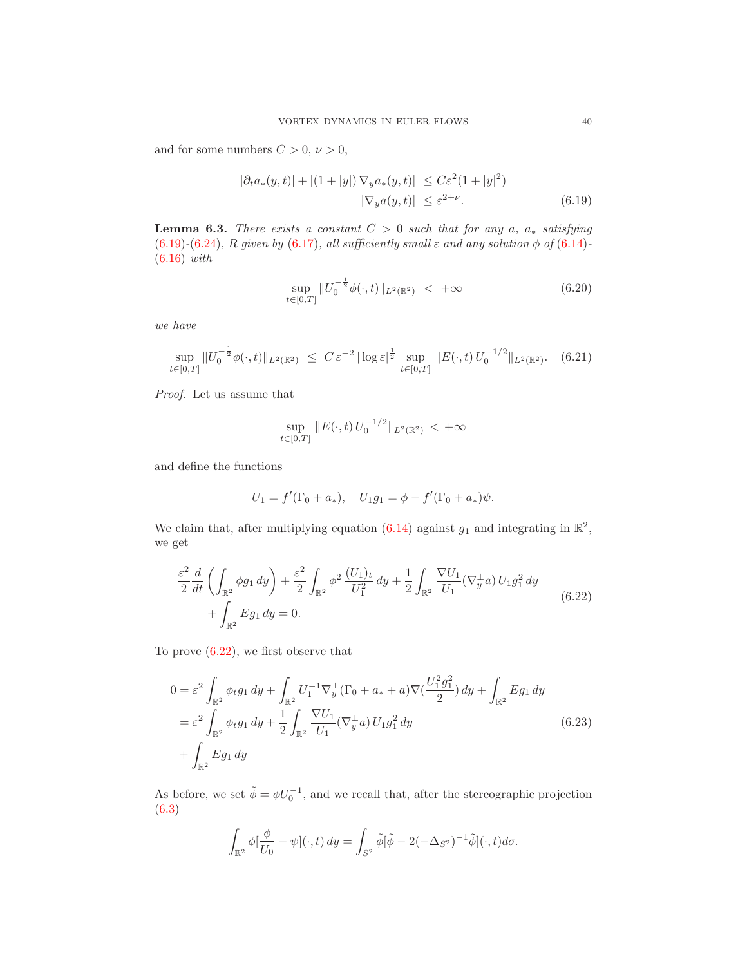and for some numbers  $C > 0$ ,  $\nu > 0$ ,

$$
|\partial_t a_*(y,t)| + |(1+|y|) \nabla_y a_*(y,t)| \le C\varepsilon^2 (1+|y|^2)
$$
  

$$
|\nabla_y a(y,t)| \le \varepsilon^{2+\nu}.
$$
 (6.19)

<span id="page-39-4"></span>**Lemma 6.3.** There exists a constant  $C > 0$  such that for any a,  $a_*$  satisfying (6.[19\)](#page-39-0)-(6.[24\)](#page-41-0), R given by [\(6.17\)](#page-38-1), all sufficiently small  $\varepsilon$  and any solution  $\phi$  of (6.[14\)](#page-38-2)-(6.[16\)](#page-38-3) with

<span id="page-39-5"></span><span id="page-39-0"></span>
$$
\sup_{t \in [0,T]} \|U_0^{-\frac{1}{2}} \phi(\cdot, t)\|_{L^2(\mathbb{R}^2)} < +\infty \tag{6.20}
$$

we have

<span id="page-39-3"></span>
$$
\sup_{t \in [0,T]} \|U_0^{-\frac{1}{2}} \phi(\cdot, t)\|_{L^2(\mathbb{R}^2)} \ \leq \ C \, \varepsilon^{-2} \, |\log \varepsilon|^{\frac{1}{2}} \, \sup_{t \in [0,T]} \|E(\cdot, t) \, U_0^{-1/2} \|_{L^2(\mathbb{R}^2)}. \tag{6.21}
$$

Proof. Let us assume that

$$
\sup_{t\in[0,T]}\|E(\cdot,t)U_0^{-1/2}\|_{L^2(\mathbb{R}^2)}<+\infty
$$

and define the functions

$$
U_1 = f'(\Gamma_0 + a_*), \quad U_1 g_1 = \phi - f'(\Gamma_0 + a_*)\psi.
$$

We claim that, after multiplying equation  $(6.14)$  against  $g_1$  and integrating in  $\mathbb{R}^2$ , we get

<span id="page-39-1"></span>
$$
\frac{\varepsilon^2}{2} \frac{d}{dt} \left( \int_{\mathbb{R}^2} \phi g_1 \, dy \right) + \frac{\varepsilon^2}{2} \int_{\mathbb{R}^2} \phi^2 \, \frac{(U_1)_t}{U_1^2} \, dy + \frac{1}{2} \int_{\mathbb{R}^2} \frac{\nabla U_1}{U_1} (\nabla_y^\perp a) \, U_1 g_1^2 \, dy + \int_{\mathbb{R}^2} E g_1 \, dy = 0.
$$
\n(6.22)

To prove  $(6.22)$ , we first observe that

<span id="page-39-2"></span>
$$
0 = \varepsilon^2 \int_{\mathbb{R}^2} \phi_t g_1 \, dy + \int_{\mathbb{R}^2} U_1^{-1} \nabla_y^{\perp} (\Gamma_0 + a_* + a) \nabla \left( \frac{U_1^2 g_1^2}{2} \right) dy + \int_{\mathbb{R}^2} E g_1 \, dy
$$
  
\n
$$
= \varepsilon^2 \int_{\mathbb{R}^2} \phi_t g_1 \, dy + \frac{1}{2} \int_{\mathbb{R}^2} \frac{\nabla U_1}{U_1} (\nabla_y^{\perp} a) U_1 g_1^2 \, dy
$$
  
\n
$$
+ \int_{\mathbb{R}^2} E g_1 \, dy
$$
\n(6.23)

As before, we set  $\tilde{\phi} = \phi U_0^{-1}$ , and we recall that, after the stereographic projection [\(6.3\)](#page-35-3)

$$
\int_{\mathbb{R}^2} \phi[\frac{\phi}{U_0} - \psi](\cdot, t) dy = \int_{S^2} \tilde{\phi}[\tilde{\phi} - 2(-\Delta_{S^2})^{-1}\tilde{\phi}](\cdot, t) d\sigma.
$$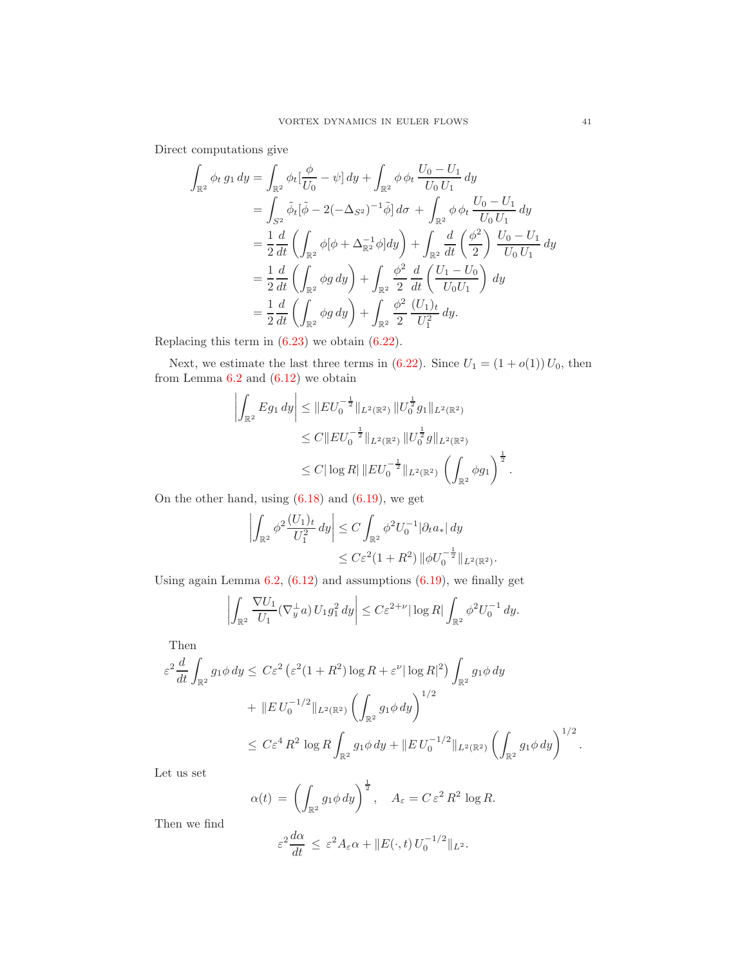Direct computations give

$$
\int_{\mathbb{R}^2} \phi_t g_1 dy = \int_{\mathbb{R}^2} \phi_t \left[ \frac{\phi}{U_0} - \psi \right] dy + \int_{\mathbb{R}^2} \phi \phi_t \frac{U_0 - U_1}{U_0 U_1} dy \n= \int_{S^2} \tilde{\phi}_t \left[ \tilde{\phi} - 2(-\Delta_{S^2})^{-1} \tilde{\phi} \right] d\sigma + \int_{\mathbb{R}^2} \phi \phi_t \frac{U_0 - U_1}{U_0 U_1} dy \n= \frac{1}{2} \frac{d}{dt} \left( \int_{\mathbb{R}^2} \phi \left[ \phi + \Delta_{\mathbb{R}^2}^{-1} \phi \right] dy \right) + \int_{\mathbb{R}^2} \frac{d}{dt} \left( \frac{\phi^2}{2} \right) \frac{U_0 - U_1}{U_0 U_1} dy \n= \frac{1}{2} \frac{d}{dt} \left( \int_{\mathbb{R}^2} \phi g dy \right) + \int_{\mathbb{R}^2} \frac{\phi^2}{2} \frac{d}{dt} \left( \frac{U_1 - U_0}{U_0 U_1} \right) dy \n= \frac{1}{2} \frac{d}{dt} \left( \int_{\mathbb{R}^2} \phi g dy \right) + \int_{\mathbb{R}^2} \frac{\phi^2}{2} \frac{(U_1)_t}{U_1^2} dy.
$$

Replacing this term in [\(6.23\)](#page-39-2) we obtain [\(6.22\)](#page-39-1).

Next, we estimate the last three terms in  $(6.22)$ . Since  $U_1 = (1 + o(1))U_0$ , then from Lemma  $6.2$  and  $(6.12)$  we obtain

$$
\left| \int_{\mathbb{R}^2} E g_1 \, dy \right| \leq \left\| E U_0^{-\frac{1}{2}} \right\|_{L^2(\mathbb{R}^2)} \left\| U_0^{\frac{1}{2}} g_1 \right\|_{L^2(\mathbb{R}^2)} \n\leq C \left\| E U_0^{-\frac{1}{2}} \right\|_{L^2(\mathbb{R}^2)} \left\| U_0^{\frac{1}{2}} g \right\|_{L^2(\mathbb{R}^2)} \n\leq C \left| \log R \right| \left\| E U_0^{-\frac{1}{2}} \right\|_{L^2(\mathbb{R}^2)} \left( \int_{\mathbb{R}^2} \phi g_1 \right)^{\frac{1}{2}}.
$$

On the other hand, using  $(6.18)$  and  $(6.19)$ , we get

$$
\left| \int_{\mathbb{R}^2} \phi^2 \frac{(U_1)_t}{U_1^2} dy \right| \le C \int_{\mathbb{R}^2} \phi^2 U_0^{-1} |\partial_t a_*| dy
$$
  

$$
\le C \varepsilon^2 (1 + R^2) \|\phi U_0^{-\frac{1}{2}}\|_{L^2(\mathbb{R}^2)}.
$$

Using again Lemma  $6.2$ ,  $(6.12)$  and assumptions  $(6.19)$ , we finally get

$$
\left| \int_{\mathbb{R}^2} \frac{\nabla U_1}{U_1} (\nabla_y^{\perp} a) U_1 g_1^2 dy \right| \leq C \varepsilon^{2+\nu} |\log R| \int_{\mathbb{R}^2} \phi^2 U_0^{-1} dy.
$$

Then

$$
\varepsilon^2 \frac{d}{dt} \int_{\mathbb{R}^2} g_1 \phi \, dy \le C \varepsilon^2 \left( \varepsilon^2 (1 + R^2) \log R + \varepsilon^{\nu} |\log R|^2 \right) \int_{\mathbb{R}^2} g_1 \phi \, dy
$$
  
+ 
$$
\| E U_0^{-1/2} \|_{L^2(\mathbb{R}^2)} \left( \int_{\mathbb{R}^2} g_1 \phi \, dy \right)^{1/2}
$$
  

$$
\le C \varepsilon^4 R^2 \log R \int_{\mathbb{R}^2} g_1 \phi \, dy + \| E U_0^{-1/2} \|_{L^2(\mathbb{R}^2)} \left( \int_{\mathbb{R}^2} g_1 \phi \, dy \right)^{1/2}
$$

Let us set

$$
\alpha(t) = \left(\int_{\mathbb{R}^2} g_1 \phi \, dy\right)^{\frac{1}{2}}, \quad A_{\varepsilon} = C \, \varepsilon^2 \, R^2 \, \log R.
$$

Then we find

$$
\varepsilon^2 \frac{d\alpha}{dt} \le \varepsilon^2 A_\varepsilon \alpha + \|E(\cdot,t) U_0^{-1/2}\|_{L^2}.
$$

.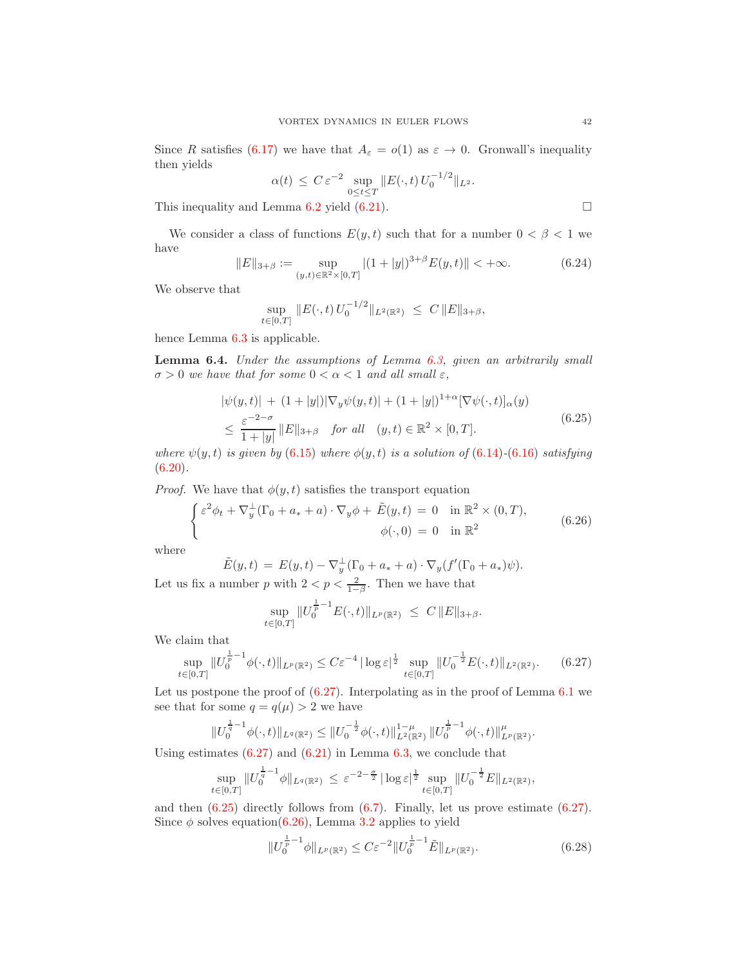Since R satisfies [\(6.17\)](#page-38-1) we have that  $A_{\varepsilon} = o(1)$  as  $\varepsilon \to 0$ . Gronwall's inequality then yields

$$
\alpha(t) \leq C \varepsilon^{-2} \sup_{0 \leq t \leq T} \|E(\cdot, t) U_0^{-1/2}\|_{L^2}.
$$

This inequality and Lemma [6.2](#page-37-4) yield  $(6.21)$ .

We consider a class of functions  $E(y, t)$  such that for a number  $0 < \beta < 1$  we have

<span id="page-41-0"></span>
$$
||E||_{3+\beta} := \sup_{(y,t)\in\mathbb{R}^2\times[0,T]} |(1+|y|)^{3+\beta} E(y,t)|| < +\infty.
$$
 (6.24)

We observe that

$$
\sup_{t\in[0,T]}\|E(\cdot,t)\,U_0^{-1/2}\|_{L^2(\mathbb{R}^2)}\;\leq\;C\,\|E\|_{3+\beta},
$$

hence Lemma [6.3](#page-39-4) is applicable.

<span id="page-41-5"></span>Lemma 6.4. Under the assumptions of Lemma [6.3,](#page-39-4) given an arbitrarily small  $\sigma > 0$  we have that for some  $0 < \alpha < 1$  and all small  $\varepsilon$ ,

<span id="page-41-2"></span>
$$
|\psi(y,t)| + (1+|y|)|\nabla_y \psi(y,t)| + (1+|y|)^{1+\alpha} [\nabla \psi(\cdot,t)]_{\alpha}(y)
$$
  
\n
$$
\leq \frac{\varepsilon^{-2-\sigma}}{1+|y|} \|E\|_{3+\beta} \quad \text{for all} \quad (y,t) \in \mathbb{R}^2 \times [0,T].
$$
\n(6.25)

where  $\psi(y, t)$  is given by (6.[15\)](#page-38-5) where  $\phi(y, t)$  is a solution of (6.[14\)](#page-38-2)-(6.[16\)](#page-38-3) satisfying  $(6.20).$  $(6.20).$  $(6.20).$ 

*Proof.* We have that  $\phi(y, t)$  satisfies the transport equation

<span id="page-41-3"></span>
$$
\begin{cases} \varepsilon^2 \phi_t + \nabla_y^{\perp} (\Gamma_0 + a_* + a) \cdot \nabla_y \phi + \tilde{E}(y, t) = 0 & \text{in } \mathbb{R}^2 \times (0, T), \\ \phi(\cdot, 0) = 0 & \text{in } \mathbb{R}^2 \end{cases}
$$
 (6.26)

where

$$
\tilde{E}(y,t) = E(y,t) - \nabla_y^{\perp}(\Gamma_0 + a_* + a) \cdot \nabla_y(f'(\Gamma_0 + a_*)\psi).
$$

Let us fix a number p with  $2 < p < \frac{2}{1-\beta}$ . Then we have that

$$
\sup_{t\in[0,T]}\|U_0^{\frac{1}{p}-1}E(\cdot,t)\|_{L^p(\mathbb{R}^2)}\ \le\ C\,\|E\|_{3+\beta}.
$$

We claim that

<span id="page-41-1"></span>
$$
\sup_{t \in [0,T]} \|U_0^{\frac{1}{p}-1} \phi(\cdot, t)\|_{L^p(\mathbb{R}^2)} \le C\varepsilon^{-4} |\log \varepsilon|^{\frac{1}{2}} \sup_{t \in [0,T]} \|U_0^{-\frac{1}{2}} E(\cdot, t)\|_{L^2(\mathbb{R}^2)}. \tag{6.27}
$$

Let us postpone the proof of  $(6.27)$ . Interpolating as in the proof of Lemma  $6.1$  we see that for some  $q = q(\mu) > 2$  we have

$$
||U_0^{\frac{1}{q}-1}\phi(\cdot,t)||_{L^q(\mathbb{R}^2)} \leq ||U_0^{-\frac{1}{2}}\phi(\cdot,t)||_{L^2(\mathbb{R}^2)}^{1-\mu} ||U_0^{\frac{1}{p}-1}\phi(\cdot,t)||_{L^p(\mathbb{R}^2)}^\mu.
$$

Using estimates  $(6.27)$  and  $(6.21)$  in Lemma [6.3,](#page-39-4) we conclude that

$$
\sup_{t\in[0,T]}\|U_0^{\frac{1}{q}-1}\phi\|_{L^q(\mathbb{R}^2)}\,\leq\,\varepsilon^{-2-\frac{\sigma}{2}}\,|\log\varepsilon|^{\frac{1}{2}}\sup_{t\in[0,T]}\|U_0^{-\frac{1}{2}}E\|_{L^2(\mathbb{R}^2)},
$$

and then  $(6.25)$  directly follows from  $(6.7)$ . Finally, let us prove estimate  $(6.27)$ . Since  $\phi$  solves equation[\(6.26\)](#page-41-3), Lemma [3.2](#page-16-3) applies to yield

<span id="page-41-4"></span>
$$
||U_0^{\frac{1}{p}-1}\phi||_{L^p(\mathbb{R}^2)} \le C\varepsilon^{-2}||U_0^{\frac{1}{p}-1}\tilde{E}||_{L^p(\mathbb{R}^2)}.
$$
\n(6.28)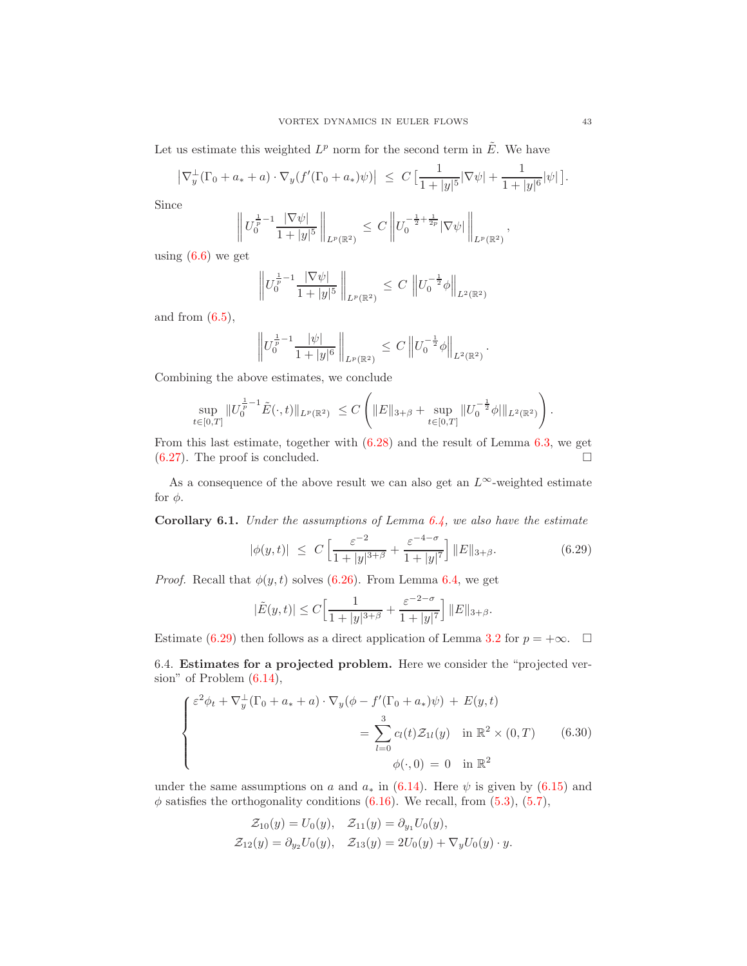Let us estimate this weighted  $L^p$  norm for the second term in  $\tilde{E}$ . We have

$$
\left|\nabla_y^{\perp}(\Gamma_0 + a_* + a) \cdot \nabla_y(f'(\Gamma_0 + a_*)\psi)\right| \leq C \left[\frac{1}{1+|y|^5} |\nabla \psi| + \frac{1}{1+|y|^6} |\psi|\right].
$$

Since

$$
\left\| U_0^{\frac{1}{p}-1} \frac{|\nabla \psi|}{1+|y|^5} \right\|_{L^p(\mathbb{R}^2)} \leq C \left\| U_0^{-\frac{1}{2}+\frac{1}{2p}} |\nabla \psi| \right\|_{L^p(\mathbb{R}^2)},
$$

using  $(6.6)$  we get

$$
\left\| U_0^{\frac{1}{p}-1} \frac{|\nabla \psi|}{1+|y|^5} \right\|_{L^p(\mathbb{R}^2)} \leq C \left\| U_0^{-\frac{1}{2}} \phi \right\|_{L^2(\mathbb{R}^2)}
$$

and from  $(6.5)$ ,

$$
\left\|U_0^{\frac{1}{p}-1}\frac{|\psi|}{1+|y|^6}\right\|_{L^p(\mathbb{R}^2)}\,\leq\,C\left\|U_0^{-\frac{1}{2}}\phi\right\|_{L^2(\mathbb{R}^2)}.
$$

Combining the above estimates, we conclude

$$
\sup_{t\in[0,T]}\|U_0^{\frac{1}{p}-1}\tilde{E}(\cdot,t)\|_{L^p(\mathbb{R}^2)}\ \leq C\left(\|E\|_{3+\beta}+\sup_{t\in[0,T]}\|U_0^{-\frac{1}{2}}\phi\|\|_{L^2(\mathbb{R}^2)}\right).
$$

From this last estimate, together with [\(6.28\)](#page-41-4) and the result of Lemma [6.3,](#page-39-4) we get  $(6.27)$ . The proof is concluded.

As a consequence of the above result we can also get an  $L^{\infty}$ -weighted estimate for  $\phi$ .

<span id="page-42-2"></span>**Corollary 6.1.** Under the assumptions of Lemma  $6.4$ , we also have the estimate

<span id="page-42-0"></span>
$$
|\phi(y,t)| \le C \left[ \frac{\varepsilon^{-2}}{1+|y|^{3+\beta}} + \frac{\varepsilon^{-4-\sigma}}{1+|y|^{7}} \right] ||E||_{3+\beta}.
$$
 (6.29)

*Proof.* Recall that  $\phi(y, t)$  solves [\(6.26\)](#page-41-3). From Lemma [6.4,](#page-41-5) we get

$$
|\tilde{E}(y,t)| \le C \left[ \frac{1}{1+|y|^{3+\beta}} + \frac{\varepsilon^{-2-\sigma}}{1+|y|^{7}} \right] ||E||_{3+\beta}.
$$

Estimate [\(6.29\)](#page-42-0) then follows as a direct application of Lemma [3.2](#page-16-3) for  $p = +\infty$ .  $\Box$ 

6.4. Estimates for a projected problem. Here we consider the "projected version" of Problem [\(6.14\)](#page-38-2),

<span id="page-42-1"></span>
$$
\begin{cases}\n\varepsilon^2 \phi_t + \nabla_y^{\perp} (\Gamma_0 + a_* + a) \cdot \nabla_y (\phi - f'(\Gamma_0 + a_*)\psi) + E(y, t) \\
= \sum_{l=0}^3 c_l(t) \mathcal{Z}_{1l}(y) \quad \text{in } \mathbb{R}^2 \times (0, T) \\
\phi(\cdot, 0) = 0 \quad \text{in } \mathbb{R}^2\n\end{cases}
$$
\n(6.30)

under the same assumptions on a and  $a_*$  in [\(6.14\)](#page-38-2). Here  $\psi$  is given by [\(6.15\)](#page-38-5) and  $\phi$  satisfies the orthogonality conditions [\(6.16\)](#page-38-3). We recall, from [\(5.3\)](#page-31-5), [\(5.7\)](#page-32-0),

$$
\mathcal{Z}_{10}(y) = U_0(y), \quad \mathcal{Z}_{11}(y) = \partial_{y_1} U_0(y), \n\mathcal{Z}_{12}(y) = \partial_{y_2} U_0(y), \quad \mathcal{Z}_{13}(y) = 2U_0(y) + \nabla_y U_0(y) \cdot y.
$$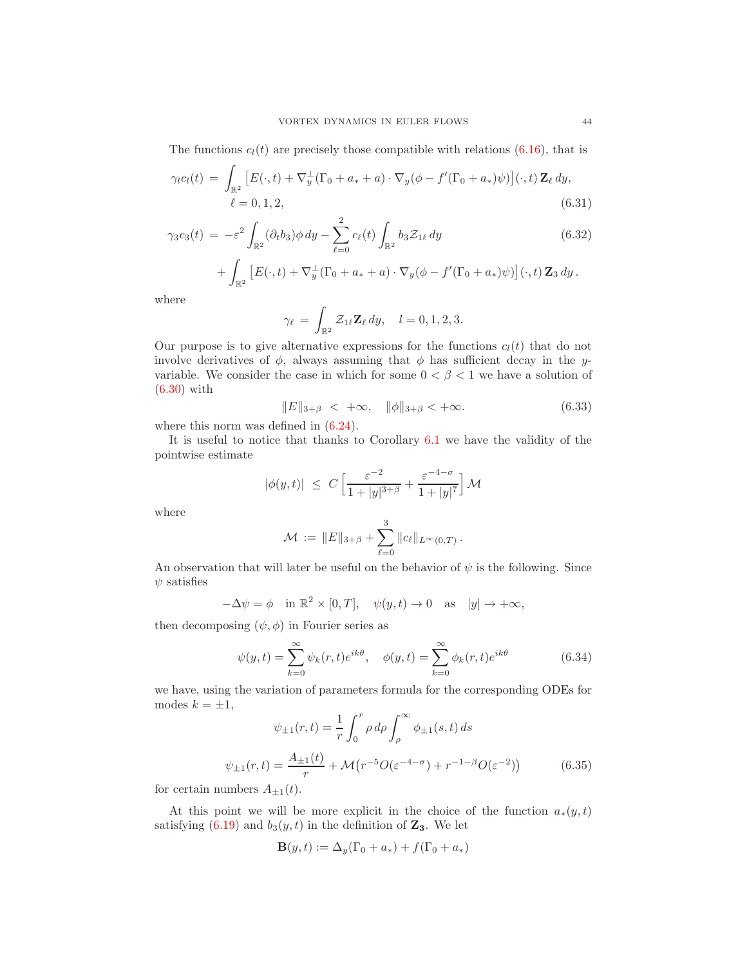The functions  $c_l(t)$  are precisely those compatible with relations [\(6.16\)](#page-38-3), that is

$$
\gamma_l c_l(t) = \int_{\mathbb{R}^2} \left[ E(\cdot, t) + \nabla_y^{\perp} (\Gamma_0 + a_* + a) \cdot \nabla_y (\phi - f'(\Gamma_0 + a_*) \psi) \right](\cdot, t) \mathbf{Z}_{\ell} dy, \ell = 0, 1, 2,
$$
\n(6.31)

$$
\gamma_3 c_3(t) = -\varepsilon^2 \int_{\mathbb{R}^2} (\partial_t b_3) \phi \, dy - \sum_{\ell=0}^2 c_\ell(t) \int_{\mathbb{R}^2} b_3 \mathcal{Z}_{1\ell} \, dy
$$
\n
$$
+ \int_{\mathbb{R}^2} \left[ E(\cdot, t) + \nabla_y^{\perp} (\Gamma_0 + a_* + a) \cdot \nabla_y (\phi - f'(\Gamma_0 + a_*) \psi) \right] (\cdot, t) \mathbf{Z}_3 \, dy.
$$
\n(6.32)

where

<span id="page-43-1"></span><span id="page-43-0"></span>
$$
\gamma_{\ell} = \int_{\mathbb{R}^2} \mathcal{Z}_{1\ell} \mathbf{Z}_{\ell} dy, \quad l = 0, 1, 2, 3.
$$

Our purpose is to give alternative expressions for the functions  $c_l(t)$  that do not involve derivatives of  $\phi$ , always assuming that  $\phi$  has sufficient decay in the yvariable. We consider the case in which for some  $0 < \beta < 1$  we have a solution of [\(6.30\)](#page-42-1) with

<span id="page-43-4"></span>
$$
||E||_{3+\beta} < +\infty, \quad ||\phi||_{3+\beta} < +\infty. \tag{6.33}
$$

where this norm was defined in  $(6.24)$ .

It is useful to notice that thanks to Corollary [6.1](#page-42-2) we have the validity of the pointwise estimate

$$
|\phi(y,t)| \leq C \left[ \frac{\varepsilon^{-2}}{1+|y|^{3+\beta}} + \frac{\varepsilon^{-4-\sigma}}{1+|y|^{7}} \right] \mathcal{M}
$$

where

$$
\mathcal{M} := \|E\|_{3+\beta} + \sum_{\ell=0}^3 \|c_\ell\|_{L^\infty(0,T)}.
$$

An observation that will later be useful on the behavior of  $\psi$  is the following. Since  $\psi$  satisfies

$$
-\Delta \psi = \phi \quad \text{in } \mathbb{R}^2 \times [0, T], \quad \psi(y, t) \to 0 \quad \text{as} \quad |y| \to +\infty,
$$

then decomposing  $(\psi, \phi)$  in Fourier series as

<span id="page-43-2"></span>
$$
\psi(y,t) = \sum_{k=0}^{\infty} \psi_k(r,t) e^{ik\theta}, \quad \phi(y,t) = \sum_{k=0}^{\infty} \phi_k(r,t) e^{ik\theta}
$$
(6.34)

we have, using the variation of parameters formula for the corresponding ODEs for modes  $k = \pm 1$ ,

<span id="page-43-3"></span>
$$
\psi_{\pm 1}(r,t) = \frac{1}{r} \int_0^r \rho \, d\rho \int_\rho^\infty \phi_{\pm 1}(s,t) \, ds
$$

$$
\psi_{\pm 1}(r,t) = \frac{A_{\pm 1}(t)}{r} + \mathcal{M}(r^{-5}O(\varepsilon^{-4-\sigma}) + r^{-1-\beta}O(\varepsilon^{-2})) \tag{6.35}
$$

for certain numbers  $A_{\pm 1}(t)$ .

At this point we will be more explicit in the choice of the function  $a_*(y,t)$ satisfying [\(6.19\)](#page-39-0) and  $b_3(y, t)$  in the definition of  $\mathbf{Z}_3$ . We let

$$
\mathbf{B}(y,t) := \Delta_y(\Gamma_0 + a_*) + f(\Gamma_0 + a_*)
$$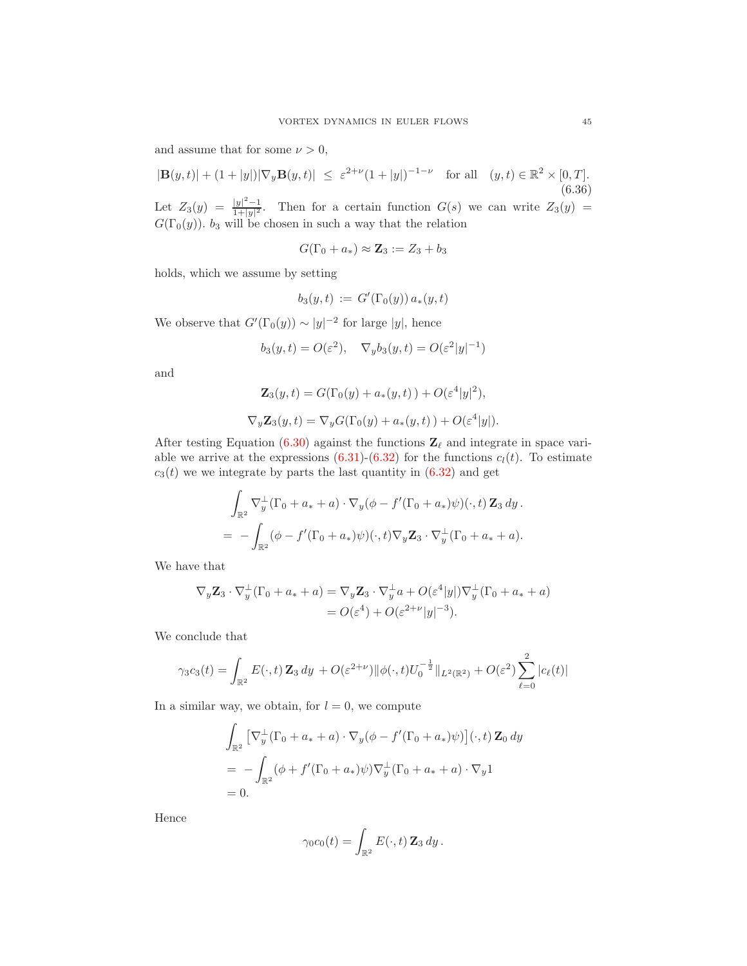and assume that for some  $\nu > 0$ ,

<span id="page-44-0"></span> $|\mathbf{B}(y,t)| + (1+|y|)|\nabla_y \mathbf{B}(y,t)| \leq \varepsilon^{2+\nu} (1+|y|)^{-1-\nu}$  for all  $(y,t) \in \mathbb{R}^2 \times [0,T].$ (6.36) Let  $Z_3(y) = \frac{|y|^2 - 1}{1 + |y|^2}$  $\frac{|y|}{1+|y|^2}$ . Then for a certain function  $G(s)$  we can write  $Z_3(y) =$  $G(\Gamma_0(y))$ . b<sub>3</sub> will be chosen in such a way that the relation

$$
G(\Gamma_0 + a_*) \approx \mathbf{Z}_3 := Z_3 + b_3
$$

holds, which we assume by setting

$$
b_3(y,t) := G'(\Gamma_0(y)) a_*(y,t)
$$

We observe that  $G'(\Gamma_0(y)) \sim |y|^{-2}$  for large |y|, hence

$$
b_3(y,t) = O(\varepsilon^2), \quad \nabla_y b_3(y,t) = O(\varepsilon^2 |y|^{-1})
$$

and

$$
\mathbf{Z}_3(y,t) = G(\Gamma_0(y) + a_*(y,t)) + O(\varepsilon^4|y|^2),
$$
  

$$
\nabla_y \mathbf{Z}_3(y,t) = \nabla_y G(\Gamma_0(y) + a_*(y,t)) + O(\varepsilon^4|y|).
$$

After testing Equation [\(6.30\)](#page-42-1) against the functions  $\mathbf{Z}_{\ell}$  and integrate in space variable we arrive at the expressions  $(6.31)-(6.32)$  $(6.31)-(6.32)$  for the functions  $c<sub>l</sub>(t)$ . To estimate  $c_3(t)$  we we integrate by parts the last quantity in  $(6.32)$  and get

$$
\int_{\mathbb{R}^2} \nabla_y^{\perp} (\Gamma_0 + a_* + a) \cdot \nabla_y (\phi - f'(\Gamma_0 + a_*) \psi)(\cdot, t) \mathbf{Z}_3 \, dy.
$$
  
= 
$$
- \int_{\mathbb{R}^2} (\phi - f'(\Gamma_0 + a_*) \psi)(\cdot, t) \nabla_y \mathbf{Z}_3 \cdot \nabla_y^{\perp} (\Gamma_0 + a_* + a).
$$

We have that

$$
\nabla_y \mathbf{Z}_3 \cdot \nabla_y^{\perp} (\Gamma_0 + a_* + a) = \nabla_y \mathbf{Z}_3 \cdot \nabla_y^{\perp} a + O(\varepsilon^4 |y|) \nabla_y^{\perp} (\Gamma_0 + a_* + a)
$$
  
=  $O(\varepsilon^4) + O(\varepsilon^{2+\nu} |y|^{-3}).$ 

We conclude that

$$
\gamma_3 c_3(t) = \int_{\mathbb{R}^2} E(\cdot, t) \mathbf{Z}_3 dy + O(\varepsilon^{2+\nu}) ||\phi(\cdot, t)U_0^{-\frac{1}{2}}||_{L^2(\mathbb{R}^2)} + O(\varepsilon^2) \sum_{\ell=0}^2 |c_\ell(t)|
$$

In a similar way, we obtain, for  $l = 0$ , we compute

$$
\int_{\mathbb{R}^2} \left[ \nabla_y^{\perp} (\Gamma_0 + a_* + a) \cdot \nabla_y (\phi - f'(\Gamma_0 + a_*) \psi) \right] (\cdot, t) \mathbf{Z}_0 dy
$$
  
= 
$$
- \int_{\mathbb{R}^2} (\phi + f'(\Gamma_0 + a_*) \psi) \nabla_y^{\perp} (\Gamma_0 + a_* + a) \cdot \nabla_y 1
$$
  
= 0.

Hence

$$
\gamma_0 c_0(t) = \int_{\mathbb{R}^2} E(\cdot, t) \mathbf{Z}_3 dy.
$$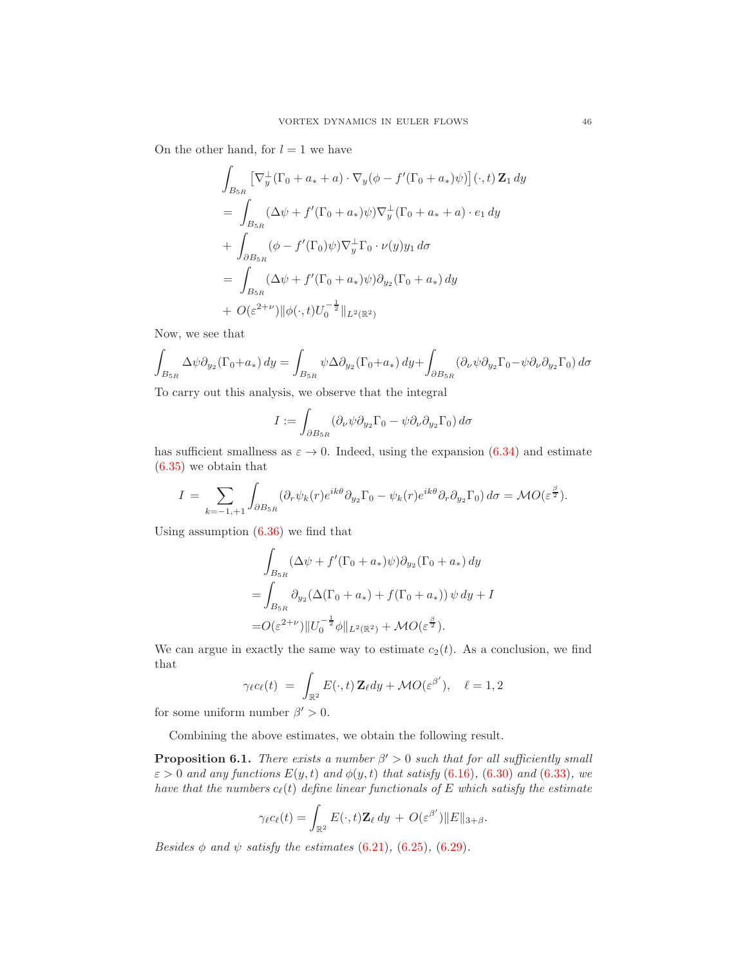On the other hand, for  $l = 1$  we have

$$
\int_{B_{5R}} \left[ \nabla_y^{\perp} (\Gamma_0 + a_* + a) \cdot \nabla_y (\phi - f'(\Gamma_0 + a_*) \psi) \right] (\cdot, t) \mathbf{Z}_1 dy
$$
\n
$$
= \int_{B_{5R}} (\Delta \psi + f'(\Gamma_0 + a_*) \psi) \nabla_y^{\perp} (\Gamma_0 + a_* + a) \cdot e_1 dy
$$
\n
$$
+ \int_{\partial B_{5R}} (\phi - f'(\Gamma_0) \psi) \nabla_y^{\perp} \Gamma_0 \cdot \nu(y) y_1 d\sigma
$$
\n
$$
= \int_{B_{5R}} (\Delta \psi + f'(\Gamma_0 + a_*) \psi) \partial_{y_2} (\Gamma_0 + a_*) dy
$$
\n
$$
+ O(\varepsilon^{2+\nu}) \|\phi(\cdot, t) U_0^{-\frac{1}{2}}\|_{L^2(\mathbb{R}^2)}
$$

Now, we see that

$$
\int_{B_{5R}} \Delta \psi \partial_{y_2} (\Gamma_0 + a_*) dy = \int_{B_{5R}} \psi \Delta \partial_{y_2} (\Gamma_0 + a_*) dy + \int_{\partial B_{5R}} (\partial_\nu \psi \partial_{y_2} \Gamma_0 - \psi \partial_\nu \partial_{y_2} \Gamma_0) d\sigma
$$

To carry out this analysis, we observe that the integral

$$
I := \int_{\partial B_{5R}} (\partial_{\nu} \psi \partial_{y_2} \Gamma_0 - \psi \partial_{\nu} \partial_{y_2} \Gamma_0) d\sigma
$$

has sufficient smallness as  $\varepsilon \to 0$ . Indeed, using the expansion [\(6.34\)](#page-43-2) and estimate [\(6.35\)](#page-43-3) we obtain that

$$
I = \sum_{k=-1,+1} \int_{\partial B_{5R}} (\partial_r \psi_k(r) e^{ik\theta} \partial_{y_2} \Gamma_0 - \psi_k(r) e^{ik\theta} \partial_r \partial_{y_2} \Gamma_0) d\sigma = \mathcal{M} O(\varepsilon^{\frac{\beta}{2}}).
$$

Using assumption [\(6.36\)](#page-44-0) we find that

$$
\int_{B_{5R}} (\Delta \psi + f'(\Gamma_0 + a_*)\psi) \partial_{y_2} (\Gamma_0 + a_*) dy
$$
  
= 
$$
\int_{B_{5R}} \partial_{y_2} (\Delta(\Gamma_0 + a_*) + f(\Gamma_0 + a_*)) \psi dy + I
$$
  
= 
$$
O(\varepsilon^{2+\nu}) ||U_0^{-\frac{1}{2}} \phi||_{L^2(\mathbb{R}^2)} + \mathcal{M}O(\varepsilon^{\frac{\beta}{2}}).
$$

We can argue in exactly the same way to estimate  $c_2(t)$ . As a conclusion, we find that

$$
\gamma_{\ell}c_{\ell}(t) = \int_{\mathbb{R}^2} E(\cdot, t) \mathbf{Z}_{\ell} dy + \mathcal{M}O(\varepsilon^{\beta'}), \quad \ell = 1, 2
$$

for some uniform number  $\beta' > 0$ .

Combining the above estimates, we obtain the following result.

**Proposition 6.1.** There exists a number  $\beta' > 0$  such that for all sufficiently small  $\varepsilon > 0$  and any functions  $E(y, t)$  and  $\phi(y, t)$  that satisfy (6.[16\)](#page-38-3), (6.[30\)](#page-42-1) and (6.[33\)](#page-43-4), we have that the numbers  $c_{\ell}(t)$  define linear functionals of E which satisfy the estimate

$$
\gamma_{\ell}c_{\ell}(t) = \int_{\mathbb{R}^2} E(\cdot, t) \mathbf{Z}_{\ell} dy + O(\varepsilon^{\beta'}) \|E\|_{3+\beta}.
$$

Besides  $\phi$  and  $\psi$  satisfy the estimates (6.[21\)](#page-39-3), (6.[25\)](#page-41-2), (6.[29\)](#page-42-0).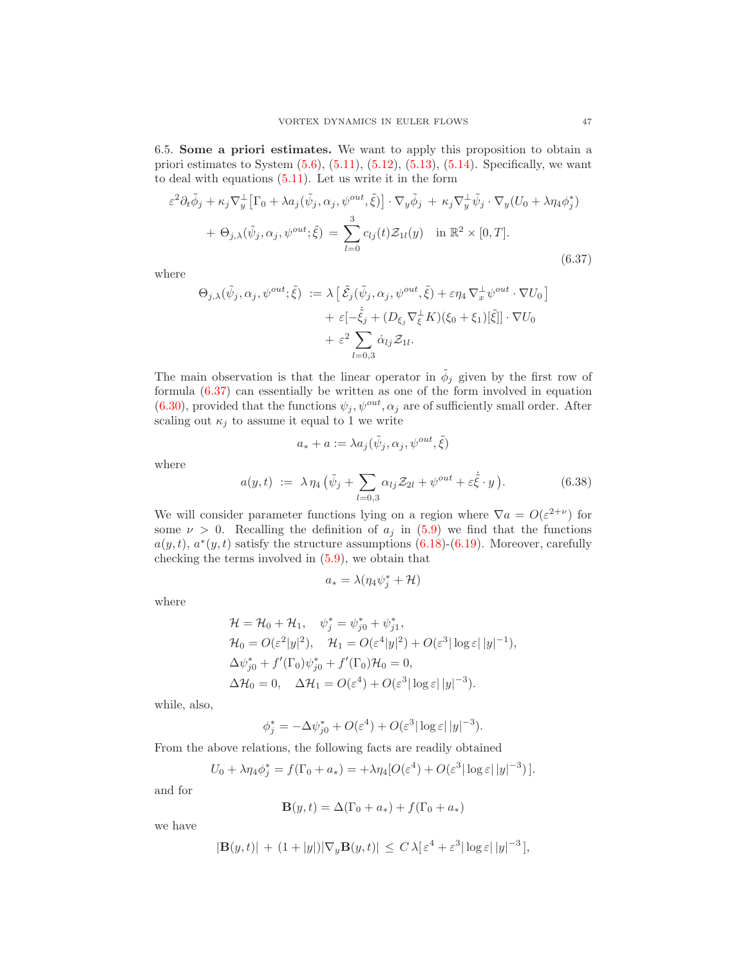<span id="page-46-2"></span>6.5. Some a priori estimates. We want to apply this proposition to obtain a priori estimates to System  $(5.6)$ ,  $(5.11)$ ,  $(5.12)$ ,  $(5.13)$ ,  $(5.14)$ . Specifically, we want to deal with equations [\(5.11\)](#page-34-0). Let us write it in the form

<span id="page-46-0"></span>
$$
\varepsilon^2 \partial_t \tilde{\phi}_j + \kappa_j \nabla_y^{\perp} \left[ \Gamma_0 + \lambda a_j (\tilde{\psi}_j, \alpha_j, \psi^{out}, \tilde{\xi}) \right] \cdot \nabla_y \tilde{\phi}_j + \kappa_j \nabla_y^{\perp} \tilde{\psi}_j \cdot \nabla_y (U_0 + \lambda \eta_4 \phi_j^*)
$$
  
+  $\Theta_{j, \lambda} (\tilde{\psi}_j, \alpha_j, \psi^{out}; \tilde{\xi}) = \sum_{l=0}^3 c_{lj}(t) \mathcal{Z}_{1l}(y) \quad \text{in } \mathbb{R}^2 \times [0, T].$  (6.37)

where

$$
\Theta_{j,\lambda}(\tilde{\psi}_j, \alpha_j, \psi^{out}; \tilde{\xi}) := \lambda \left[ \tilde{\mathcal{E}}_j(\tilde{\psi}_j, \alpha_j, \psi^{out}, \tilde{\xi}) + \varepsilon \eta_4 \nabla_x^{\perp} \psi^{out} \cdot \nabla U_0 \right] + \varepsilon \left[ -\dot{\tilde{\xi}}_j + (D_{\xi_j} \nabla_{\xi}^{\perp} K)(\xi_0 + \xi_1)[\tilde{\xi}]\right] \cdot \nabla U_0 + \varepsilon^2 \sum_{l=0,3} \dot{\alpha}_{lj} \mathcal{Z}_{1l}.
$$

The main observation is that the linear operator in  $\tilde{\phi}_j$  given by the first row of formula (6.[37\)](#page-46-0) can essentially be written as one of the form involved in equation [\(6.30\)](#page-42-1), provided that the functions  $\psi_j, \psi^{out}, \alpha_j$  are of sufficiently small order. After scaling out  $\kappa_j$  to assume it equal to 1 we write

$$
a_* + a := \lambda a_j(\tilde{\psi}_j, \alpha_j, \psi^{out}, \tilde{\xi})
$$

where

<span id="page-46-1"></span>
$$
a(y,t) := \lambda \eta_4 \left( \tilde{\psi}_j + \sum_{l=0,3} \alpha_{lj} \mathcal{Z}_{2l} + \psi^{out} + \varepsilon \dot{\tilde{\xi}} \cdot y \right).
$$
 (6.38)

We will consider parameter functions lying on a region where  $\nabla a = O(\varepsilon^{2+\nu})$  for some  $\nu > 0$ . Recalling the definition of  $a_j$  in [\(5.9\)](#page-33-0) we find that the functions  $a(y, t)$ ,  $a^*(y, t)$  satisfy the structure assumptions  $(6.18)-(6.19)$  $(6.18)-(6.19)$ . Moreover, carefully checking the terms involved in [\(5.9\)](#page-33-0), we obtain that

$$
a_* = \lambda(\eta_4\psi_j^* + \mathcal{H})
$$

where

$$
\mathcal{H} = \mathcal{H}_0 + \mathcal{H}_1, \quad \psi_j^* = \psi_{j0}^* + \psi_{j1}^*, \n\mathcal{H}_0 = O(\varepsilon^2 |y|^2), \quad \mathcal{H}_1 = O(\varepsilon^4 |y|^2) + O(\varepsilon^3 |\log \varepsilon| |y|^{-1}), \n\Delta \psi_{j0}^* + f'(\Gamma_0) \psi_{j0}^* + f'(\Gamma_0) \mathcal{H}_0 = 0, \n\Delta \mathcal{H}_0 = 0, \quad \Delta \mathcal{H}_1 = O(\varepsilon^4) + O(\varepsilon^3 |\log \varepsilon| |y|^{-3}).
$$

while, also,

$$
\phi_j^* = -\Delta \psi_{j0}^* + O(\varepsilon^4) + O(\varepsilon^3 |\log \varepsilon| |y|^{-3}).
$$

From the above relations, the following facts are readily obtained

$$
U_0 + \lambda \eta_4 \phi_j^* = f(\Gamma_0 + a_*) = +\lambda \eta_4 [O(\varepsilon^4) + O(\varepsilon^3 |\log \varepsilon| |y|^{-3})].
$$

and for

$$
\mathbf{B}(y,t) = \Delta(\Gamma_0 + a_*) + f(\Gamma_0 + a_*)
$$

we have

$$
|\mathbf{B}(y,t)| + (1+|y|)|\nabla_y \mathbf{B}(y,t)| \le C\lambda \left[\varepsilon^4 + \varepsilon^3 |\log \varepsilon| |y|^{-3} \right],
$$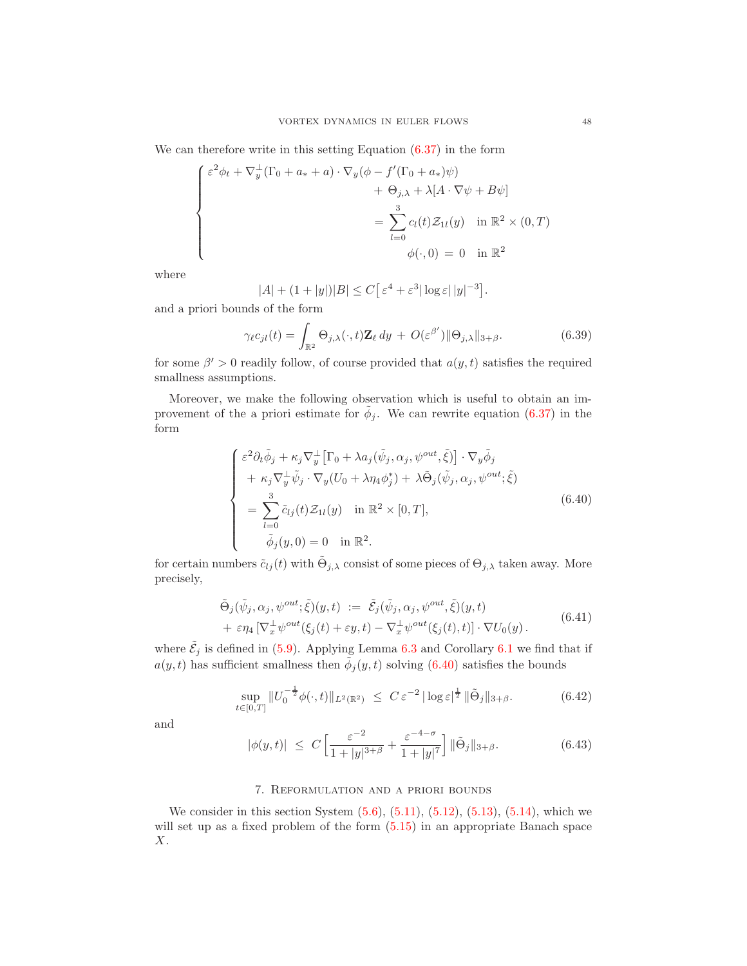We can therefore write in this setting Equation  $(6.37)$  in the form

$$
\begin{cases}\n\varepsilon^2 \phi_t + \nabla_y^{\perp} (\Gamma_0 + a_* + a) \cdot \nabla_y (\phi - f'(\Gamma_0 + a_*)\psi) \\
+ \Theta_{j,\lambda} + \lambda [A \cdot \nabla \psi + B\psi] \\
= \sum_{l=0}^3 c_l(t) \mathcal{Z}_{1l}(y) \quad \text{in } \mathbb{R}^2 \times (0, T) \\
\phi(\cdot, 0) = 0 \quad \text{in } \mathbb{R}^2\n\end{cases}
$$

where

$$
|A| + (1+|y|)|B| \le C\big[\varepsilon^4 + \varepsilon^3 |\log \varepsilon| |y|^{-3}\big].
$$

and a priori bounds of the form

<span id="page-47-2"></span>
$$
\gamma_{\ell}c_{jl}(t) = \int_{\mathbb{R}^2} \Theta_{j,\lambda}(\cdot, t) \mathbf{Z}_{\ell} dy + O(\varepsilon^{\beta'}) \|\Theta_{j,\lambda}\|_{3+\beta}.
$$
 (6.39)

for some  $\beta' > 0$  readily follow, of course provided that  $a(y, t)$  satisfies the required smallness assumptions.

Moreover, we make the following observation which is useful to obtain an improvement of the a priori estimate for  $\tilde{\phi}_j$ . We can rewrite equation [\(6.37\)](#page-46-0) in the form

<span id="page-47-0"></span>
$$
\begin{cases}\n\varepsilon^2 \partial_t \tilde{\phi}_j + \kappa_j \nabla_y^{\perp} \left[ \Gamma_0 + \lambda a_j (\tilde{\psi}_j, \alpha_j, \psi^{out}, \tilde{\xi}) \right] \cdot \nabla_y \tilde{\phi}_j \\
+ \kappa_j \nabla_y^{\perp} \tilde{\psi}_j \cdot \nabla_y (U_0 + \lambda \eta_4 \phi_j^*) + \lambda \tilde{\Theta}_j (\tilde{\psi}_j, \alpha_j, \psi^{out}; \tilde{\xi}) \\
= \sum_{l=0}^3 \tilde{c}_{lj}(t) \mathcal{Z}_{1l}(y) \quad \text{in } \mathbb{R}^2 \times [0, T], \\
\tilde{\phi}_j(y, 0) = 0 \quad \text{in } \mathbb{R}^2.\n\end{cases} (6.40)
$$

for certain numbers  $\tilde{c}_{lj}(t)$  with  $\tilde{\Theta}_{j,\lambda}$  consist of some pieces of  $\Theta_{j,\lambda}$  taken away. More precisely,

<span id="page-47-1"></span>
$$
\tilde{\Theta}_{j}(\tilde{\psi}_{j}, \alpha_{j}, \psi^{out}; \tilde{\xi})(y, t) := \tilde{\mathcal{E}}_{j}(\tilde{\psi}_{j}, \alpha_{j}, \psi^{out}, \tilde{\xi})(y, t) \n+ \varepsilon \eta_{4} \left[\nabla_{x}^{\perp} \psi^{out}(\xi_{j}(t) + \varepsilon y, t) - \nabla_{x}^{\perp} \psi^{out}(\xi_{j}(t), t)\right] \cdot \nabla U_{0}(y).
$$
\n(6.41)

where  $\tilde{\mathcal{E}}_j$  is defined in [\(5.9\)](#page-33-0). Applying Lemma [6.3](#page-39-4) and Corollary [6.1](#page-42-2) we find that if  $a(y, t)$  has sufficient smallness then  $\tilde{\phi}_j(y, t)$  solving  $(6.40)$  satisfies the bounds

<span id="page-47-3"></span>
$$
\sup_{t \in [0,T]} \|U_0^{-\frac{1}{2}} \phi(\cdot, t)\|_{L^2(\mathbb{R}^2)} \ \leq \ C \, \varepsilon^{-2} \, |\log \varepsilon|^{\frac{1}{2}} \, \|\tilde{\Theta}_j\|_{3+\beta}.\tag{6.42}
$$

and

<span id="page-47-4"></span>
$$
|\phi(y,t)| \le C \left[ \frac{\varepsilon^{-2}}{1+|y|^{3+\beta}} + \frac{\varepsilon^{-4-\sigma}}{1+|y|^{7}} \right] ||\tilde{\Theta}_j||_{3+\beta}.
$$
 (6.43)

## 7. Reformulation and a priori bounds

We consider in this section System  $(5.6)$ ,  $(5.11)$ ,  $(5.12)$ ,  $(5.13)$ ,  $(5.14)$ , which we will set up as a fixed problem of the form [\(5.15\)](#page-34-4) in an appropriate Banach space X.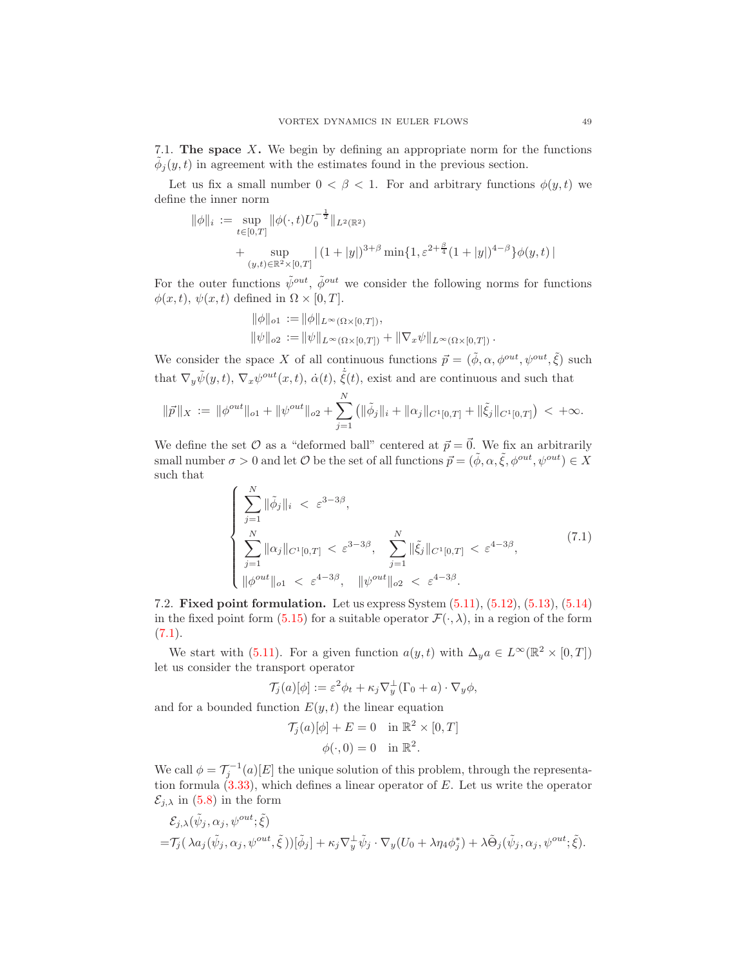7.1. The space X. We begin by defining an appropriate norm for the functions  $\tilde{\phi}_j(y,t)$  in agreement with the estimates found in the previous section.

Let us fix a small number  $0 < \beta < 1$ . For and arbitrary functions  $\phi(y, t)$  we define the inner norm

$$
\|\phi\|_{i} := \sup_{t \in [0,T]} \|\phi(\cdot,t)U_0^{-\frac{1}{2}}\|_{L^2(\mathbb{R}^2)} + \sup_{(y,t) \in \mathbb{R}^2 \times [0,T]} |(1+|y|)^{3+\beta} \min\{1, \varepsilon^{2+\frac{\beta}{4}}(1+|y|)^{4-\beta}\}\phi(y,t)|
$$

For the outer functions  $\tilde{\psi}^{out}$ ,  $\tilde{\phi}^{out}$  we consider the following norms for functions  $\phi(x, t), \psi(x, t)$  defined in  $\Omega \times [0, T]$ .

$$
\|\phi\|_{o1} := \|\phi\|_{L^{\infty}(\Omega \times [0,T])},
$$
  

$$
\|\psi\|_{o2} := \|\psi\|_{L^{\infty}(\Omega \times [0,T])} + \|\nabla_x \psi\|_{L^{\infty}(\Omega \times [0,T])}.
$$

We consider the space X of all continuous functions  $\vec{p} = (\tilde{\phi}, \alpha, \phi^{out}, \psi^{out}, \tilde{\xi})$  such that  $\nabla_y \tilde{\psi}(y,t)$ ,  $\nabla_x \psi^{out}(x,t)$ ,  $\dot{\alpha}(t)$ ,  $\dot{\tilde{\xi}}(t)$ , exist and are continuous and such that

$$
\|\vec{p}\|_X := \|\phi^{out}\|_{o1} + \|\psi^{out}\|_{o2} + \sum_{j=1}^N \left(\|\tilde{\phi}_j\|_i + \|\alpha_j\|_{C^1[0,T]} + \|\tilde{\xi}_j\|_{C^1[0,T]}\right) < +\infty.
$$

We define the set  $\mathcal O$  as a "deformed ball" centered at  $\vec{p} = \vec{0}$ . We fix an arbitrarily small number  $\sigma > 0$  and let  $\mathcal O$  be the set of all functions  $\vec{p} = (\tilde{\phi}, \alpha, \tilde{\xi}, \phi^{out}, \psi^{out}) \in X$ such that

<span id="page-48-0"></span>
$$
\begin{cases}\n\sum_{j=1}^{N} \|\tilde{\phi}_{j}\|_{i} < \varepsilon^{3-3\beta}, \\
\sum_{j=1}^{N} \|\alpha_{j}\|_{C^{1}[0,T]} < \varepsilon^{3-3\beta}, \\
\sum_{j=1}^{N} \|\tilde{\xi}_{j}\|_{C^{1}[0,T]} < \varepsilon^{4-3\beta}, \\
\|\phi^{out}\|_{o1} < \varepsilon^{4-3\beta}, \quad \|\psi^{out}\|_{o2} < \varepsilon^{4-3\beta}.\n\end{cases} (7.1)
$$

7.2. Fixed point formulation. Let us express System [\(5.11\)](#page-34-0), [\(5.12\)](#page-34-1), [\(5.13\)](#page-34-2), [\(5.14\)](#page-34-3) in the fixed point form [\(5.15\)](#page-34-4) for a suitable operator  $\mathcal{F}(\cdot, \lambda)$ , in a region of the form  $(7.1).$  $(7.1).$  $(7.1).$ 

We start with [\(5.11\)](#page-34-0). For a given function  $a(y, t)$  with  $\Delta_y a \in L^{\infty}(\mathbb{R}^2 \times [0, T])$ let us consider the transport operator

$$
\mathcal{T}_j(a)[\phi] := \varepsilon^2 \phi_t + \kappa_j \nabla_y^{\perp} (\Gamma_0 + a) \cdot \nabla_y \phi,
$$

and for a bounded function  $E(y, t)$  the linear equation

$$
\mathcal{T}_j(a)[\phi] + E = 0 \quad \text{in } \mathbb{R}^2 \times [0, T]
$$

$$
\phi(\cdot, 0) = 0 \quad \text{in } \mathbb{R}^2.
$$

We call  $\phi = \mathcal{T}_j^{-1}(a)[E]$  the unique solution of this problem, through the representation formula  $(3.33)$ , which defines a linear operator of  $E$ . Let us write the operator  $\mathcal{E}_{j,\lambda}$  in [\(5.8\)](#page-32-1) in the form

$$
\mathcal{E}_{j,\lambda}(\tilde{\psi}_j, \alpha_j, \psi^{out}; \tilde{\xi})
$$
  
= $\mathcal{T}_j(\lambda a_j(\tilde{\psi}_j, \alpha_j, \psi^{out}, \tilde{\xi}))[\tilde{\phi}_j] + \kappa_j \nabla_y^{\perp} \tilde{\psi}_j \cdot \nabla_y (U_0 + \lambda \eta_4 \phi_j^*) + \lambda \tilde{\Theta}_j(\tilde{\psi}_j, \alpha_j, \psi^{out}; \tilde{\xi}).$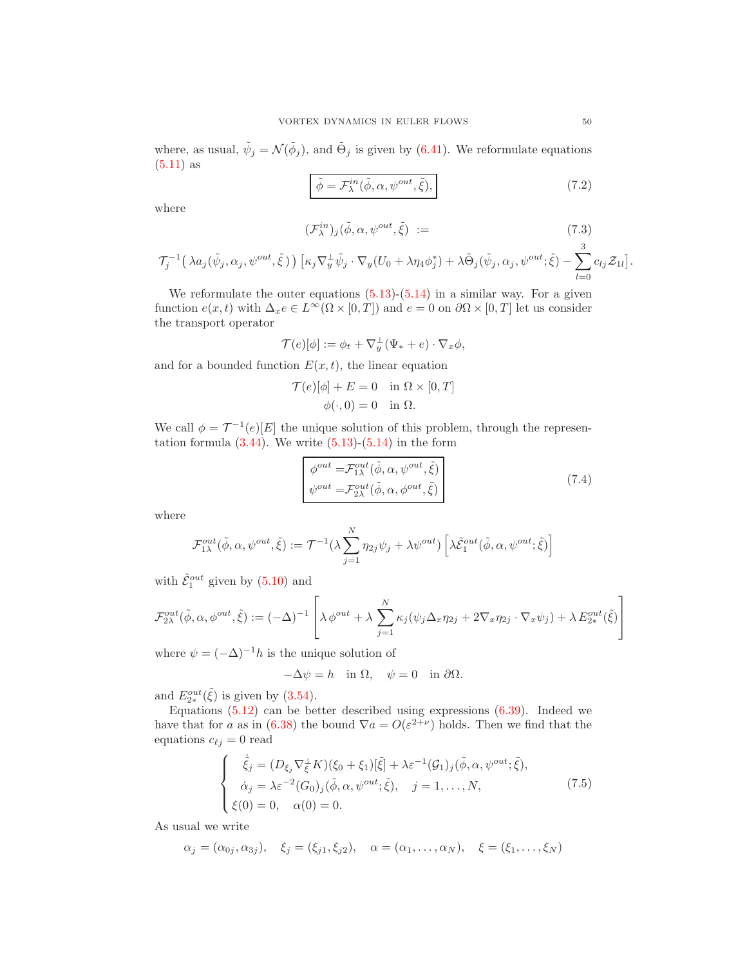where, as usual,  $\tilde{\psi}_j = \mathcal{N}(\tilde{\phi}_j)$ , and  $\tilde{\Theta}_j$  is given by [\(6.41\)](#page-47-1). We reformulate equations  $(5.11)$  as

<span id="page-49-3"></span><span id="page-49-1"></span>
$$
\tilde{\phi} = \mathcal{F}_{\lambda}^{in}(\tilde{\phi}, \alpha, \psi^{out}, \tilde{\xi}), \qquad (7.2)
$$

where

$$
(\mathcal{F}_{\lambda}^{in})_{j}(\tilde{\phi}, \alpha, \psi^{out}, \tilde{\xi}) := \qquad (7.3)
$$

$$
\mathcal{T}_j^{-1}\big(\lambda a_j(\tilde{\psi}_j,\alpha_j,\psi^{out},\tilde{\xi})\big)\,\big[\kappa_j\nabla_y^{\perp}\tilde{\psi}_j\cdot\nabla_y(U_0+\lambda\eta_4\phi_j^*)+\lambda\tilde{\Theta}_j(\tilde{\psi}_j,\alpha_j,\psi^{out};\tilde{\xi})-\sum_{l=0}^{\infty}c_{lj}\mathcal{Z}_{1l}\big].
$$

We reformulate the outer equations  $(5.13)-(5.14)$  $(5.13)-(5.14)$  in a similar way. For a given function  $e(x, t)$  with  $\Delta_x e \in L^{\infty}(\Omega \times [0, T])$  and  $e = 0$  on  $\partial \Omega \times [0, T]$  let us consider the transport operator

$$
\mathcal{T}(e)[\phi] := \phi_t + \nabla_y^{\perp}(\Psi_* + e) \cdot \nabla_x \phi,
$$

and for a bounded function  $E(x, t)$ , the linear equation

$$
\mathcal{T}(e)[\phi] + E = 0 \quad \text{in } \Omega \times [0, T]
$$

$$
\phi(\cdot, 0) = 0 \quad \text{in } \Omega.
$$

We call  $\phi = \mathcal{T}^{-1}(e)[E]$  the unique solution of this problem, through the representation formula  $(3.44)$ . We write  $(5.13)-(5.14)$  $(5.13)-(5.14)$  in the form

<span id="page-49-2"></span>
$$
\begin{aligned}\n\phi^{out} &= \mathcal{F}_{1\lambda}^{out}(\tilde{\phi}, \alpha, \psi^{out}, \tilde{\xi}) \\
\psi^{out} &= \mathcal{F}_{2\lambda}^{out}(\tilde{\phi}, \alpha, \phi^{out}, \tilde{\xi})\n\end{aligned} \tag{7.4}
$$

where

$$
\mathcal{F}_{1\lambda}^{out}(\tilde{\phi}, \alpha, \psi^{out}, \tilde{\xi}) := \mathcal{T}^{-1}(\lambda \sum_{j=1}^{N} \eta_{2j} \psi_j + \lambda \psi^{out}) \left[ \lambda \tilde{\mathcal{E}}_{1}^{out}(\tilde{\phi}, \alpha, \psi^{out}; \tilde{\xi}) \right]
$$

with  $\tilde{\mathcal{E}}_1^{out}$  given by  $(5.10)$  and

$$
\mathcal{F}_{2\lambda}^{out}(\tilde{\phi}, \alpha, \phi^{out}, \tilde{\xi}) := (-\Delta)^{-1} \left[ \lambda \phi^{out} + \lambda \sum_{j=1}^{N} \kappa_j (\psi_j \Delta_x \eta_{2j} + 2\nabla_x \eta_{2j} \cdot \nabla_x \psi_j) + \lambda E_{2*}^{out}(\tilde{\xi}) \right]
$$

where  $\psi = (-\Delta)^{-1}h$  is the unique solution of

$$
-\Delta \psi = h \quad \text{in } \Omega, \quad \psi = 0 \quad \text{in } \partial \Omega.
$$

and  $E_{2*}^{out}(\tilde{\xi})$  is given by [\(3.54\)](#page-23-1).

Equations  $(5.12)$  can be better described using expressions  $(6.39)$ . Indeed we have that for a as in [\(6.38\)](#page-46-1) the bound  $\nabla a = O(\varepsilon^{2+\nu})$  holds. Then we find that the equations  $c_{\ell j} = 0$  read

<span id="page-49-0"></span>
$$
\begin{cases}\n\dot{\tilde{\xi}}_{j} = (D_{\xi_{j}} \nabla_{\xi}^{\perp} K)(\xi_{0} + \xi_{1})[\tilde{\xi}] + \lambda \varepsilon^{-1} (\mathcal{G}_{1})_{j}(\tilde{\phi}, \alpha, \psi^{out}; \tilde{\xi}), \\
\dot{\alpha}_{j} = \lambda \varepsilon^{-2} (G_{0})_{j}(\tilde{\phi}, \alpha, \psi^{out}; \tilde{\xi}), \quad j = 1, ..., N, \\
\xi(0) = 0, \quad \alpha(0) = 0.\n\end{cases}
$$
\n(7.5)

As usual we write

$$
\alpha_j = (\alpha_{0j}, \alpha_{3j}), \quad \xi_j = (\xi_{j1}, \xi_{j2}), \quad \alpha = (\alpha_1, \dots, \alpha_N), \quad \xi = (\xi_1, \dots, \xi_N)
$$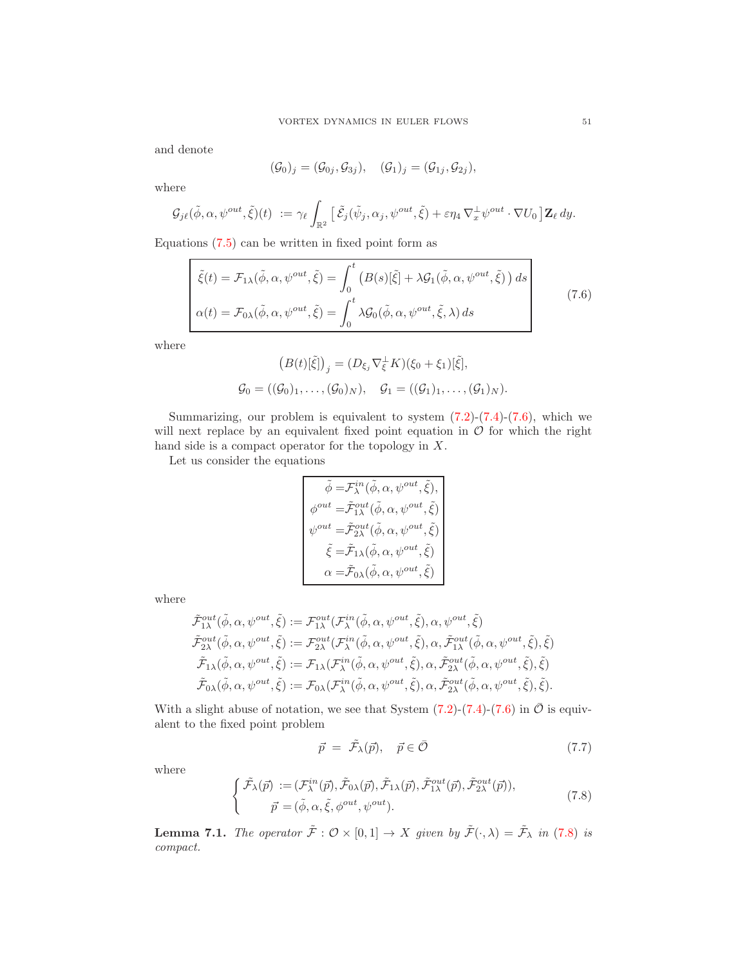and denote

$$
(\mathcal{G}_0)_j = (\mathcal{G}_{0j}, \mathcal{G}_{3j}), \quad (\mathcal{G}_1)_j = (\mathcal{G}_{1j}, \mathcal{G}_{2j}),
$$

where

$$
\mathcal{G}_{j\ell}(\tilde{\phi}, \alpha, \psi^{out}, \tilde{\xi})(t) := \gamma_{\ell} \int_{\mathbb{R}^2} \left[ \tilde{\mathcal{E}}_j(\tilde{\psi}_j, \alpha_j, \psi^{out}, \tilde{\xi}) + \varepsilon \eta_4 \nabla_x^{\perp} \psi^{out} \cdot \nabla U_0 \right] \mathbf{Z}_{\ell} dy.
$$

Equations [\(7.5\)](#page-49-0) can be written in fixed point form as

<span id="page-50-0"></span>
$$
\begin{cases}\n\tilde{\xi}(t) = \mathcal{F}_{1\lambda}(\tilde{\phi}, \alpha, \psi^{out}, \tilde{\xi}) = \int_0^t \left( B(s)[\tilde{\xi}] + \lambda \mathcal{G}_1(\tilde{\phi}, \alpha, \psi^{out}, \tilde{\xi}) \right) ds \\
\alpha(t) = \mathcal{F}_{0\lambda}(\tilde{\phi}, \alpha, \psi^{out}, \tilde{\xi}) = \int_0^t \lambda \mathcal{G}_0(\tilde{\phi}, \alpha, \psi^{out}, \tilde{\xi}, \lambda) ds\n\end{cases}
$$
\n(7.6)

where

$$
(B(t)[\tilde{\xi}])_j = (D_{\xi_j} \nabla_{\xi}^{\perp} K)(\xi_0 + \xi_1)[\tilde{\xi}],
$$
  

$$
\mathcal{G}_0 = ((\mathcal{G}_0)_1, \ldots, (\mathcal{G}_0)_N), \quad \mathcal{G}_1 = ((\mathcal{G}_1)_1, \ldots, (\mathcal{G}_1)_N).
$$

Summarizing, our problem is equivalent to system  $(7.2)-(7.4)-(7.6)$  $(7.2)-(7.4)-(7.6)$  $(7.2)-(7.4)-(7.6)$  $(7.2)-(7.4)-(7.6)$ , which we will next replace by an equivalent fixed point equation in  $\mathcal O$  for which the right hand side is a compact operator for the topology in  $X$ .

Let us consider the equations

$$
\begin{aligned} \tilde{\phi}=&\mathcal{F}^{in}_\lambda(\tilde{\phi},\alpha,\psi^{out},\tilde{\xi}),\\ \phi^{out}=&\tilde{\mathcal{F}}^{out}_{1\lambda}(\tilde{\phi},\alpha,\psi^{out},\tilde{\xi})\\ \psi^{out}=&\tilde{\mathcal{F}}^{out}_{2\lambda}(\tilde{\phi},\alpha,\psi^{out},\tilde{\xi})\\ \tilde{\xi}=&\tilde{\mathcal{F}}_{1\lambda}(\tilde{\phi},\alpha,\psi^{out},\tilde{\xi})\\ \alpha=&\tilde{\mathcal{F}}_{0\lambda}(\tilde{\phi},\alpha,\psi^{out},\tilde{\xi}) \end{aligned}
$$

where

$$
\tilde{\mathcal{F}}_{1\lambda}^{out}(\tilde{\phi}, \alpha, \psi^{out}, \tilde{\xi}) := \mathcal{F}_{1\lambda}^{out}(\mathcal{F}_{\lambda}^{in}(\tilde{\phi}, \alpha, \psi^{out}, \tilde{\xi}), \alpha, \psi^{out}, \tilde{\xi})
$$
\n
$$
\tilde{\mathcal{F}}_{2\lambda}^{out}(\tilde{\phi}, \alpha, \psi^{out}, \tilde{\xi}) := \mathcal{F}_{2\lambda}^{out}(\mathcal{F}_{\lambda}^{in}(\tilde{\phi}, \alpha, \psi^{out}, \tilde{\xi}), \alpha, \tilde{\mathcal{F}}_{1\lambda}^{out}(\tilde{\phi}, \alpha, \psi^{out}, \tilde{\xi}), \tilde{\xi})
$$
\n
$$
\tilde{\mathcal{F}}_{1\lambda}(\tilde{\phi}, \alpha, \psi^{out}, \tilde{\xi}) := \mathcal{F}_{1\lambda}(\mathcal{F}_{\lambda}^{in}(\tilde{\phi}, \alpha, \psi^{out}, \tilde{\xi}), \alpha, \tilde{\mathcal{F}}_{2\lambda}^{out}(\tilde{\phi}, \alpha, \psi^{out}, \tilde{\xi}), \tilde{\xi})
$$
\n
$$
\tilde{\mathcal{F}}_{0\lambda}(\tilde{\phi}, \alpha, \psi^{out}, \tilde{\xi}) := \mathcal{F}_{0\lambda}(\mathcal{F}_{\lambda}^{in}(\tilde{\phi}, \alpha, \psi^{out}, \tilde{\xi}), \alpha, \tilde{\mathcal{F}}_{2\lambda}^{out}(\tilde{\phi}, \alpha, \psi^{out}, \tilde{\xi}), \tilde{\xi}).
$$

With a slight abuse of notation, we see that System  $(7.2)-(7.4)-(7.6)$  $(7.2)-(7.4)-(7.6)$  $(7.2)-(7.4)-(7.6)$  $(7.2)-(7.4)-(7.6)$  in  $\overline{\mathcal{O}}$  is equivalent to the fixed point problem

<span id="page-50-2"></span>
$$
\vec{p} = \tilde{\mathcal{F}}_{\lambda}(\vec{p}), \quad \vec{p} \in \bar{\mathcal{O}} \tag{7.7}
$$

where

<span id="page-50-1"></span>
$$
\begin{cases}\n\tilde{\mathcal{F}}_{\lambda}(\vec{p}) := (\mathcal{F}_{\lambda}^{in}(\vec{p}), \tilde{\mathcal{F}}_{0\lambda}(\vec{p}), \tilde{\mathcal{F}}_{1\lambda}(\vec{p}), \tilde{\mathcal{F}}_{1\lambda}^{out}(\vec{p}), \tilde{\mathcal{F}}_{2\lambda}^{out}(\vec{p})), \\
\vec{p} = (\tilde{\phi}, \alpha, \tilde{\xi}, \phi^{out}, \psi^{out}).\n\end{cases} (7.8)
$$

**Lemma 7.1.** The operator  $\tilde{\mathcal{F}} : \mathcal{O} \times [0,1] \to X$  given by  $\tilde{\mathcal{F}}(\cdot,\lambda) = \tilde{\mathcal{F}}_{\lambda}$  in (7.[8\)](#page-50-1) is compact.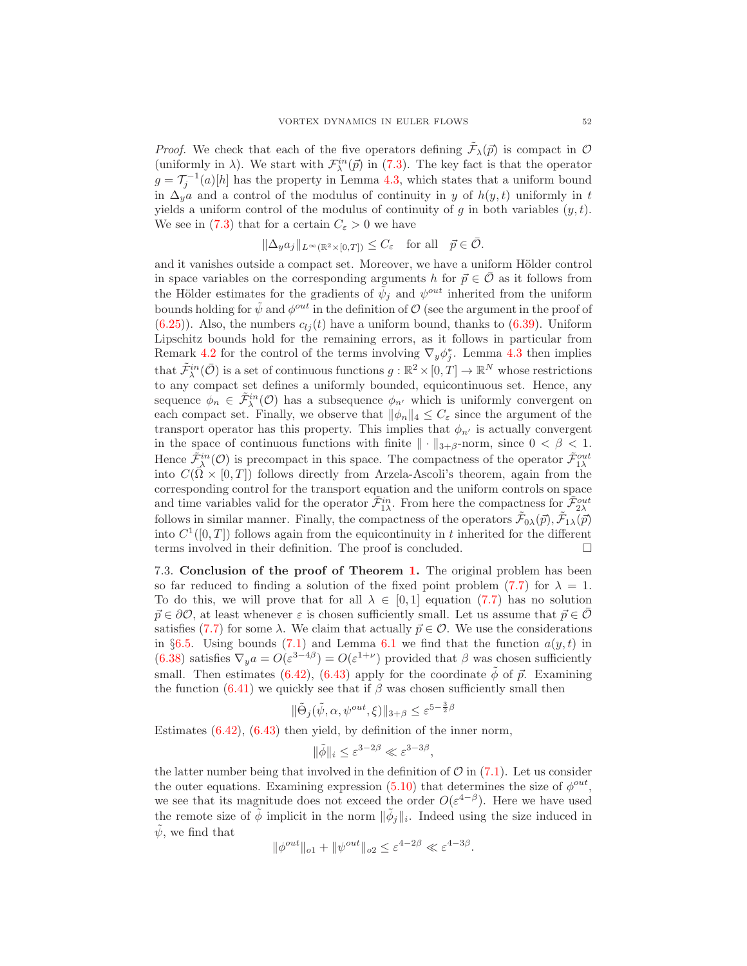*Proof.* We check that each of the five operators defining  $\tilde{\mathcal{F}}_{\lambda}(\vec{p})$  is compact in  $\mathcal{O}$ (uniformly in  $\lambda$ ). We start with  $\mathcal{F}^{in}_{\lambda}(\vec{p})$  in [\(7.3\)](#page-49-3). The key fact is that the operator  $g = \mathcal{T}_j^{-1}(a)[h]$  has the property in Lemma [4.3,](#page-30-3) which states that a uniform bound in  $\Delta_y a$  and a control of the modulus of continuity in y of  $h(y, t)$  uniformly in t yields a uniform control of the modulus of continuity of g in both variables  $(y, t)$ . We see in [\(7.3\)](#page-49-3) that for a certain  $C_{\varepsilon} > 0$  we have

$$
\|\Delta_y a_j\|_{L^\infty(\mathbb{R}^2 \times [0,T])} \le C_{\varepsilon} \quad \text{for all} \quad \vec{p} \in \bar{\mathcal{O}}.
$$

and it vanishes outside a compact set. Moreover, we have a uniform Hölder control in space variables on the corresponding arguments h for  $\vec{p} \in \mathcal{O}$  as it follows from the Hölder estimates for the gradients of  $\tilde{\psi}_j$  and  $\psi^{out}$  inherited from the uniform bounds holding for  $\tilde{\psi}$  and  $\phi^{out}$  in the definition of  $\mathcal{O}$  (see the argument in the proof of  $(6.25)$ ). Also, the numbers  $c_{ij}(t)$  have a uniform bound, thanks to  $(6.39)$ . Uniform Lipschitz bounds hold for the remaining errors, as it follows in particular from Remark [4.2](#page-27-1) for the control of the terms involving  $\nabla_y \phi_j^*$ . Lemma [4.3](#page-30-3) then implies that  $\tilde{\mathcal{F}}^{in}_{\lambda}(\bar{\mathcal{O}})$  is a set of continuous functions  $g : \mathbb{R}^2 \times [0, T] \to \mathbb{R}^N$  whose restrictions to any compact set defines a uniformly bounded, equicontinuous set. Hence, any sequence  $\phi_n \in \tilde{\mathcal{F}}_{{\lambda}}^{in}(\mathcal{O})$  has a subsequence  $\phi_{n'}$  which is uniformly convergent on each compact set. Finally, we observe that  $\|\phi_n\|_4 \leq C_{\varepsilon}$  since the argument of the transport operator has this property. This implies that  $\phi_{n'}$  is actually convergent in the space of continuous functions with finite  $\|\cdot\|_{3+\beta}$ -norm, since  $0 < \beta < 1$ . Hence  $\tilde{\mathcal{F}}_{\lambda}^{in}(\mathcal{O})$  is precompact in this space. The compactness of the operator  $\tilde{\mathcal{F}}_{1\lambda}^{out}$ into  $C(\bar{\Omega} \times [0,T])$  follows directly from Arzela-Ascoli's theorem, again from the corresponding control for the transport equation and the uniform controls on space and time variables valid for the operator  $\tilde{\mathcal{F}}_{1\lambda}^{in}$ . From here the compactness for  $\tilde{\mathcal{F}}_{2\lambda}^{out}$ follows in similar manner. Finally, the compactness of the operators  $\tilde{\mathcal{F}}_{0\lambda}(\vec{p}), \tilde{\mathcal{F}}_{1\lambda}(\vec{p})$ into  $C^1([0,T])$  follows again from the equicontinuity in t inherited for the different terms involved in their definition. The proof is concluded.  $\Box$ 

7.3. Conclusion of the proof of Theorem [1.](#page-3-4) The original problem has been so far reduced to finding a solution of the fixed point problem [\(7.7\)](#page-50-2) for  $\lambda = 1$ . To do this, we will prove that for all  $\lambda \in [0,1]$  equation [\(7.7\)](#page-50-2) has no solution  $\vec{p} \in \partial \mathcal{O}$ , at least whenever  $\varepsilon$  is chosen sufficiently small. Let us assume that  $\vec{p} \in \mathcal{O}$ satisfies [\(7.7\)](#page-50-2) for some  $\lambda$ . We claim that actually  $\vec{p} \in \mathcal{O}$ . We use the considerations in §[6.5.](#page-46-2) Using bounds [\(7.1\)](#page-48-0) and Lemma [6.1](#page-36-1) we find that the function  $a(y, t)$  in [\(6.38\)](#page-46-1) satisfies  $\nabla_y a = O(\varepsilon^{3-4\beta}) = O(\varepsilon^{1+\nu})$  provided that  $\beta$  was chosen sufficiently small. Then estimates [\(6.42\)](#page-47-3), [\(6.43\)](#page-47-4) apply for the coordinate  $\tilde{\phi}$  of  $\vec{p}$ . Examining the function  $(6.41)$  we quickly see that if  $\beta$  was chosen sufficiently small then

$$
\|\tilde{\Theta}_{j}(\tilde{\psi}, \alpha, \psi^{out}, \xi)\|_{3+\beta} \leq \varepsilon^{5-\frac{3}{2}\beta}
$$

Estimates [\(6.42\)](#page-47-3), [\(6.43\)](#page-47-4) then yield, by definition of the inner norm,

$$
\|\tilde{\phi}\|_i \le \varepsilon^{3-2\beta} \ll \varepsilon^{3-3\beta},
$$

the latter number being that involved in the definition of  $\mathcal{O}$  in [\(7.1\)](#page-48-0). Let us consider the outer equations. Examining expression  $(5.10)$  that determines the size of  $\phi^{out}$ , we see that its magnitude does not exceed the order  $O(\varepsilon^{4-\beta})$ . Here we have used the remote size of  $\tilde{\phi}$  implicit in the norm  $\|\tilde{\phi}_j\|_i$ . Indeed using the size induced in  $\tilde{\psi}$ , we find that

$$
\|\phi^{out}\|_{o1} + \|\psi^{out}\|_{o2} \le \varepsilon^{4-2\beta} \ll \varepsilon^{4-3\beta}.
$$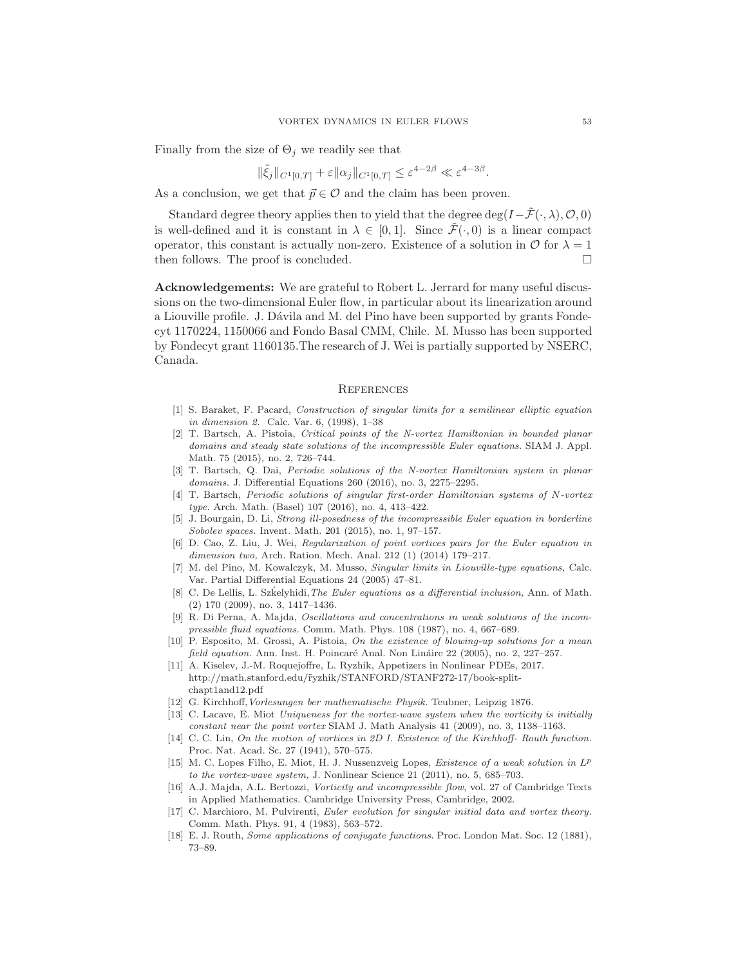Finally from the size of  $\Theta_i$  we readily see that

$$
\|\tilde{\xi}_j\|_{C^1[0,T]} + \varepsilon \|\alpha_j\|_{C^1[0,T]} \leq \varepsilon^{4-2\beta} \ll \varepsilon^{4-3\beta}.
$$

As a conclusion, we get that  $\vec{p} \in \mathcal{O}$  and the claim has been proven.

Standard degree theory applies then to yield that the degree deg( $I-\tilde{\mathcal{F}}(\cdot, \lambda), \mathcal{O}, 0$ ) is well-defined and it is constant in  $\lambda \in [0,1]$ . Since  $\tilde{\mathcal{F}}(\cdot,0)$  is a linear compact operator, this constant is actually non-zero. Existence of a solution in  $\mathcal O$  for  $\lambda = 1$ then follows. The proof is concluded.

Acknowledgements: We are grateful to Robert L. Jerrard for many useful discussions on the two-dimensional Euler flow, in particular about its linearization around a Liouville profile. J. Dávila and M. del Pino have been supported by grants Fondecyt 1170224, 1150066 and Fondo Basal CMM, Chile. M. Musso has been supported by Fondecyt grant 1160135.The research of J. Wei is partially supported by NSERC, Canada.

#### **REFERENCES**

- <span id="page-52-13"></span>[1] S. Baraket, F. Pacard, Construction of singular limits for a semilinear elliptic equation in dimension 2. Calc. Var. 6, (1998), 1–38
- <span id="page-52-3"></span>[2] T. Bartsch, A. Pistoia, Critical points of the N-vortex Hamiltonian in bounded planar domains and steady state solutions of the incompressible Euler equations. SIAM J. Appl. Math. 75 (2015), no. 2, 726–744.
- <span id="page-52-4"></span>[3] T. Bartsch, Q. Dai, Periodic solutions of the N-vortex Hamiltonian system in planar domains. J. Differential Equations 260 (2016), no. 3, 2275–2295.
- <span id="page-52-5"></span>[4] T. Bartsch, Periodic solutions of singular first-order Hamiltonian systems of N-vortex type. Arch. Math. (Basel) 107 (2016), no. 4, 413–422.
- <span id="page-52-11"></span>[5] J. Bourgain, D. Li, Strong ill-posedness of the incompressible Euler equation in borderline Sobolev spaces. Invent. Math. 201 (2015), no. 1, 97–157.
- <span id="page-52-16"></span>[6] D. Cao, Z. Liu, J. Wei, Regularization of point vortices pairs for the Euler equation in dimension two, Arch. Ration. Mech. Anal. 212 (1) (2014) 179–217.
- <span id="page-52-14"></span>[7] M. del Pino, M. Kowalczyk, M. Musso, Singular limits in Liouville-type equations, Calc. Var. Partial Differential Equations 24 (2005) 47–81.
- <span id="page-52-12"></span>[8] C. De Lellis, L. Szkelyhidi, *The Euler equations as a differential inclusion*, Ann. of Math. (2) 170 (2009), no. 3, 1417–1436.
- <span id="page-52-8"></span>[9] R. Di Perna, A. Majda, Oscillations and concentrations in weak solutions of the incompressible fluid equations. Comm. Math. Phys. 108 (1987), no. 4, 667–689.
- <span id="page-52-15"></span>[10] P. Esposito, M. Grossi, A. Pistoia, On the existence of blowing-up solutions for a mean field equation. Ann. Inst. H. Poincaré Anal. Non Lináire  $22$  (2005), no. 2, 227–257.
- <span id="page-52-17"></span>[11] A. Kiselev, J.-M. Roquejoffre, L. Ryzhik, Appetizers in Nonlinear PDEs, 2017. http://math.stanford.edu/˜ryzhik/STANFORD/STANF272-17/book-splitchapt1and12.pdf
- <span id="page-52-9"></span><span id="page-52-1"></span>[12] G. Kirchhoff,Vorlesungen ber mathematische Physik. Teubner, Leipzig 1876.
- [13] C. Lacave, E. Miot Uniqueness for the vortex-wave system when the vorticity is initially constant near the point vortex SIAM J. Math Analysis 41 (2009), no. 3, 1138–1163.
- <span id="page-52-0"></span>[14] C. C. Lin, On the motion of vortices in 2D I. Existence of the Kirchhoff- Routh function. Proc. Nat. Acad. Sc. 27 (1941), 570–575.
- <span id="page-52-10"></span>[15] M. C. Lopes Filho, E. Miot, H. J. Nussenzveig Lopes, *Existence of a weak solution in*  $L^p$ to the vortex-wave system, J. Nonlinear Science 21 (2011), no. 5, 685–703.
- <span id="page-52-6"></span>[16] A.J. Majda, A.L. Bertozzi, Vorticity and incompressible flow, vol. 27 of Cambridge Texts in Applied Mathematics. Cambridge University Press, Cambridge, 2002.
- <span id="page-52-7"></span>[17] C. Marchioro, M. Pulvirenti, Euler evolution for singular initial data and vortex theory. Comm. Math. Phys. 91, 4 (1983), 563–572.
- <span id="page-52-2"></span>[18] E. J. Routh, Some applications of conjugate functions. Proc. London Mat. Soc. 12 (1881), 73–89.